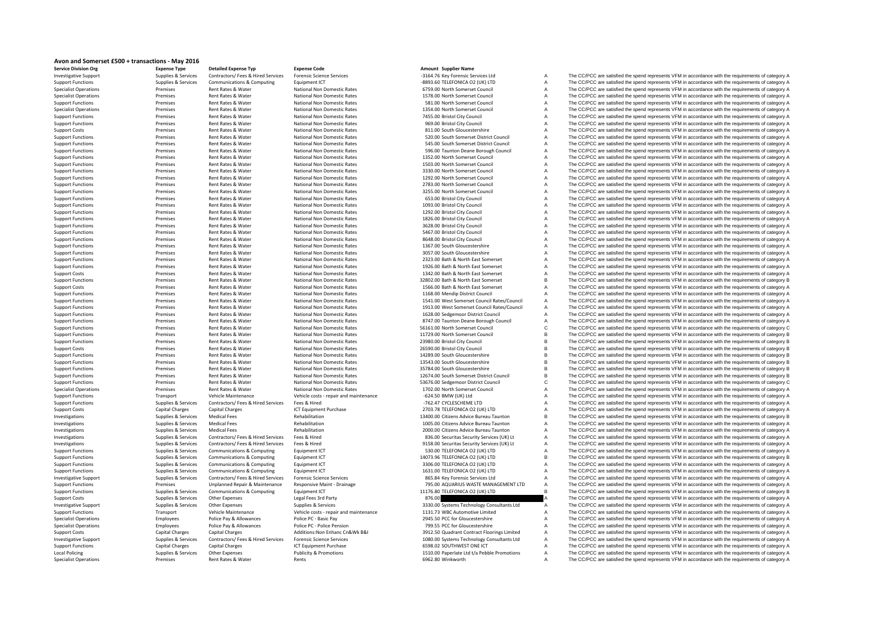| Avon and Somerset £500 + transactions - May 2016 |  |
|--------------------------------------------------|--|
|--------------------------------------------------|--|

| Avon and Somerset £500 + transactions - May 2016     |                                            |                                                                  |                                               |                                                                                  |                |                                                                                                                                                                                                            |
|------------------------------------------------------|--------------------------------------------|------------------------------------------------------------------|-----------------------------------------------|----------------------------------------------------------------------------------|----------------|------------------------------------------------------------------------------------------------------------------------------------------------------------------------------------------------------------|
| <b>Service Division Org</b>                          | <b>Expense Type</b>                        | <b>Detailed Expense Tvp</b>                                      | <b>Expense Code</b>                           | Amount Supplier Name                                                             |                |                                                                                                                                                                                                            |
| <b>Investigative Support</b>                         | Supplies & Services                        | Contractors/ Fees & Hired Services                               | <b>Forensic Science Services</b>              | -3164.76 Key Forensic Services Ltd                                               | Α              | The CC/PCC are satisfied the spend represents VFM in accordance with the requirements of category A                                                                                                        |
| <b>Support Functions</b>                             | Supplies & Services                        | Communications & Computing                                       | Equipment ICT                                 | -8893.60 TELEFONICA O2 (UK) LTD                                                  | Α              | The CC/PCC are satisfied the spend represents VFM in accordance with the requirements of category A                                                                                                        |
| <b>Specialist Operations</b>                         | Premises                                   | Rent Rates & Water                                               | National Non Domestic Rates                   | 6759.00 North Somerset Council                                                   | Α              | The CC/PCC are satisfied the spend represents VFM in accordance with the requirements of category A                                                                                                        |
| <b>Specialist Operations</b>                         | Premises                                   | Rent Rates & Water                                               | National Non Domestic Rates                   | 1578.00 North Somerset Council                                                   | A              | The CC/PCC are satisfied the spend represents VFM in accordance with the requirements of category A                                                                                                        |
| <b>Support Functions</b>                             | Premises                                   | Rent Rates & Water                                               | National Non Domestic Rates                   | 581.00 North Somerset Council                                                    | A              | The CC/PCC are satisfied the spend represents VFM in accordance with the requirements of category A                                                                                                        |
| <b>Specialist Operations</b>                         | Premises                                   | Rent Rates & Water                                               | National Non Domestic Rates                   | 1354.00 North Somerset Council                                                   | A              | The CC/PCC are satisfied the spend represents VFM in accordance with the requirements of category A                                                                                                        |
| <b>Support Functions</b>                             | Premises                                   | Rent Rates & Water                                               | National Non Domestic Rates                   | 7455.00 Bristol City Council                                                     | A              | The CC/PCC are satisfied the spend represents VFM in accordance with the requirements of category A                                                                                                        |
| <b>Support Functions</b>                             | Premises                                   | Rent Rates & Water                                               | National Non Domestic Rates                   | 969.00 Bristol City Council                                                      | A              | The CC/PCC are satisfied the spend represents VFM in accordance with the requirements of category A                                                                                                        |
| <b>Support Costs</b>                                 | Premises                                   | Rent Rates & Water                                               | National Non Domestic Rates                   | 811.00 South Gloucestershire                                                     | A              | The CC/PCC are satisfied the spend represents VFM in accordance with the requirements of category A                                                                                                        |
| <b>Support Functions</b>                             | Premises                                   | Rent Rates & Water                                               | National Non Domestic Rates                   | 520.00 South Somerset District Council                                           | A              | The CC/PCC are satisfied the spend represents VFM in accordance with the requirements of category A                                                                                                        |
| <b>Support Functions</b>                             | Premises                                   | Rent Rates & Water                                               | National Non Domestic Rates                   | 545.00 South Somerset District Council                                           | A              | The CC/PCC are satisfied the spend represents VFM in accordance with the requirements of category A                                                                                                        |
| <b>Support Functions</b>                             | Premises                                   | Rent Rates & Water                                               | National Non Domestic Rates                   | 596.00 Taunton Deane Borough Council                                             | A              | The CC/PCC are satisfied the spend represents VFM in accordance with the requirements of category A                                                                                                        |
| <b>Support Functions</b>                             | Premises                                   | Rent Rates & Water                                               | National Non Domestic Rates                   | 1352.00 North Somerset Council                                                   | A              | The CC/PCC are satisfied the spend represents VFM in accordance with the requirements of category A                                                                                                        |
| <b>Support Functions</b>                             | Premises                                   | Rent Rates & Water                                               | National Non Domestic Rates                   | 1503.00 North Somerset Council                                                   | A              | The CC/PCC are satisfied the spend represents VFM in accordance with the requirements of category A                                                                                                        |
| <b>Support Functions</b>                             | Premises                                   | Rent Rates & Water                                               | National Non Domestic Rates                   | 3330.00 North Somerset Council                                                   | A              | The CC/PCC are satisfied the spend represents VFM in accordance with the requirements of category A                                                                                                        |
| <b>Support Functions</b>                             | Premises                                   | Rent Rates & Water                                               | National Non Domestic Rates                   | 1292.00 North Somerset Council                                                   | A              | The CC/PCC are satisfied the spend represents VFM in accordance with the requirements of category A                                                                                                        |
| <b>Support Functions</b>                             | Premises                                   | Rent Rates & Water                                               | National Non Domestic Rates                   | 2783.00 North Somerset Council                                                   | A              | The CC/PCC are satisfied the spend represents VFM in accordance with the requirements of category A                                                                                                        |
| <b>Support Functions</b>                             | Premises                                   | Rent Rates & Water                                               | National Non Domestic Rates                   | 3255.00 North Somerset Council                                                   | A              | The CC/PCC are satisfied the spend represents VFM in accordance with the requirements of category A                                                                                                        |
| <b>Support Functions</b>                             | Premises                                   | Rent Rates & Water                                               | National Non Domestic Rates                   | 653.00 Bristol City Council                                                      | A              | The CC/PCC are satisfied the spend represents VFM in accordance with the requirements of category A                                                                                                        |
| <b>Support Functions</b>                             | Premises                                   | Rent Rates & Water                                               | National Non Domestic Rates                   | 1093.00 Bristol City Council                                                     | A              | The CC/PCC are satisfied the spend represents VFM in accordance with the requirements of category A                                                                                                        |
| <b>Support Functions</b>                             | Premises                                   | Rent Rates & Water                                               | National Non Domestic Rates                   | 1292.00 Bristol City Council                                                     | A              | The CC/PCC are satisfied the spend represents VFM in accordance with the requirements of category A                                                                                                        |
| <b>Support Functions</b>                             | Premises                                   | Rent Rates & Water                                               | National Non Domestic Rates                   | 1826.00 Bristol City Council                                                     | A              | The CC/PCC are satisfied the spend represents VFM in accordance with the requirements of category A                                                                                                        |
| <b>Support Functions</b>                             | Premises                                   | Rent Rates & Water                                               | National Non Domestic Rates                   | 3628.00 Bristol City Council                                                     | A              | The CC/PCC are satisfied the spend represents VFM in accordance with the requirements of category A                                                                                                        |
| <b>Support Functions</b>                             | Premises                                   | Rent Rates & Water                                               | National Non Domestic Rates                   | 5467.00 Bristol City Council                                                     | A              | The CC/PCC are satisfied the spend represents VFM in accordance with the requirements of category A                                                                                                        |
| <b>Support Functions</b>                             | Premises                                   | Rent Rates & Water                                               | National Non Domestic Rates                   | 8648.00 Bristol City Council                                                     | A              | The CC/PCC are satisfied the spend represents VFM in accordance with the requirements of category A                                                                                                        |
| <b>Support Functions</b>                             | Premises                                   | Rent Rates & Water                                               | National Non Domestic Rates                   | 1367.00 South Gloucestershire                                                    | A              | The CC/PCC are satisfied the spend represents VFM in accordance with the requirements of category A                                                                                                        |
| <b>Support Functions</b>                             | Premises                                   | Rent Rates & Water                                               | National Non Domestic Rates                   | 3057.00 South Gloucestershire                                                    | A              | The CC/PCC are satisfied the spend represents VFM in accordance with the requirements of category A                                                                                                        |
| <b>Support Functions</b>                             | Premises                                   | Rent Rates & Water                                               | National Non Domestic Rates                   | 2323.00 Bath & North East Somerset                                               | A              | The CC/PCC are satisfied the spend represents VFM in accordance with the requirements of category A                                                                                                        |
| <b>Support Functions</b>                             | Premises                                   | Rent Rates & Water                                               | National Non Domestic Rates                   | 1926.00 Bath & North East Somerset                                               | A              | The CC/PCC are satisfied the spend represents VFM in accordance with the requirements of category A                                                                                                        |
| <b>Support Costs</b>                                 | Premises                                   | Rent Rates & Water                                               | National Non Domestic Rates                   | 1342.00 Bath & North East Somerset                                               | A              | The CC/PCC are satisfied the spend represents VFM in accordance with the requirements of category A                                                                                                        |
| <b>Support Functions</b>                             | Premises                                   | <b>Rent Rates &amp; Water</b>                                    | National Non Domestic Rates                   | 32802.00 Bath & North East Somerset                                              | B              | The CC/PCC are satisfied the spend represents VFM in accordance with the requirements of category B                                                                                                        |
| <b>Support Costs</b>                                 | Premises                                   | <b>Rent Rates &amp; Water</b>                                    | National Non Domestic Rates                   | 1566.00 Bath & North East Somerset                                               | A              | The CC/PCC are satisfied the spend represents VFM in accordance with the requirements of category A                                                                                                        |
| <b>Support Functions</b>                             | Premises                                   | Rent Rates & Water                                               | National Non Domestic Rates                   | 1168.00 Mendip District Council                                                  | Α              | The CC/PCC are satisfied the spend represents VFM in accordance with the requirements of category A                                                                                                        |
| <b>Support Functions</b>                             | Premises                                   | Rent Rates & Water                                               | National Non Domestic Rates                   | 1541.00 West Somerset Council Rates/Council                                      | Α              | The CC/PCC are satisfied the spend represents VFM in accordance with the requirements of category A                                                                                                        |
| <b>Support Functions</b>                             | Premises                                   | Rent Rates & Water                                               | National Non Domestic Rates                   | 1913.00 West Somerset Council Rates/Council                                      | Α              | The CC/PCC are satisfied the spend represents VFM in accordance with the requirements of category A                                                                                                        |
| <b>Support Functions</b>                             | Premises                                   | Rent Rates & Water                                               | National Non Domestic Rates                   | 1628.00 Sedgemoor District Council                                               | Α              | The CC/PCC are satisfied the spend represents VFM in accordance with the requirements of category A                                                                                                        |
| <b>Support Functions</b>                             | Premises                                   | Rent Rates & Water                                               | National Non Domestic Rates                   | 8747.00 Taunton Deane Borough Council                                            | Α              | The CC/PCC are satisfied the spend represents VFM in accordance with the requirements of category A                                                                                                        |
| <b>Support Functions</b>                             | Premises                                   | Rent Rates & Water                                               | National Non Domestic Rates                   | 56161.00 North Somerset Council                                                  | с              | The CC/PCC are satisfied the spend represents VFM in accordance with the requirements of category C                                                                                                        |
| <b>Support Functions</b>                             | Premises                                   | Rent Rates & Water                                               | National Non Domestic Rates                   | 11729.00 North Somerset Council                                                  | B              | The CC/PCC are satisfied the spend represents VFM in accordance with the requirements of category B                                                                                                        |
| <b>Support Functions</b>                             | Premises                                   | Rent Rates & Water                                               | National Non Domestic Rates                   | 23980.00 Bristol City Council                                                    | B              | The CC/PCC are satisfied the spend represents VFM in accordance with the requirements of category B                                                                                                        |
| <b>Support Costs</b>                                 | Premises                                   | Rent Rates & Water                                               | National Non Domestic Rates                   | 26590.00 Bristol City Council                                                    | B              | The CC/PCC are satisfied the spend represents VFM in accordance with the requirements of category B                                                                                                        |
| <b>Support Functions</b>                             | Premises                                   | Rent Rates & Water                                               | National Non Domestic Rates                   | 14289.00 South Gloucestershire                                                   | B              | The CC/PCC are satisfied the spend represents VFM in accordance with the requirements of category B                                                                                                        |
| <b>Support Functions</b>                             | Premises                                   | Rent Rates & Water                                               | National Non Domestic Rates                   | 13543.00 South Gloucestershire                                                   | B<br>B         | The CC/PCC are satisfied the spend represents VFM in accordance with the requirements of category B                                                                                                        |
| <b>Support Functions</b>                             | Premises                                   | Rent Rates & Water                                               | National Non Domestic Rates                   | 35784.00 South Gloucestershire                                                   | B.             | The CC/PCC are satisfied the spend represents VFM in accordance with the requirements of category B                                                                                                        |
| <b>Support Functions</b>                             | Premises                                   | Rent Rates & Water                                               | National Non Domestic Rates                   | 12674.00 South Somerset District Council                                         | C              | The CC/PCC are satisfied the spend represents VFM in accordance with the requirements of category B                                                                                                        |
| <b>Support Functions</b>                             | Premises                                   | Rent Rates & Water                                               | National Non Domestic Rates                   | 53676.00 Sedgemoor District Council                                              | $\overline{A}$ | The CC/PCC are satisfied the spend represents VFM in accordance with the requirements of category C                                                                                                        |
| <b>Specialist Operations</b>                         | Premises                                   | <b>Rent Rates &amp; Water</b>                                    | National Non Domestic Rates                   | 1702.00 North Somerset Council                                                   |                | The CC/PCC are satisfied the spend represents VFM in accordance with the requirements of category A                                                                                                        |
| <b>Support Functions</b>                             | Transport                                  | Vehicle Maintenance                                              | Vehicle costs - repair and maintenance        | -624.50 BMW (UK) Ltd<br>-762.47 CYCLESCHEME LTD                                  | A<br>A         | The CC/PCC are satisfied the spend represents VFM in accordance with the requirements of category A                                                                                                        |
| <b>Support Functions</b>                             | Supplies & Services                        | Contractors/ Fees & Hired Services<br><b>Capital Charges</b>     | Fees & Hired<br><b>ICT Equipment Purchase</b> | 2703.78 TELEFONICA O2 (UK) LTD                                                   | A              | The CC/PCC are satisfied the spend represents VFM in accordance with the requirements of category A<br>The CC/PCC are satisfied the spend represents VFM in accordance with the requirements of category A |
| <b>Support Costs</b>                                 | <b>Capital Charges</b>                     |                                                                  | Rehabilitation                                |                                                                                  | B              | The CC/PCC are satisfied the spend represents VFM in accordance with the requirements of category B                                                                                                        |
| Investigations                                       | Supplies & Services                        | <b>Medical Fees</b>                                              |                                               | 13400.00 Citizens Advice Bureau Taunton                                          | A              |                                                                                                                                                                                                            |
| Investigations                                       | Supplies & Services                        | <b>Medical Fees</b><br><b>Medical Fees</b>                       | Rehabilitation<br>Rehabilitation              | 1005.00 Citizens Advice Bureau Taunton<br>2000.00 Citizens Advice Bureau Taunton | A              | The CC/PCC are satisfied the spend represents VFM in accordance with the requirements of category A                                                                                                        |
| Investigations                                       | Supplies & Services                        |                                                                  |                                               |                                                                                  |                | The CC/PCC are satisfied the spend represents VFM in accordance with the requirements of category A                                                                                                        |
| Investigations                                       | Supplies & Services                        | Contractors/ Fees & Hired Services                               | Fees & Hired                                  | 836.00 Securitas Security Services (UK) Lt                                       | Α              | The CC/PCC are satisfied the spend represents VFM in accordance with the requirements of category A                                                                                                        |
| Investigations<br><b>Support Functions</b>           | Supplies & Services                        | Contractors/ Fees & Hired Services<br>Communications & Computing | Fees & Hired<br>Equipment ICT                 | 9158.00 Securitas Security Services (UK) Lt<br>530.00 TELEFONICA O2 (UK) LTD     | Α<br>Α         | The CC/PCC are satisfied the spend represents VFM in accordance with the requirements of category A<br>The CC/PCC are satisfied the spend represents VFM in accordance with the requirements of category A |
| <b>Support Functions</b>                             | Supplies & Services                        | Communications & Computing                                       | Equipment ICT                                 | 14073.96 TELEFONICA O2 (UK) LTD                                                  | B              | The CC/PCC are satisfied the spend represents VFM in accordance with the requirements of category B                                                                                                        |
|                                                      | Supplies & Services<br>Supplies & Services | Communications & Computing                                       | Equipment ICT                                 | 3306.00 TELEFONICA O2 (UK) LTD                                                   | A              | The CC/PCC are satisfied the spend represents VFM in accordance with the requirements of category A                                                                                                        |
| <b>Support Functions</b><br><b>Support Functions</b> | Supplies & Services                        | Communications & Computing                                       | Equipment ICT                                 | 1631.00 TELEFONICA O2 (UK) LTD                                                   | A              | The CC/PCC are satisfied the spend represents VFM in accordance with the requirements of category A                                                                                                        |
| <b>Investigative Support</b>                         | Supplies & Services                        | Contractors/ Fees & Hired Services                               | <b>Forensic Science Services</b>              | 865.84 Key Forensic Services Ltd                                                 |                | The CC/PCC are satisfied the spend represents VFM in accordance with the requirements of category A                                                                                                        |
| <b>Support Functions</b>                             | Premises                                   | Unplanned Repair & Maintenance                                   | Responsive Maint - Drainage                   | 795.00 AQUARIUS WASTE MANAGEMENT LTD                                             | A              | The CC/PCC are satisfied the spend represents VFM in accordance with the requirements of category A                                                                                                        |
| <b>Support Functions</b>                             | Supplies & Services                        | Communications & Computing                                       | Equipment ICT                                 | 11176.80 TELEFONICA O2 (UK) LTD                                                  | B              | The CC/PCC are satisfied the spend represents VFM in accordance with the requirements of category B                                                                                                        |
| <b>Support Costs</b>                                 | Supplies & Services                        | Other Expenses                                                   | Legal Fees 3rd Party                          | 876.00                                                                           |                | The CC/PCC are satisfied the spend represents VFM in accordance with the requirements of category A                                                                                                        |
| <b>Investigative Support</b>                         | Supplies & Services                        | Other Expenses                                                   | Supplies & Services                           | 3330.00 Systems Technology Consultants Ltd                                       | Α              | The CC/PCC are satisfied the spend represents VFM in accordance with the requirements of category A                                                                                                        |
| <b>Support Functions</b>                             | Transport                                  | Vehicle Maintenance                                              | Vehicle costs - repair and maintenance        | 1131.73 WBC Automotive Limited                                                   | A              | The CC/PCC are satisfied the spend represents VFM in accordance with the requirements of category A                                                                                                        |
| <b>Specialist Operations</b>                         | Employees                                  | Police Pay & Allowances                                          | Police PC - Basic Pay                         | 2945.50 PCC for Gloucestershire                                                  | A              | The CC/PCC are satisfied the spend represents VFM in accordance with the requirements of category A                                                                                                        |
| <b>Specialist Operations</b>                         | Employees                                  | Police Pay & Allowances                                          | Police PC - Police Pension                    | 799.55 PCC for Gloucestershire                                                   | A              | The CC/PCC are satisfied the spend represents VFM in accordance with the requirements of category A                                                                                                        |
| <b>Support Costs</b>                                 | <b>Capital Charges</b>                     | <b>Capital Charges</b>                                           | Additions: Non Enhanc Cn&Wk B&I               | 3912.50 Quadrant Contract Floorings Limited                                      | Α              | The CC/PCC are satisfied the spend represents VFM in accordance with the requirements of category A                                                                                                        |
| <b>Investigative Support</b>                         | Supplies & Services                        | Contractors/ Fees & Hired Services                               | <b>Forensic Science Services</b>              | 1080.00 Systems Technology Consultants Ltd                                       | Α              | The CC/PCC are satisfied the spend represents VFM in accordance with the requirements of category A                                                                                                        |
| <b>Support Functions</b>                             | <b>Capital Charges</b>                     | <b>Capital Charges</b>                                           | ICT Equipment Purchase                        | 6598.02 SOUTHWEST ONE ICT                                                        | Α              | The CC/PCC are satisfied the spend represents VFM in accordance with the requirements of category A                                                                                                        |
| <b>Local Policing</b>                                | Supplies & Services                        | Other Expenses                                                   | <b>Publicity &amp; Promotions</b>             | 1510.00 Paperlate Ltd t/a Pebble Promotions                                      | Α              | The CC/PCC are satisfied the spend represents VFM in accordance with the requirements of category A                                                                                                        |
| <b>Specialist Operations</b>                         | Premises                                   | Rent Rates & Water                                               | Rents                                         | 6962.80 Winkworth                                                                | А              | The CC/PCC are satisfied the spend represents VFM in accordance with the requirements of category A                                                                                                        |
|                                                      |                                            |                                                                  |                                               |                                                                                  |                |                                                                                                                                                                                                            |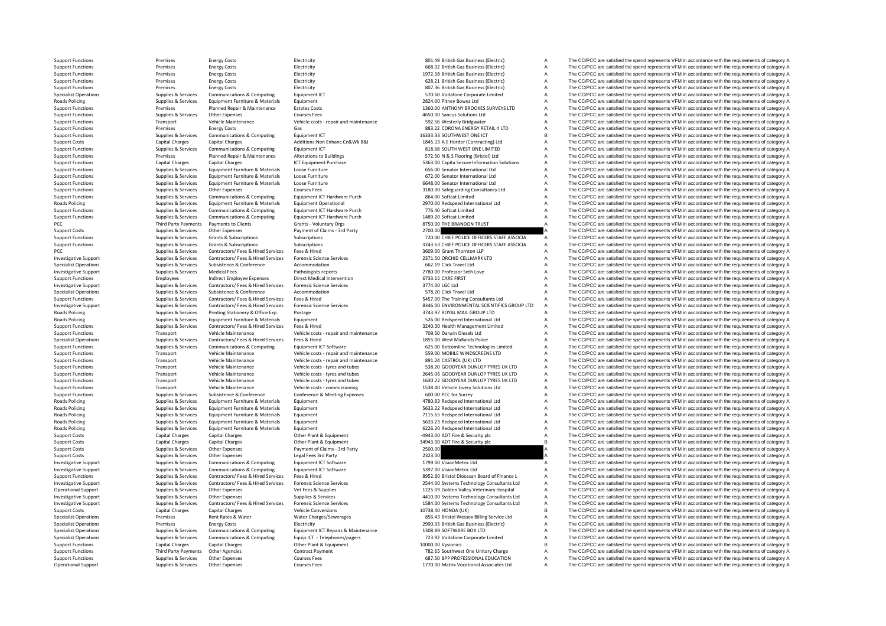**Roads Policing Roads Policing** Roads Policing Roads Policing Roads Policing **Roads Policing Roads Policing Roads Policing Roads Policing** 

Third Party Payments

Support Functions Premises Energy Costs Electricity Electricity Electricity and a SO1.49 British Gas Business (Electricity A The CC/PCC are satisfied the spend represents VFM in accordance with the requirements of category Support Functions Premises Energy Costs Electricity 668.32 British Gas Business (Electricity A The CC/PCC are satisfied the spend represents VFM in accordance with the requirements of category A The CC/PCC are satisfied th Support Functions Premises Energy Costs Electricity Functions and according the spend represents of the spend represents VFM in accordance with the requirements of category A The CC/PCC are satisfied the spend represents V Support Functions Premises Energy Costs Energy Costs Electricity Electricity Electricity Electricity and the SCAL British Gas Business (Electricity and SCAL The CC/PCC are satisfied the spend represents VFM in accordance w Support Functions Premises Energy Costs Energy Costs Electricity Electricity Electricity Business Electricity Business (Electricity and a Support Functions A The CC/PCC are satisfied the spend represents VFM in accordance Specialist Operations Supplies A The CC/PCC are satisfied the spend represents VFM in accordance with the requirements of category A Policing Supplies & Services Equipment Furniture & Materials Equipment entity Equipment 2824.00 Pitney Bowes Ltd A The CC/PCC are satisfied the spend represents VFM in accordance with the requirements of category A Supplie Premises Planned Repair & Maintenance Estates Costs 1360.00 ANTHONY BROOKES SURVEYS LTD A The CC/PCC are satisfied the spend represents VFM in accordance with the requirements of category A Support Functions Supplies & Services Other Expenses Courses Fees Courses Fees Antiquate and the SUPPOS ACC/PCC are satisfied the spend represents VFM in accordance with the requirements of category A The CC/PCC are satisf Support Functions Transport Vehicle Maintenance Vehicle costs - repair and maintenance 592.56 Westerly Bridgwater A The CC/PCC are satisfied the spend represents VFM in accordance with the requirements of category A The CC Support Functions Premises Energy Costs Gas Gas Gas Base Content Costs Computing Casts Gas Base Costs Gas 883.22 CORONA ENERGY RETAIL 4 LTD A The CC/PCC are satisfied the spend represents VFM in accordance with the require Support Functions Supplies & Supplies & Supplies Communications & Computing Equipment ICT Equipment ICT 1633.33 SOUTHWEST ONE ICT B The CC/PCC are satisfied the spend represents VFM in accordance with the requirements of c Support Costs Capital Charges Capital Charges Additions:Non Enhanc Cn&Wk B&I 1845.13 A E Horder (Contracting) Ltd A The CC/PCC are satisfied the spend represents VFM in accordance with the requirements of category A Suppor Equipment ICT **Equipment ICT** SUPPORT COMPUTED SUPPORT COMPUTED A The CC/PCC are satisfied the spend represents VFM in accordance with the requirements of category A a the spend represents VFM in accordance with the requir Support Functions Premises Planned Repair & Maintenance Alterations to Buildings 572.50 N & S Flooring (Bristol) Ltd A The CC/PCC are satisfied the spend represents VFM in accordance with the requirements of category A Support Functions Capital Charges Capital Charges ICT Equipment Purchase 5363.00 Capita Secure Information Solutions A The CC/PCC are satisfied the spend represents VFM in accordance with the requirements of category A Support Functions Supplies & Services Equipment Furniture & Materials Loose Furniture 666.00 Senator International Ltd A The CC/PCC are satisfied the spend represents VFM in accordance with the requirements of category A Support Functions Supplies & Services Equipment Furniture & Materials Loose Furniture Materials Loose Furniture Company of the Stategory A The CC/PCC are satisfied the spend represents VFM in accordance with the requiremen Loose Furniture **A Supplies A Service A COVICE A COVICE A** The CC/PCC are satisfied the spend represents VFM in accordance with the requirements of category A Support Functions Supplies & Services Other Expenses Courses Fees Courses Fees 3180.00 Safeguarding Consultancy Ltd A The CC/PCC are satisfied the spend represents VFM in accordance with the requirements of category A Supp Support Functions Supplies & Services Communications & Computing Equipment ICT Hardware Purch 864.00 Softcat Limited A The CC/PCC are satisfied the spend represents VFM in accordance with the requirements of category A Poplies & Services Equipment Furniture & Materials Equipment Operational A 2970.00 Redspeed International Ltd A The CC/PCC are satisfied the spend represents VFM in accordance with the requirements of category A Suiten Ltd Support Functions Supplies & Services Communications & Computing Equipment ICT Hardware Purch 776.40 Softcat Limited A The CC/PCC are satisfied the spend represents VFM in accordance with the requirements of category A Sup Support Functions Supplies & Services Communications & Computing Equipment ICT Hardware Purch 1489.20 Softcat Limited A The CC/PCC are satisfied the spend represents VFM in accordance with the requirements of category A Th Party Payments Crients Crients Crients Crients Crients Crients Crients Crients Crients Crients Crients Crients Crients Crients Crients Crients Crients Crients Crients Crients Crients Crients Crients Crients Crients Crien Support Costs Supplies & Services Other Expenses Payment of Claims - 3rd Party 2700.00 2700.00 200.00 A The CC/PCC are satisfied the spend represents VFM in accordance with the requirements of category A<br>Support Functions Support Functions Supplies & Services Grants & Subscriptions Subscriptions Subscriptions Subscriptions Subscriptions Subscriptions Subscriptions 720.00 CHIEF POLICE OFFICERS STAFF ASSOCIA A The CC/PCC are satisfied the spe Supplies & Services Grants & Subscriptions Subscriptions Subscriptions Subscriptions Subscriptions Subscriptions Subscriptions Subscriptions Subscriptions Subscriptions Subscriptions and the content of the CC/PCC are satis PCC SUPPLIES CONTRACTORS CONTRACTORS AND SERVICES FEES AND SERVICES THE SERVICES CONTRACTORS OF SERVICES FEES A THE CONTRACTORS OF SPEND THE CONTRACTORS AND SERVICES OF SPEND THE CONTRACTORS OF SPEND THE CONTRACTORS OF SPE Investigative Support Support Support Support Support Support Support Support Support Support Support Support Support Support Support Support Support Support Support Support Support Support Support of the Support of the Su Supplies & Services Subsistence & Conference Accommodation Accommodation Supplies and the COLEC are stravel Ltd A The CC/PCC are satisfied the spend represents VFM in accordance with the requirements of category A Supplies Investigative Support Support Support Support Support Support Medical Fees Pathologists reports Pathologists reports 2780.00 Professor Seth Love A The CC/PCC are satisfied the spend represents VFM in accordance with the re Support Functions Support Functions Employees Indirect Employee Expenses Direct Medical Intervention 6733.15 CARE FIRST A The CC/PCC are satisfied the spend represents VFM in accordance with the requirements of category A Investigative Support Support Support Supportes & Services Contractors/ Fees & Hired Services Forensic Science Services 3774.00 LGC Ltd A The CC/PCC are satisfied the spend represents VFM in accordance with the requirement Specialist Operations Supplies & Supplies & Subsistence & Conference Accommodation Accommodation 578.20 Click Travel Ltd A The CC/PCC are satisfied the spend represents VFM in accordance with the requirements of category A Support Functions Supplies & Services Contractors/ Fees & Hired Services Fees & Hired Services Fees & Hired Services Fees & Hired Services Fees & Hired Services Fees & Hired Services Connectes Connectes States Consumer Ser Investigative Sunnort Cunnities & Services Contractors/ Fees & Hired Sensices Forgetic Science Services Forgetic Services Contractors Contractors Contractors Contractors Contractors Contractors Contractors Contractors Cont Poplies & Services Printing Stationery & Office Exp Postage Protage 3743.97 ROYAL MAIL GROUP LTD A The CC/PCC are satisfied the spend represents VFM in accordance with the requirements of category A Supplies & Services Equ Poplies & Services Equipment Furniture & Materials Equipment Equipment Supplies and the Services Equipment Supplies A The CC/PCC are satisfied the spend represents VFM in accordance with the requirements of category A Supp Support Functions Supplies & Services Contractors/ Fees & Hired Services Fees & Hired 3240.00 Health Management Limited A The CC/PCC are satisfied the spend represents VFM in accordance with the requirements of category A Support Functions Transport Vehicle Maintenance Vehicle costs - repair and maintenance 709.50 Darwin Diesels Ltd A The CC/PCC are satisfied the spend represents VFM in accordance with the requirements of category A Spencha The CC/PCC are satisfied the spend represents VFM in accordance with the requirements of category A Support Functions Supplies & Services Communications & Computing Equipment ICT Software 625.00 Bottomline Technologies Limited A The CC/PCC are satisfied the spend represents VFM in accordance with the requirements of cate Support Functions Transport Vehicle Maintenance Vehicle costs ‐ repair and maintenance 559.00 MOBILE WINDSCREENS LTD A The CC/PCC are satisfied the spend represents VFM in accordance with the requirements of category A Sup Vehicle Costs - repair and maintenance 891.24 CASTROL (UK) LTD A The CC/PCC are satisfied the spend represents VFM in accordance with the requirements of category A<br>Vehicle costs - twise and tubes and tubes and tubes and t Support Functions Transport Vehicle Maintenance Vehicle costs – tyres and tubes 538.20 GOODYEAR DUNLOP TYRES UK LTD A The CC/PCC are satisfied the spend represents VFM in accordance with the requirements of category A Supp Support Functions Transport Vehicle Maintenance Vehicle costs – tyres and tubes 2645.06 GOODYEAR DUNLOP TYRES UK LTD A The CC/PCC are satisfied the spend represents VFM in accordance with the requirements of category A Sup Transport Vehicle Maintenance Vehicle costs - tyres and tubes 1630.22 GOODYEAR DUNLOP TYRES UK LTD A The CC/PCC are satisfied the spend represents VFM in accordance with the requirements of category A Support Functions Transport Vehicle Maintenance Vehicle costs – commissioning 1538.40 Vehicle Livery Solutions Ltd A The CC/PCC are satisfied the spend represents VFM in accordance with the requirements of category A Suppo Subsistence Support Functions Conference & Meeting Expenses 600.00 PCC for Surrey A The CC/PCC are satisfied the spend represents VFM in accordance with the requirements of category A The Cripcos expendient of category A T Poplies & Services Equipment Furniture & Materials Equipment and Culture and A The CC/PCC are satisfied the spend represents VFM in accordance with the requirements of category A Poplies & Services Equipment Furniture & Materials Equipment Equipment Suppliers and Supplies A The CC/PCC are satisfied the spend represents VFM in accordance with the requirements of category A Supplies & Services Equipm Policing Supplies & Services Equipment Furniture & Materials Equipment 7115.65 Redspeed International Ltd A The CC/PCC are satisfied the spend represents VFM in accordance with the requirements of category A Policy Supplies & Services Equipment Eurniture & Materials Equipment 563.23 Pedspeed International Ltd A The CC/PCC are satisfied the spend represents VFM in accordance with the requirements of category A Supplies & Servic Policing Supplies & Services Equipment Furniture & Materials Equipment 6226.20 Redspeed International Ltd A The CC/PCC are satisfied the spend represents VFM in accordance with the requirements of category A Support Costs Capital Charges Capital Charges Other Plant & Equipment **A COLO A Security plc** A The CC/PCC are satisfied the spend represents VFM in accordance with the requirements of category A Support Costs Capital Charges Capital Charges Capital Charges Other Plant & Equipment Charges Other Plant & Equipment Support Costs Capital Charges Capital Charges Other Plant & Equipment Stephent Stephen and the Security Support Costs Supplies & Services Other Expenses Payment of Claims – 3rd Party 2500.00 2500.00 A The CC/PCC are satisfied the spend represents VFM in accordance with the requirements of category A Support Costs Support Cos The CC/PCC are satisfied the spend represents VFM in accordance with the requirements of category A Investigative Support Supplies & Services Communications & Computing Equipment ICT Software 1799.00 VisionMetric Ltd A The CC/PCC are satisfied the spend represents VFM in accordance with the requirements of category A Investigative Support Supplies & Supplies & Services Communications & Computing Equipment ICT Software Equipment ICT Software Support Support A The CC/PCC are satisfied the spend represents VFM in accordance with the requi 8952.60 Bristol Diocesan Board of Finance L A The CC/PCC are satisfied the spend represents VFM in accordance with the requirements of category A<br>2544.00 Systems Technology Consultants Ltd A The CC/PCC are satisfied the sp Investigative Support Support Support Support Support Support Support Support Support Support Support Support Support Support Support Support Support Support Support Support Support Support Support Support Support Support Operational Support Supplies & Services Other Expenses Vet Fees & Supplies Vet Fees & Supplies 1225.09 Golden Valley Veterinary Hospital A The CC/PCC are satisfied the spend represents VFM in accordance with the requiremen Other Expenses Supplies & Services Consultants Consultants Consultants Ltd A The CC/PCC are satisfied the spend represents VFM in accordance with the requirements of category A Contractors/ Fees & Hired Services Forensic S Investigative Support of the COPCC are stated and the could be stated and the comparison of the COPCC are stated the spend of the COPCC are stated the spend represents VFM in accordance with the requirements of category A Support Costs Capital Charges Capital Charges Vehicle Conversions Vehicle Conversions 2007 2012 10738.40 HONDA (UK) B The CC/PCC are satisfied the spend represents VFM in accordance with the requirements of category B Vehi Specialist Operations Premises Rent Rates & Water Water Charges/Sewerages 856.43 Bristol Wessex Billing Service Ltd A The CC/PCC are satisfied the spend represents VFM in accordance with the requirements of category A Specialist Operations Specialist Operations Premises Premises Energy Costs Electricity Electricity Electricity Electricity Electricity Electricity Electricity and the spend are and the spend represents VFM in accordance wi Supplies & Supplies & Supplies & Communications & Computing Equipment ICT Repairs & Maintenance 1308.89 SOFTWARE BOX LTD A The CC/PCC are satisfied the spend represents VFM in accordance with the requirements of category A Supplies & Supplies & Supplies & Communications & Computing Equip ICT - Telephones/pagers 733.92 Vodafone Corporate Limited A The CC/PCC are satisfied the spend represents VFM in accordance with the requirements of categor Support Functions Capital Charges Capital Charges Other Plant & Equipment 10000.00 Vysionics B The CC/PCC are satisfied the spend represents VFM in accordance with the requirements of category B Support Functions Third Party Payments Other Agencies Contract Payment 782.65 Southwest One Unitary Charge A The CC/PCC are satisfied the spend represents VFM in accordance with the requirements of category A Support Functions Support Functions Support Courses Courses Courses Fees 687.50 BPP PROFESSIONAL EDUCATION A The CC/PCC are satisfied the spend represents VFM in accordance with the requirements of category A Operational Support Supplies & Services Other Expenses Courses Fees Courses Fees 1770.00 Matrix Vocational Associates Ltd A The CC/PCC are satisfied the spend represents VFM in accordance with the requirements of category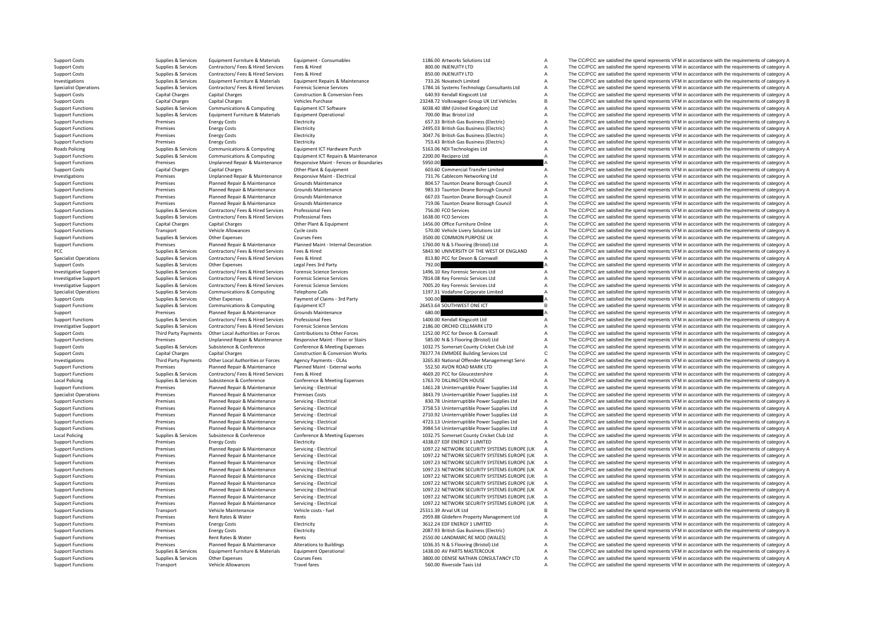**Roads Policing** Local Policing **Local Policing** 

Support Functions Transport Vehicle Allowances Travel fares Travel fares S60.00 Riverside Taxis Ltd A The CC/PCC are satisfied the spend represents VFM in accordance with the requirements of category A

Support Costs Supplies & Services Equipment Furniture & Materials Equipment - Consumables 1186.00 Artworks Solutions Ltd A The CC/PCC are satisfied the spend represents VFM in accordance with the requirements of category A Support Costs Supplies & Services Contractors/ Fees & Hired Services Fees & Hired Services Fees & Hired Services Fees & Hired Services Fees & Hired Services Fees & Hired Services Fees & Hired Services Fees & Hired Services Support Costs Supplies & Services Contractors/ Fees & Hired Services Fees & Hired Services Fees & Hired 850.00 INJENUITY LTD A The CC/PCC are satisfied the spend represents VFM in accordance with the requirements of catego Investigations Supplies & Supplies & Services Equipment Furniture & Materials Equipment Repairs & Maintenance 733.26 Novatech Limited A The CC/PCC are satisfied the spend represents VFM in accordance with the requirements Supplies & Services Contractors/Fees & Hired Services Forensic Science Services envices envices contractors/Fees Alized Services construction & Conversion Fees and the CONCOS Consultants Ltd A The CC/PCC are satisfied the Support Costs Capital Charges Capital Charges Construction & Conversion Fees 640.93 Kendall Kingscott Ltd A The CC/PCC are satisfied the spend represents VFM in accordance with the requirements of category A Support Costs Capital Charges Capital Charges Vehicles Vehicles Vehicles 23248.72 Volkswagen Group UK Ltd Vehicles B The CC/PCC are satisfied the spend represents VFM in accordance with the requirements of category B Suppo Support Functions Support Functions Computing Equipment ICT Software 6038.40 IBM (United Kingdom) Ltd A The CC/PCC are satisfied the spend represents VFM in accordance with the requirements of category A The Critical II A Support Functions Supplies & Services Equipment Furniture & Materials Equipment Operational 700.00 Btac Bristol Ltd A The CC/PCC are satisfied the spend represents VFM in accordance with the requirements of category A Supp Support Functions Premises Energy Costs Electricity Electricity Electricity Electricity and the ST.33 British Gas Business (Electricity A The CC/PCC are satisfied the spend represents VFM in accordance with the requirement Support Functions Premises Energy Costs Energy Costs Electricity 2495.03 British Gas Business (Electric) A The CC/PCC are satisfied the spend represents VFM in accordance with the requirements of category A Support Functions Premises Energy Costs Electricity Electricity Electricity Electricity and the Support Electricity and the COVEC are satisfied the spend represents VFM in accordance with the requirements of category A Sup Support Functions Premises Energy Costs Energy Costs Electricity Electricity Electricity Electricity Electricity and the spend of the CC/PCC are satisfied the spend represents VFM in accordance with the requirements of cat The CC/PCC are satisfied the spend represents VFM in accordance with the requirements of category A Support Functions Supplies & Services Communications & Computing Fouldment ICT Repairs & Maintenance 2200.00 Recipero Ltd A The CC/PCC are satisfied the spend represents VFM in accordance with the requirements of category Support Functions Premises Unplanned Repair & Maintenance Responsive Maint ‐ Fences or Boundaries 5950.00 A The CC/PCC are satisfied the spend represents VFM in accordance with the requirements of category A Support Costs Capital Charges Capital Charges Other Plant & Equipment 603.60 Commercial Transfer Limited A The CC/PCC are satisfied the spend represents VFM in accordance with the requirements of category A Investigations Premises Unplanned Repair & Maintenance Responsive Maint - Electrical 731.76 Cablecom Networking Ltd A The CC/PCC are satisfied the spend represents VFM in accordance with the requirements of category A Supp Support Functions Planned Repair & Maintenance Grounds Maintenance School and the Support of the Support Function Deane Borough Council A The CC/PCC are satisfied the spend represents VFM in accordance with the requirement Support Functions Premises Planned Repair & Maintenance Grounds Maintenance 983.33 Taunton Deane Borough Council A The CC/PCC are satisfied the spend represents VFM in accordance with the requirements of category A Support Support Functions Premises Planned Repair & Maintenance Grounds Maintenance 667.03 Taunton Deane Borough Council A The CC/PCC are satisfied the spend represents VFM in accordance with the requirements of category A Support Support Functions Premises Planned Repair & Maintenance Grounds Maintenance Transformance 719.06 Taunton Deane Borough Council A The CC/PCC are satisfied the spend represents VFM in accordance with the requirements of cate Support Functions Supplies & Services Contractors/ Fees & Hired Services Professional Fees **Professional Fees** 756.00 FCO Services A The CC/PCC are satisfied the spend represents VFM in accordance with the requirements of Support Functions Supplies & Services Contractors/ Fees & Hired Services Professional Fees Professional Fees 1638.00 FCO Services A The CC/PCC are satisfied the spend represents VFM in accordance with the requirements of c The CC/PCC are satisfied the spend represents VFM in accordance with the requirements of category A Support Functions Transport Vehicle Allowances Cycle costs Cycle costs Cycle costs 570.00 Vehicle Livery Solutions Ltd A The CC/PCC are satisfied the spend represents VFM in accordance with the requirements of category A S Support Functions Supplies & Services Other Expenses Courses Fees Courses Fees Support Function Support Function and The CC/PCC are satisfied the spend represents VFM in accordance with the requirements of category A Suppo Premises Planned Repair & Maintenance Planned Maint-Internal Decoration 1760.00 N & S Flooring (Bristol) Ltd A The CC/PCC are satisfied the spend represents VFM in accordance with the requirements of category A PCC Supplies Services Contractors/ Fees Hired Services Fees & Hired Services Fees & Hired Services Fees & Hired Services Fees & Hired Services Fees & Hired Services Fees & Hired Services Fees & Hired Services Fees & Hired Specialist Operations Supplies & Supplies & Services Contractors/ Fees & Hired Services Fees & Hired 813.80 PCC for Devon & Cornwall A The CC/PCC are satisfied the spend represents VFM in accordance with the requirements o Supplies & Services Other Expenses Legal Fees 3rd Party 2010 792.00 The CC/PCC are satisfied the spend represents VFM in accordance with the requirements of category A<br>Supplies & Services Contractors/ Fees & Hired Services Investigative Support Support Supporter Supporter Supporter Supporter Supporter Supporter Support Supporter Supporter Supporter Supporter Support Supporter Support Support Support Support Support Support Support Support Su Investigative Support Support Supplies & Services Contractors/ Fees & Hired Services Forensic Science Services contractors/ Fees & Hired Services Forensic Science Services 7814.08 Kev Forensic Services Ltd A The CC/PCC are Investigative Support Support Supporte Supporter Supporter Contractors/ Fees & Hired Services Forensic Science Services on 2005.20 Key Forensic Services Ltd A The CC/PCC are satisfied the spend represents VFM in accordance Specialist Operations Supplies & Supplies & Services Communications & Computing Telephone Calls Telephone Calls 1197.31 Vodafone Corporate Limited A The CC/PCC are satisfied the spend represents VFM in accordance with the Support Costs Supplies & Services Other Expenses Payment of Claims - 3rd Party 500.00 A The CC/PCC are satisfied the spend represents VFM in accordance with the requirements of category A Support Costs Support Costs Suppor Support Functions Supplies Services Communications & Computing Faulthment ICT 26453.64 SOUTHWEST ONE ICT B The CC/PCC are satisfied the spend represents VFM in accordance with the requirements of category B Support Premises Planned Repair & Maintenance Grounds Maintenance Grounds Maintenance 680.00 Category A The CC/PCC are satisfied the spend represents VFM in accordance with the requirements of category A Support Functions Support Functions Supplies & Services Contractors/ Fees & Hired Services Professional Fees 1400.00 Kendall Kingscott Ltd A The CC/PCC are satisfied the spend represents VFM in accordance with the requirements of category A Investigative Sunnort Sunning & Services Contractors/ Fees & Hired Services Forensic Science Services Forensic Science Services 2186.00 ORCHID CELLMARK LTD A The CC/PCC are satisfied the spend represents VFM in accordance Third Party Payments Other Local Authorities or Forces Contributions to Other Forces Subsequentions to the Topology A The CC/PCC are satisfied the spend represents VFM in accordance with the requirements of category A<br>The Premises Unplanned Repair & Maintenance Responsive Maint - Floor or Stairs 585.00 N & S Flooring (Bristol) Ltd A The CC/PCC are satisfied the spend represents VFM in accordance with the requirements of category A Supplies & Supplies & Substance & Conference Conference Conference America Conference America Conference America Conference Conference America Conference and Medical Conference and the CONSTANDUM Cricket Club Ltd America T Support Costs Capital Charges Capital Charges Construction & Conversion Works 78377.74 EMMDEE Building Services Ltd C The CC/PCC are satisfied the spend represents VFM in accordance with the requirements of category C<br>Inve Other Local Authorities or Forces Agency Payments - OLAs Category A 3265.83 National Offender Managemengt Servi<br>Planned Repair & Maintenance Planned Maint - External works 552.50 AVON ROAD MARK LTD A The CC/PCC are satisfi Support Functions Premises Premises Planned Repair & Maintenance Planned Maint - External works 552.50 AVON ROAD MARK LTD A The CC/PCC are satisfied the spend represents VFM in accordance with the requirements of category Support Functions Supplies & Services Contractors/ Fees & Hired Services Fees & Hired Hired Fees & Hired Fees & Hired Fees & Hired Fees & Hired Meeting Presents A The CC/PCC are satisfied the spend represents VFM in accord Popiles & Services Subsistence & Conference & Conference & Meeting Expenses 1763.70 DILLINGTON HOUSE A The CC/PCC are satisfied the spend represents VFM in accordance with the requirements of category A The Cripcia are str Support Functions Premises Planned Repair & Maintenance Servicing - Electrical 1461.28 Uninterruptible Power Supplies Ltd A The CC/PCC are satisfied the spend represents VFM in accordance with the requirements of category Planned Repair & Maintenance Premises Costs Costs Costs Costs 2001 Companies Costs 3843.79 Uninterruptible Power Supplies Ltd A The CC/PCC are satisfied the spend represents VFM in accordance with the requirements of categ Support Functions Premises Planned Repair & Maintenance Servicing - Electrical 830.78 Uninterruptible Power Supplies Ltd A The CC/PCC are satisfied the spend represents VFM in accordance with the requirements of category A Support Functions Premises Planned Repair & Maintenance Servicing - Electrical 3758.53 Uninterruptible Power Supplies Ltd A The CC/PCC are satisfied the spend represents VFM in accordance with the requirements of category Support Functions Premises Planned Repair & Maintenance Servicing - Electrical 2710.92 Uninterruptible Power Supplies Ltd A The CC/PCC are satisfied the spend represents VFM in accordance with the requirements of category Support Functions Premises Planned Repair & Maintenance Servicing - Electrical 4723.13 Uninterruptible Power Supplies Ltd A The CC/PCC are satisfied the spend represents VFM in accordance with the requirements of category Support Functions Premises Planned Repair & Maintenance Servicing - Electrical Servicing - Electrical 3984.54 Uninterruptible Power Supplies Ltd A The CC/PCC are satisfied the spend represents VFM in accordance with the re Subsistence & Conference Conference & Meeting Expenses 1032.75 Somerset County Cricket Club Ltd A The CC/PCC are satisfied the spend represents VFM in accordance with the requirements of category A Support Functions Premises Energy Costs Energy Costs Electricity Electricity Electricity Electricity Electricity Electricity Electricity and the span and the spend of the CO/PCC are satisfied the spend represents VFM in ac Support Functions Premises Planned Repair & Maintenance Servicing - Electrical 1097.22 NETWORK SECURITY SYSTEMS EUROPE (UK A The CC/PCC are satisfied the spend represents VFM in accordance with the requirements of category Support Functions Planned Repair & Maintenance Servicing - Electrical 1097.22 NETWORK SECURITY SYSTEMS EUROPE (UK A The CC/PCC are satisfied the spend represents VFM in accordance with the requirements of category A the Cr Support Functions Premises Planned Repair & Maintenance Servicing - Electrical 1097.23 NETWORK SECURITY SYSTEMS EUROPE (UK A The CC/PCC are satisfied the spend represents VFM in accordance with the requirements of category Support Functions Premises Planned Repair & Maintenance Servicing - Electrical 1097.23 NETWORK SECURITY SYSTEMS EUROPE (UK A The CC/PCC are satisfied the spend represents VFM in accordance with the requirements of category Support Functions Premises Premises Premises Planned Repair of Electrical 1097.22 NETWORK SECURITY SYSTEMS EUROPE (UK A The CC/PCC are satisfied the spend represents VFM in accordance with the requirements of category A Th Support Functions Premises Planned Repair & Maintenance Servicing - Electrical 1097.22 NETWORK SECURITY SYSTEMS EUROPE (UK A The CC/PCC are satisfied the spend represents VFM in accordance with the requirements of category Support Functions Premises Planned Repair & Maintenance Servicing - Electrical 1097.22 NETWORK SECURITY SYSTEMS EUROPE (UK A The CC/PCC are satisfied the spend represents VFM in accordance with the requirements of category Planned Repair & Maintenance Servicing - Electrical 1097.22 NETWORK SECURITY SYSTEMS EUROPE (UK A The CC/PCC are satisfied the spend represents VFM in accordance with the requirements of category A<br>Planned Repair & Mainte Support Functions Premises Planned Repair & Maintenance Servicing - Electrical 1097.22 NETWORK SECURITY SYSTEMS EUROPE (UK A The CC/PCC are satisfied the spend represents VFM in accordance with the requirements of category Support Functions Transport Vehicle Maintenance Vehicle costs - fuel 25311.39 Arval UK Ltd B The CC/PCC are satisfied the spend represents VFM in accordance with the requirements of category B<br>Support Functions and the pro Support Functions Premises Rent Rates & Water Rents 2959.88 Glidefern Property Management Ltd A The CC/PCC are satisfied the spend represents VFM in accordance with the requirements of category A Support Functions Premises Energy Costs Electricity Electricity Electricity and the Support Energy A The CC/PCC are satisfied the spend represents VFM in accordance with the requirements of category A Support Functions Premises Energy Costs Electricity Electricity 2087.93 British Gas Business (Flectricity A The CC/PCC are satisfied the spend represents VFM in accordance with the requirements of category A Support Functions Premises Rent Rates & Water Rents Rents Rents Rents Rents Rents Rents 2550.00 LANDMARC RE MOD (WALES) A The CC/PCC are satisfied the spend represents VFM in accordance with the requirements of category A<br> Support Functions Premises Planned Repair & Maintenance Alterations to Buildings 1036.35 N & S Flooring (Bristol) Ltd A The CC/PCC are satisfied the spend represents VFM in accordance with the requirements of category A Su Support Functions Supplies & Services Equipment Furniture & Materials Equipment Operational Equipment Operational 1438.00 AV PARTS MASTERCOUK A The CC/PCC are satisfied the spend represents VFM in accordance with the requi Support Functions Support Support Courses Courses Courses Courses Fees 3800.00 DENISE NATHAN CONSULTANCY LTD A The CC/PCC are satisfied the spend represents VFM in accordance with the requirements of category A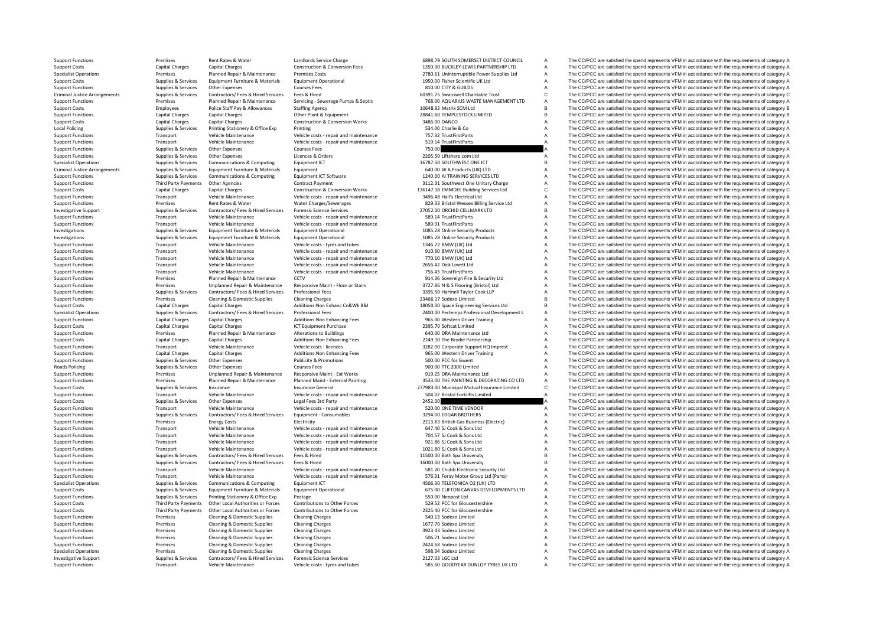Criminal JusticeLocal **Dollcing** Criminal Justice**Roads Policing** 

Support Functions Transport Vehicle Maintenance Vehicle costs - tyres and tubes 585.60 GOODYEAR DUNLOP TYRES UK LTD A The CC/PCC are satisfied the spend represents VFM in accordance with the requirements of category A

Support Functions Premises Rent Rates & Water Landlords Service Charge 6898.79 SOUTH SOMERSET DISTRICT COUNCIL A The CC/PCC are satisfied the spend represents VFM in accordance with the requirements of category A<br>Support C Support Costs Capital Charges Capital Charges Capital Charges Construction & Conversion Fees 1350.00 BUCKLEY-LEWIS PARTNERSHIP LTD A The CC/PCC are satisfied the spend represents VFM in accordance with the requirements of Specialist Operations Premises Planned Repair & Maintenance Premises Costs 2780.61 Uninterruptible Power Supplies Ltd A The CC/PCC are satisfied the spend represents VFM in accordance with the requirements of category A Th Support Costs Supplies & Services Equipment Furniture & Materials Equipment Operational Equipment Operational 1950.00 Fisher Scientific UK Ltd A The CC/PCC are satisfied the spend represents VFM in accordance with the requ Supplies & Services Other Expenses Courses Fees Courses Fees and Courses Fees and Supplies Courses Courses Fees 810.00 CITY & GUILDS A The CC/PCC are satisfied the spend represents VFM in accordance with the requirements o C The CC/PCC are satisfied the spend represents VFM in accordance with the requirements of category C Support Functions Support Functions and the equirements of category A The COPCC are satisfied the spend represents VFM in accordance with the requirements of category A The COPCC are satisfied the spend represents VFM in a Staffing Agency Support Costs Employees Police Staff Pay Allowances Police States Allowances States States Agency 10648.92 Matrix SCM Ltd B The CC/PCC are satisfied the spend represents VFM in accordance with the requireme Support Functions Capital Charges Capital Charges Capital Charges Other Plant & Equipment 28841.60 TEMPLESTOCK LIMITED B The CC/PCC are satisfied the spend represents VFM in accordance with the requirements of category B C Support Costs Capital Charges Capital Charges Construction & Conversion Works 3486.00 DANCO A The CC/PCC are satisfied the spend represents VFM in accordance with the requirements of category A the CC/PCC are satisfied the Folicing Stationery British Supplies Computer Contract Contract Contract Contract Contract Contract Contract Contract Contract Contract Contract Contract Contract Contract Contract Contract Contract Contract Contract Contr Support Functions Transport Vehicle Maintenance Vehicle costs ‐ repair and maintenance 757.32 TrustFirstParts A The CC/PCC are satisfied the spend represents VFM in accordance with the requirements of category A Support Fu Support Functions Transport Vehicle Maintenance Vehicle costs - repair and maintenance 519.14 TrustFirstParts A The CC/PCC are satisfied the spend represents VFM in accordance with the requirements of category A Support Fu The CC/PCC are satisfied the spend represents VFM in accordance with the requirements of category A Support Functions Supplies & Supplies & Services Other Expenses Licences & Orders Licences & Orders 2205.50 Liftshare.com Ltd A The CC/PCC are satisfied the spend represents VFM in accordance with the requirements of categ Specialist Operations Supplies & Services Communications & Computing Equipment ICT 16787.50 SOUTHWEST ONE ICT B The CC/PCC are satisfied the spend represents VFM in accordance with the requirements of category B Arrangements Supplies & Services Equipment Equipment Equipment Equipment Equipment Equipment Equipment Equipment Equipment and the spend of the COPC are satisfied the spend represents VFM in accordance with the requirement Support Functions Supplies & Supplies & Services Communications & Computing Equipment ICT Software 1240.00 AI TRAINING SERVICES LTD A The CC/PCC are satisfied the spend represents VFM in accordance with the requirements of Third Party Payments Other Agencies Contract Payment Contract Payment 2001 Contract Payment 3112.31 Southwest One Unitary Charge A The CC/PCC are satisfied the spend represents VFM in accordance with the requirements of ca Support Costs Capital Charges Capital Charges Construction & Conversion Works 136147.18 EMMDEE Building Services Ltd C The CC/PCC are satisfied the spend represents VFM in accordance with the requirements of category C Support Functions Transport Vehicle Maintenance Vehicle costs ‐ repair and maintenance 3496.48 Hall's Electrical Ltd A The CC/PCC are satisfied the spend represents VFM in accordance with the requirements of category A Support Functions Premises Rent Rates & Water Water Water Charges/Sewerages 829.33 Bristol Wessex Billing Service Ltd A The CC/PCC are satisfied the spend represents VFM in accordance with the requirements of category A Investigative Support Support Support Support Support Support Support Support Support Support Support Support<br>Transport Vehicle Maintenance Vehicle Costs - repair and maintenance 589.14 TrustFirstParts Support Public COPCC Support Functions Transport Vehicle Maintenance Vehicle costs ‐ repair and maintenance 589.14 TrustFirstParts A The CC/PCC are satisfied the spend represents VFM in accordance with the requirements of category A Support Fu Support Transport Functions Transport Transport Maintenance COVEC are satisfied the spend represents VFM in accordance with the requirements of category A Investigations Supplies & Services Equipment Furniture & Materials Equipment Operational 1085.28 Online Security Products A The CC/PCC are satisfied the spend represents VFM in accordance with the requirements of category Investigations Supplies & Services Equipment Furniture & Materials Equipment Operational 1085.28 Online Security Products A The CC/PCC are satisfied the spend represents VFM in accordance with the requirements of category Support Functions Transport Functions Transport Transport Vehicle Maintenance Vehicle Maintenance With the requirements of category A The CC/PCC are satisfied the spend represents VFM in accordance with the requirements of Support Transport Vehicle Maintenance Vehicle Maintenance Vehicle costs and maintenance 910.60 BMM (UK) Ltd A The CC/PCC are satisfied the spend represents VFM in accordance with the requirements of category A The CC/PCC a Support Functions Transport Vehicle Maintenance Vehicle Costs - repair and maintenance 770.10 BMW (UK) Ltd A The CC/PCC are satisfied the spend represents VFM in accordance with the requirements of category A Support Funct Support Functions Transport Vehicle Maintenance Vehicle costs - repair and maintenance 2656.42 Dick Lovett Ltd A The CC/PCC are satisfied the spend represents VFM in accordance with the requirements of category A Support F Transport Vehicle Maintenance Vehicle costs - repair and maintenance 756.43 TrustFirstParts A The CC/PCC are satisfied the spend represents VFM in accordance with the requirements of category A Support Functions Premises Planned Repair & Maintenance CCTV 914.36 Sovereign Fire & Security Ltd A The CC/PCC are satisfied the spend represents VFM in accordance with the requirements of category A Support Functions Prem Premises Unplanned Repair & Maintenance Responsive Maint - Floor or Stairs 3727.86 N & S Flooring (Bristol) Ltd A The CC/PCC are satisfied the spend represents VFM in accordance with the requirements of category A Support Functions Supplies & Services Contractors/ Fees & Hired Services Professional Fees Microsoftes And and the Support Functions and the CO/PCC are satisfied the spend represents VFM in accordance with the requirements Support Functions Cleaning Cleaning & Domestic Supplies Cleaning Charges 23466.17 Sodexo Limited B The CC/PCC are satisfied the spend represents VFM in accordance with the requirements of category B Support Costs Capital Charges Capital Charges Additions:Non Enhanc Cn&Wk B&I 18050.00 Space Engineering Services Ltd B The CC/PCC are satisfied the spend represents VFM in accordance with the requirements of category B Supplies & Services Contractors/ Fees & Hired Services Professional Fees and a contactors/ Fees Professional Exerces and the Department Capacamer and The CC/PCC are satisfied the spend represents VFM in accordance with the Support Functions Capital Charges Capital Charges Additions:Non Enhancing Fees 965.00 Western Driver Training A The CC/PCC are satisfied the spend represents VFM in accordance with the requirements of category A Support Costs Capital Charges Capital Charges Capital Charges ICT Equipment Purchase 2395.70 Softcat Limited A The CC/PCC are satisfied the spend represents VFM in accordance with the requirements of category A Sunnort Fun Support Functions Premises Planned Repair & Maintenance Alterations to Buildings and the Support Comment and the CO/PCC are satisfied the spend represents VFM in accordance with the requirements of category A Support Costs The CC/PCC are satisfied the spend represents VFM in accordance with the requirements of category A Support Functions Transport Vehicle Maintenance Vehicle costs - licences 3282.00 Corporate Support HQ Imprest A The CC/PCC are satisfied the spend represents VFM in accordance with the requirements of category A Support Functions Capital Charges Capital Charges Additions:Non Enhancing Fees 965.00 Western Driver Training A The CC/PCC are satisfied the spend represents VFM in accordance with the requirements of category A Support Fu SUPPORT FUNCTIONS SUPPORT THE CONCOURT THE CONCOURT SUPPORT FUNCTIONS ON A THE CONCOURT OF GEOGRAPH A CONCOURT<br>A The CONCOURT or a satisfied the spend represents VFM in accordance with the requirements of category A Policing Supplies A Services Other Expenses Courses Fees Courses Fees Courses Fees Courses Courses Fees Courses Courses Fees Courses Courses Fees Courses Courses Courses Courses Courses Courses Fees 900.00 TTC 2000 Limited Support Functions Premises Unplanned Repair & Maintenance Responsive Maint – Ext Works 919.25 DRA Maintenance Ltd A The CC/PCC are satisfied the spend represents VFM in accordance with the requirements of category A Suppor Premises Planned Repair & Maintenance Planned Maint - External Painting 3533.00 THE PAINTING & DECORATING COLLED A The CC/PCC are satisfied the spend represents VEM in accordance with the requirements of category A Support Costs Supplies & Services Insurance Support Control Insurance General 277983.00 Municipal Mutual Insurance Limited C The CC/PCC are satisfied the spend represents VFM in accordance with the requirements of category Support Functions Transport Vehicle Maintenance Vehicle costs - repair and maintenance 504.02 Bristol Forklifts Limited A The CC/PCC are satisfied the spend represents VFM in accordance with the requirements of category A CONSIDENT CONSIDENT CONSIDENT CONSIDENT CONSIDENT CONSIDENT CONSIDENT CONSIDENT CONSIDENT CONSIDENT CONSIDENT CONSIDENT CONSIDENT CONSIDENT CONSIDERATION CONSIDENT CONSIDERATION CONSIDERATION CONSIDERATION CONSIDERATION CO Support Functions Transport Vehicle Maintenance Vehicle Costs - repair and maintenance 520.00 ONE TIME VENDOR A The CC/PCC are satisfied the spend represents VFM in accordance with the requirements of category A Support Fu Support Functions Supplies & Services Contractors/ Fees & Hired Services Equipment - Consumables 3294.00 EDGAR BROTHERS A The CC/PCC are satisfied the spend represents VFM in accordance with the requirements of category A Support Functions Premises Energy Costs Electricity Electricity Electricity Electricity 2213.83 British Gas Business (Electricity A The CC/PCC are satisfied the spend represents VFM in accordance with the requirements of c Support Functions and Transport Vehicle Maintenance Vehicle costs vehicle costs and maintenance 647.40 SL COOk & Sons Ltd A The CC/PCC are satisfied the spend represents VFM in accordance with the requirements of category Support Functions Transport Vehicle Maintenance Vehicle costs - repair and maintenance 704.57 SJ Cook & Sons Ltd A The CC/PCC are satisfied the spend represents VFM in accordance with the requirements of category A Support Functions Transport Vehicle Maintenance Vehicle Costs ‐ repair and maintenance 921.86 SL Cook & Sons Ltd A The CC/PCC are satisfied the spend represents VFM in accordance with the requirements of category A Support Support Functions Transport Vehicle Maintenance Vehicle costs - repair and maintenance 1021.80 SI Cook & Sons Ltd A The CC/PCC are satisfied the spend represents VFM in accordance with the requirements of category A Suppor B The CC/PCC are satisfied the spend represents VFM in accordance with the requirements of category B Support Functions Supplies & Services Contractors/ Fees & Hired Services Fees & Hired 1600.00 Bath Spa University B The CC/PCC are satisfied the spend represents VFM in accordance with the requirements of category B Transport Vehicle Maintenance Vehicle Costs - repair and maintenance 581.20 Chubb Electronic Security Ltd A The CC/PCC are satisfied the spend represents VFM in accordance with the requirements of category A<br>Transport Vehi 576.31 Foray Motor Group Ltd (Parts) A<br>4 The CC/PCC are satisfied the spend represents VFM in accordance with the requirements of category A<br>4 The CC/PCC are satisfied the spend represents VFM in accordance with the requi Specialist Operations Supplies & Supplies & Services Communications & Computing Equipment ICT Equipment ICT Equipment ICT A The CC/PCC are satisfied the spend represents VFM in accordance with the requirements of category Support Costs Supplies & Services Equipment Furniture & Materials Equipment Operational 675.00 CLIFTON CANVAS DEVELOPMENTS LTD A The CC/PCC are satisfied the spend represents VFM in accordance with the requirements of cate Printing Stationery & Office Exp Postage Principal Printing Stationery A The CC/PCC are satisfied the spend represents VFM in accordance with the requirements of category A S50.00 Neopost Ltd A The CC/PCC are satisfied the Third Party Payments Other Local Authorities or Forces Contributions to Other Forces 529.52 PCC for Gloucestershire A The CC/PCC are satisfied the spend represents VFM in accordance with the requirements of category A<br>Thir Support Costs Controller and Party Payments of Onter Local Authorities or Forces Contributions to Other Forces<br>
Support Functions Support Support of the Controller Cleaning Alberta Cleaning Cleaning Cleaning Cleaning Clean Premises Cleaning & Domestic Supplies Cleaning Charges Support Cleaning Charges Supplies Cleaning Charges Support Cleaning Charges Support A The CC/PCC are satisfied the spend represents VFM in accordance with the requirem Support Functions Premises Cleaning & Domestic Supplies Cleaning Charges Cleaning Charges 1677.70 Sodexo Limited A The CC/PCC are satisfied the spend represents VFM in accordance with the requirements of category A Support Functions Premises Cleaning & Domestic Supplies Cleaning Charges Cleaning Charges 3923.43 Sodexo Limited A The CC/PCC are satisfied the spend represents VFM in accordance with the requirements of category A Support Functions Premises Cleaning & Domestic Supplies Cleaning Charges Cleaning Charges Support Cleaning Charges 506.71 Sodexo Limited A The CC/PCC are satisfied the spend represents VFM in accordance with the requiremen Support Functions Premises Cleaning & Domestic Supplies Cleaning Charges Cleaning Charges Cleaning Charges 2424.68 Sodexo Limited A The CC/PCC are satisfied the spend represents VFM in accordance with the requirements of c Specialist Operations Premises Cleaning & Domestic Supplies Cleaning Charges Cleaning Charges S98.34 Sodexo Limited A The CC/PCC are satisfied the spend represents VFM in accordance with the requirements of category A Investigative Support Support Support Support Services Contractors/ Fees & Hired Services Forensic Science Services 2127.03 LGC Ltd A The CC/PCC are satisfied the spend represents VFM in accordance with the requirements of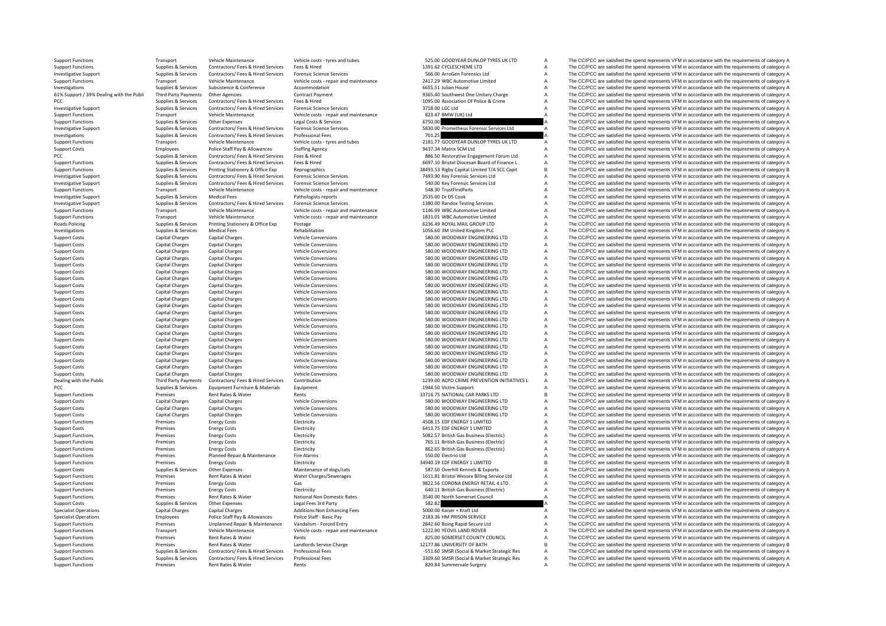| <b>Support Functions</b><br>Supplies & Services<br>Contractors/ Fees & Hired Services<br>Fees & Hired<br>1391.62 CYCLESCHEME LTD<br>Α<br>Contractors/ Fees & Hired Services<br>566.00 ArroGen Forensics Ltd<br>The CC/PCC are satisfied the spend represents VFM in accordance with the requirements of category A<br><b>Investigative Support</b><br>Supplies & Services<br><b>Forensic Science Services</b><br>Α<br>The CC/PCC are satisfied the spend represents VFM in accordance with the requirements of category A<br><b>Support Functions</b><br>Transport<br>Vehicle Maintenance<br>Vehicle costs - repair and maintenance<br>2417.29 WBC Automotive Limited<br>A<br>The CC/PCC are satisfied the spend represents VFM in accordance with the requirements of category A<br>Investigations<br>Supplies & Services<br>Subsistence & Conference<br>Accommodation<br>6655.51 Julian House<br>Α<br>61% Support / 39% Dealing with the Publi<br>Third Party Payments<br><b>Other Agencies</b><br><b>Contract Payment</b><br>9365.40 Southwest One Unitary Charge<br>Α<br>The CC/PCC are satisfied the spend represents VFM in accordance with the requirements of category A<br>PCC<br>Supplies & Services<br>Contractors/ Fees & Hired Services<br>Fees & Hired<br>1095.00 Association Of Police & Crime<br>Α<br>Contractors/ Fees & Hired Services<br><b>Forensic Science Services</b><br>3718.00 LGC Ltd<br>Α<br>The CC/PCC are satisfied the spend represents VFM in accordance with the requirements of category A<br><b>Investigative Support</b><br>Supplies & Services<br><b>Support Functions</b><br>Vehicle Maintenance<br>Vehicle costs - repair and maintenance<br>823.47 BMW (UK) Ltd<br>The CC/PCC are satisfied the spend represents VFM in accordance with the requirements of category A<br>Transport<br>$\overline{A}$<br><b>Support Functions</b><br>Supplies & Services<br>Other Expenses<br>Legal Costs & Services<br>6750.00<br>The CC/PCC are satisfied the spend represents VFM in accordance with the requirements of category A<br>Contractors/ Fees & Hired Services<br><b>Forensic Science Services</b><br>5830.00 Prometheus Forensic Services Ltd<br>The CC/PCC are satisfied the spend represents VFM in accordance with the requirements of category A<br><b>Investigative Support</b><br>Supplies & Services<br>Supplies & Services<br>Contractors/ Fees & Hired Services<br>Professional Fees<br>701.25<br>Investigations<br>2181.77 GOODYEAR DUNLOP TYRES UK LTD<br><b>Support Functions</b><br>Transport<br>Vehicle Maintenance<br>Vehicle costs - tyres and tubes<br>The CC/PCC are satisfied the spend represents VFM in accordance with the requirements of category A<br>The CC/PCC are satisfied the spend represents VFM in accordance with the requirements of category A<br><b>Support Costs</b><br>Employees<br>Police Staff Pay & Allowances<br><b>Staffing Agency</b><br>9437.34 Matrix SCM Ltd<br>Α<br>PCC<br>Supplies & Services<br>Contractors/ Fees & Hired Services<br>Fees & Hired<br>886.50 Restorative Engagement Forum Ltd<br>Α<br>The CC/PCC are satisfied the spend represents VFM in accordance with the requirements of category A<br><b>Support Functions</b><br>Supplies & Services<br>Contractors/ Fees & Hired Services<br>Fees & Hired<br>6697.10 Bristol Diocesan Board of Finance L<br>Α<br>B<br><b>Support Functions</b><br>Supplies & Services<br>Printing Stationery & Office Exp<br>Reprographics<br>38493.53 Rigby Capital Limited T/A SCC Capit<br>The CC/PCC are satisfied the spend represents VFM in accordance with the requirements of category A<br><b>Investigative Support</b><br>Supplies & Services<br>Contractors/ Fees & Hired Services<br><b>Forensic Science Services</b><br>7493.90 Key Forensic Services Ltd<br>Α<br>The CC/PCC are satisfied the spend represents VFM in accordance with the requirements of category A<br><b>Investigative Support</b><br>Supplies & Services<br>Contractors/ Fees & Hired Services<br><b>Forensic Science Services</b><br>540.00 Key Forensic Services Ltd<br>Α<br>Α<br>The CC/PCC are satisfied the spend represents VFM in accordance with the requirements of category A<br><b>Support Functions</b><br>Transport<br>Vehicle Maintenance<br>Vehicle costs - repair and maintenance<br>548.30 TrustFirstParts<br>A<br>The CC/PCC are satisfied the spend represents VFM in accordance with the requirements of category A<br>2535.00 Dr DS Cook<br><b>Investigative Support</b><br>Supplies & Services<br><b>Medical Fees</b><br>Pathologists reports<br>Α<br>The CC/PCC are satisfied the spend represents VFM in accordance with the requirements of category A<br><b>Investigative Support</b><br>Supplies & Services<br>Contractors/ Fees & Hired Services<br><b>Forensic Science Services</b><br>1380.00 Randox Testing Services<br>1146.99 WBC Automotive Limited<br>Α<br>The CC/PCC are satisfied the spend represents VFM in accordance with the requirements of category A<br><b>Support Functions</b><br>Transport<br>Vehicle Maintenance<br>Vehicle costs - repair and maintenance<br>Α<br>The CC/PCC are satisfied the spend represents VFM in accordance with the requirements of category A<br>Vehicle Maintenance<br>1831.01 WBC Automotive Limited<br><b>Support Functions</b><br>Transport<br>Vehicle costs - repair and maintenance<br>6236.49 ROYAL MAIL GROUP LTD<br>Α<br>Roads Policing<br>Supplies & Services<br>Printing Stationery & Office Exp<br>Postage<br>$\overline{A}$<br>Rehabilitation<br>1056.60 3M United Kingdom PLC<br>The CC/PCC are satisfied the spend represents VFM in accordance with the requirements of category A<br>Investigations<br>Supplies & Services<br><b>Medical Fees</b><br>580.00 WOODWAY ENGINEERING LTD<br>Α<br>The CC/PCC are satisfied the spend represents VFM in accordance with the requirements of category A<br><b>Capital Charges</b><br><b>Capital Charges</b><br><b>Vehicle Conversions</b><br><b>Support Costs</b><br><b>Capital Charges</b><br><b>Vehicle Conversions</b><br>580.00 WOODWAY ENGINEERING LTD<br>Α<br>The CC/PCC are satisfied the spend represents VFM in accordance with the requirements of category A<br><b>Support Costs</b><br><b>Capital Charges</b><br>580.00 WOODWAY ENGINEERING LTD<br>Α<br><b>Capital Charges</b><br><b>Capital Charges</b><br>Vehicle Conversions<br><b>Support Costs</b><br>$\mathsf A$<br>580.00 WOODWAY ENGINEERING LTD<br>The CC/PCC are satisfied the spend represents VFM in accordance with the requirements of category A<br><b>Capital Charges</b><br><b>Capital Charges</b><br>Vehicle Conversions<br><b>Support Costs</b><br>$\overline{A}$<br>The CC/PCC are satisfied the spend represents VFM in accordance with the requirements of category A<br><b>Capital Charges</b><br>580.00 WOODWAY ENGINEERING LTD<br><b>Support Costs</b><br><b>Capital Charges</b><br><b>Vehicle Conversions</b><br>$\mathsf A$<br>580.00 WOODWAY ENGINEERING LTD<br>The CC/PCC are satisfied the spend represents VFM in accordance with the requirements of category A<br><b>Capital Charges</b><br><b>Capital Charges</b><br>Vehicle Conversions<br><b>Support Costs</b><br>$\overline{A}$<br><b>Capital Charges</b><br>580.00 WOODWAY ENGINEERING LTD<br>The CC/PCC are satisfied the spend represents VFM in accordance with the requirements of category A<br><b>Capital Charges</b><br><b>Vehicle Conversions</b><br><b>Support Costs</b><br>580.00 WOODWAY ENGINEERING LTD<br>$\overline{A}$<br>Capital Charges<br><b>Capital Charges</b><br><b>Vehicle Conversions</b><br><b>Support Costs</b><br><b>Capital Charges</b><br>580.00 WOODWAY ENGINEERING LTD<br>Α<br>The CC/PCC are satisfied the spend represents VFM in accordance with the requirements of category A<br><b>Support Costs</b><br><b>Capital Charges</b><br><b>Vehicle Conversions</b><br>580.00 WOODWAY ENGINEERING LTD<br>$\overline{A}$<br>The CC/PCC are satisfied the spend represents VFM in accordance with the requirements of category A<br><b>Capital Charges</b><br><b>Capital Charges</b><br><b>Vehicle Conversions</b><br><b>Support Costs</b><br>580.00 WOODWAY ENGINEERING LTD<br>$\overline{A}$<br>The CC/PCC are satisfied the spend represents VFM in accordance with the requirements of category A<br><b>Support Costs</b><br><b>Capital Charges</b><br><b>Capital Charges</b><br><b>Vehicle Conversions</b><br><b>Capital Charges</b><br>580.00 WOODWAY ENGINEERING LTD<br>$\overline{A}$<br>The CC/PCC are satisfied the spend represents VFM in accordance with the requirements of category A<br><b>Support Costs</b><br><b>Capital Charges</b><br><b>Vehicle Conversions</b><br>580.00 WOODWAY ENGINEERING LTD<br>$\overline{A}$<br><b>Support Costs</b><br><b>Capital Charges</b><br><b>Capital Charges</b><br><b>Vehicle Conversions</b><br><b>Capital Charges</b><br>580.00 WOODWAY ENGINEERING LTD<br>$\overline{A}$<br>The CC/PCC are satisfied the spend represents VFM in accordance with the requirements of category A<br><b>Support Costs</b><br><b>Capital Charges</b><br><b>Vehicle Conversions</b><br><b>Capital Charges</b><br>580.00 WOODWAY ENGINEERING LTD<br>$\overline{A}$<br>The CC/PCC are satisfied the spend represents VFM in accordance with the requirements of category A<br><b>Support Costs</b><br><b>Capital Charges</b><br><b>Vehicle Conversions</b><br><b>Support Costs</b><br><b>Capital Charges</b><br><b>Capital Charges</b><br><b>Vehicle Conversions</b><br>580.00 WOODWAY ENGINEERING LTD<br>$\overline{A}$<br>The CC/PCC are satisfied the spend represents VFM in accordance with the requirements of category A<br>Capital Charges<br><b>Capital Charges</b><br><b>Vehicle Conversions</b><br>580.00 WOODWAY ENGINEERING LTD<br>$\overline{A}$<br><b>Support Costs</b><br><b>Support Costs</b><br><b>Capital Charges</b><br><b>Capital Charges</b><br><b>Vehicle Conversions</b><br>580.00 WOODWAY ENGINEERING LTD<br>$\overline{A}$<br>The CC/PCC are satisfied the spend represents VFM in accordance with the requirements of category A<br><b>Support Costs</b><br><b>Capital Charges</b><br><b>Capital Charges</b><br><b>Vehicle Conversions</b><br>580.00 WOODWAY ENGINEERING LTD<br>$\overline{A}$<br>The CC/PCC are satisfied the spend represents VFM in accordance with the requirements of category A<br><b>Capital Charges</b><br><b>Capital Charges</b><br><b>Vehicle Conversions</b><br>580.00 WOODWAY ENGINEERING LTD<br>$\overline{A}$<br>The CC/PCC are satisfied the spend represents VFM in accordance with the requirements of category A<br><b>Support Costs</b><br><b>Capital Charges</b><br><b>Capital Charges</b><br><b>Vehicle Conversions</b><br>580.00 WOODWAY ENGINEERING LTD<br>$\overline{A}$<br><b>Support Costs</b><br>1239.00 ACPO CRIME PREVENTION INITIATIVES L<br>$\overline{A}$<br>The CC/PCC are satisfied the spend represents VFM in accordance with the requirements of category A<br>Dealing with the Public<br><b>Third Party Payments</b><br>Contractors/ Fees & Hired Services<br>Contribution<br>The CC/PCC are satisfied the spend represents VFM in accordance with the requirements of category A<br>PCC<br>Supplies & Services<br>Equipment Furniture & Materials<br>Equipment<br>1944.50 Victim Support<br>Α<br>B<br>The CC/PCC are satisfied the spend represents VFM in accordance with the requirements of category B<br><b>Support Functions</b><br>Premises<br>Rent Rates & Water<br>Rents<br>33716.75 NATIONAL CAR PARKS LTD<br>580.00 WOODWAY ENGINEERING LTD<br>The CC/PCC are satisfied the spend represents VFM in accordance with the requirements of category A<br><b>Support Costs</b><br><b>Capital Charges</b><br><b>Capital Charges</b><br>Vehicle Conversions<br>Α<br>580.00 WOODWAY ENGINEERING LTD<br>Α<br><b>Support Costs</b><br><b>Capital Charges</b><br><b>Capital Charges</b><br>Vehicle Conversions<br>580.00 WOODWAY ENGINEERING LTD<br>The CC/PCC are satisfied the spend represents VFM in accordance with the requirements of category A<br><b>Support Costs</b><br><b>Capital Charges</b><br><b>Capital Charges</b><br><b>Vehicle Conversions</b><br>$\overline{A}$<br>4508.15 EDF ENERGY 1 LIMITED<br>The CC/PCC are satisfied the spend represents VFM in accordance with the requirements of category A<br><b>Support Functions</b><br>Premises<br><b>Energy Costs</b><br>Electricity<br>Α<br>Electricity<br>6413.75 EDF ENERGY 1 LIMITED<br>Α<br>The CC/PCC are satisfied the spend represents VFM in accordance with the requirements of category A<br><b>Support Costs</b><br>Premises<br><b>Energy Costs</b><br><b>Support Functions</b><br>Premises<br><b>Energy Costs</b><br>Electricity<br>5082.57 British Gas Business (Electric)<br>Α<br>Α<br>The CC/PCC are satisfied the spend represents VFM in accordance with the requirements of category A<br><b>Support Functions</b><br>Premises<br><b>Energy Costs</b><br>Electricity<br>765.11 British Gas Business (Electric)<br><b>Energy Costs</b><br>Electricity<br>862.65 British Gas Business (Electric)<br>Α<br>The CC/PCC are satisfied the spend represents VFM in accordance with the requirements of category A<br><b>Support Functions</b><br>Premises<br>Premises<br>Planned Repair & Maintenance<br>Fire Alarms<br>550.00 Electrio Ltd<br>A<br>The CC/PCC are satisfied the spend represents VFM in accordance with the requirements of category A<br><b>Support Functions</b><br>34940.19 EDF ENERGY 1 LIMITED<br>B<br>The CC/PCC are satisfied the spend represents VFM in accordance with the requirements of category B<br><b>Support Functions</b><br>Premises<br><b>Energy Costs</b><br>Electricity<br>Supplies & Services<br>Other Expenses<br>Maintenance of dogs/cats<br>587.50 Overhill Kennels & Exports<br>Α<br><b>Support Costs</b><br><b>Support Functions</b><br>Premises<br>Rent Rates & Water<br>Water Charges/Sewerages<br>1611.81 Bristol Wessex Billing Service Ltd<br>Α<br>The CC/PCC are satisfied the spend represents VFM in accordance with the requirements of category A<br><b>Support Functions</b><br>Premises<br><b>Energy Costs</b><br>Gas<br>9822.56 CORONA ENERGY RETAIL 4 LTD<br>Α<br>The CC/PCC are satisfied the spend represents VFM in accordance with the requirements of category A<br><b>Support Functions</b><br>Premises<br><b>Energy Costs</b><br>Electricity<br>640.11 British Gas Business (Electric)<br>A<br><b>Support Functions</b><br>Premises<br>Rent Rates & Water<br>National Non Domestic Rates<br>3540.00 North Somerset Council<br>$\overline{A}$<br><b>Support Costs</b><br>Supplies & Services<br>Other Expenses<br>Legal Fees 3rd Party<br>582.82<br><b>Specialist Operations</b><br><b>Capital Charges</b><br><b>Capital Charges</b><br>Additions: Non Enhancing Fees<br>5000.00 Kaiser + Kraft Ltd<br>The CC/PCC are satisfied the spend represents VFM in accordance with the requirements of category A<br>A<br><b>Specialist Operations</b><br>Employees<br>Police Staff Pay & Allowances<br>Police Staff - Basic Pay<br>2183.36 HM PRISON SERVICE<br>Α<br>The CC/PCC are satisfied the spend represents VFM in accordance with the requirements of category A<br>The CC/PCC are satisfied the spend represents VFM in accordance with the requirements of category A<br><b>Support Functions</b><br>Premises<br>Unplanned Repair & Maintenance<br>Vandalism - Forced Entry<br>2842.60 Boing Rapid Secure Ltd<br>Α<br>Vehicle Maintenance<br>Vehicle costs - repair and maintenance<br>1222.90 YEOVIL LAND ROVER<br>Α<br><b>Support Functions</b><br>Transport<br>825.00 SOMERSET COUNTY COUNCIL<br>The CC/PCC are satisfied the spend represents VFM in accordance with the requirements of category A<br><b>Support Functions</b><br>Premises<br>Rent Rates & Water<br>Rents<br>Α<br>Landlords Service Charge<br>12177.86 UNIVERSITY OF BATH<br>В<br>The CC/PCC are satisfied the spend represents VFM in accordance with the requirements of category B<br><b>Support Functions</b><br>Premises<br>Rent Rates & Water<br>Supplies & Services<br>Contractors/ Fees & Hired Services<br><b>Professional Fees</b><br>-551.60 SMSR (Social & Market Strategic Res<br>Α<br>The CC/PCC are satisfied the spend represents VFM in accordance with the requirements of category A<br><b>Support Functions</b><br>Contractors/ Fees & Hired Services<br>Professional Fees<br><b>Support Functions</b><br>Supplies & Services<br>Α | <b>Support Functions</b> | Transport | Vehicle Maintenance | Vehicle costs - tyres and tubes | 525.00 GOODYEAR DUNLOP TYRES UK LTD         | A | The CC/PCC are satisfied the spend represents VFM in accordance with the requirements of category A |
|------------------------------------------------------------------------------------------------------------------------------------------------------------------------------------------------------------------------------------------------------------------------------------------------------------------------------------------------------------------------------------------------------------------------------------------------------------------------------------------------------------------------------------------------------------------------------------------------------------------------------------------------------------------------------------------------------------------------------------------------------------------------------------------------------------------------------------------------------------------------------------------------------------------------------------------------------------------------------------------------------------------------------------------------------------------------------------------------------------------------------------------------------------------------------------------------------------------------------------------------------------------------------------------------------------------------------------------------------------------------------------------------------------------------------------------------------------------------------------------------------------------------------------------------------------------------------------------------------------------------------------------------------------------------------------------------------------------------------------------------------------------------------------------------------------------------------------------------------------------------------------------------------------------------------------------------------------------------------------------------------------------------------------------------------------------------------------------------------------------------------------------------------------------------------------------------------------------------------------------------------------------------------------------------------------------------------------------------------------------------------------------------------------------------------------------------------------------------------------------------------------------------------------------------------------------------------------------------------------------------------------------------------------------------------------------------------------------------------------------------------------------------------------------------------------------------------------------------------------------------------------------------------------------------------------------------------------------------------------------------------------------------------------------------------------------------------------------------------------------------------------------------------------------------------------------------------------------------------------------------------------------------------------------------------------------------------------------------------------------------------------------------------------------------------------------------------------------------------------------------------------------------------------------------------------------------------------------------------------------------------------------------------------------------------------------------------------------------------------------------------------------------------------------------------------------------------------------------------------------------------------------------------------------------------------------------------------------------------------------------------------------------------------------------------------------------------------------------------------------------------------------------------------------------------------------------------------------------------------------------------------------------------------------------------------------------------------------------------------------------------------------------------------------------------------------------------------------------------------------------------------------------------------------------------------------------------------------------------------------------------------------------------------------------------------------------------------------------------------------------------------------------------------------------------------------------------------------------------------------------------------------------------------------------------------------------------------------------------------------------------------------------------------------------------------------------------------------------------------------------------------------------------------------------------------------------------------------------------------------------------------------------------------------------------------------------------------------------------------------------------------------------------------------------------------------------------------------------------------------------------------------------------------------------------------------------------------------------------------------------------------------------------------------------------------------------------------------------------------------------------------------------------------------------------------------------------------------------------------------------------------------------------------------------------------------------------------------------------------------------------------------------------------------------------------------------------------------------------------------------------------------------------------------------------------------------------------------------------------------------------------------------------------------------------------------------------------------------------------------------------------------------------------------------------------------------------------------------------------------------------------------------------------------------------------------------------------------------------------------------------------------------------------------------------------------------------------------------------------------------------------------------------------------------------------------------------------------------------------------------------------------------------------------------------------------------------------------------------------------------------------------------------------------------------------------------------------------------------------------------------------------------------------------------------------------------------------------------------------------------------------------------------------------------------------------------------------------------------------------------------------------------------------------------------------------------------------------------------------------------------------------------------------------------------------------------------------------------------------------------------------------------------------------------------------------------------------------------------------------------------------------------------------------------------------------------------------------------------------------------------------------------------------------------------------------------------------------------------------------------------------------------------------------------------------------------------------------------------------------------------------------------------------------------------------------------------------------------------------------------------------------------------------------------------------------------------------------------------------------------------------------------------------------------------------------------------------------------------------------------------------------------------------------------------------------------------------------------------------------------------------------------------------------------------------------------------------------------------------------------------------------------------------------------------------------------------------------------------------------------------------------------------------------------------------------------------------------------------------------------------------------------------------------------------------------------------------------------------------------------------------------------------------------------------------------------------------------------------------------------------------------------------------------------------------------------------------------------------------------------------------------------------------------------------------------------------------------------------------------------------------------------------------------------------------------------------------------------------------------------------------------------------------------------------------------------------------------------------------------------------------------------------------------------------------------------------------------------------------------------------------------------------------------------------------------------------------------------------------------------------------------------------------------------------------------------------------------------------------------------------------------------------------------------------------------------------------------------------------------------------------------------------------------------------------------------------------------------------------------------------------------------------------------------------------------------------------------------------------------------------------------------------------------------------------------------------------------------------------------------------------------------------------------------------------------------------------------------------------------------------------------------------------------------------------------------------------------------------------------------------------------------------------------------------------------------------------------------------------------------------------------------------------------------------------------------------------------------------------------------------------------------------------------------------------------------------------------------------------------------------------------------------------------------------------------------------------------------------------------------------------------------------------------------------------------------------------------------------------------------------------------------------------------------------------------------------------------------------------------------------------------------------------------------------------------------------------------------------------------------------------------------------------------------------------------------------------------------------------------------------------------------------------------------------------------------------------------------------------------------------------------------------------------------------------------------------------------------------------------------------------------------------------------------------------------------------------------------------------------------------------------------------------------------------------------------------------------------------------------------------------------------------------------------------------------------------------------------------------------------------------------------------------------------------------------------------------------------------------------------------------------------------------------------------------------------------------------------------------------------------------------------------------------------------------------------------------------------------------------------------------------------------------------------------------------------------------------------------------------------------------------------------------------------------------------------------------------------------------------------------------------------------------------------------------------------------------------------------------------------------------------------------------------------------------------------------------------------------------------------------------------------------------------------------------------------------------------------------------------------------------------------------------------------------------------------------------------------------------------------------------------------------------------------------------------------------------------------------------------------------------------------------------------------------------------------------------------------------------------------------------------------------------------------------------------------------------------------------------------------------------------------------------------------------------------------------------------------------------------------------------------------------------------------------------------------------------------------------------------------------------------------------------------------------------------------------------------------------------------------------------------------------------------------------------------------------------------------------------------------------------------------------------------------------------------------------------------------------------------------------------------------------------------------------------------------------------------------------------------------------------------------------------------------------------------------------------------------------------------------------------------------------------------------------------------------------------------------------------------------------------------------------------------------------------------------------------------------------------------------------------------------------------------------------------------------------------------------------------------------------------------------------------------------------------------------------------------------------------------------------------------------------------------------------------------------------------------------------------------------------------------------------------------------------------------------------------------------------------------------------------------------------------------------------------------------------------------------------------------------------------------------------------------------------------------------------------------------------------------------------------------------------------------------------------------------------------------------------------------------------------------------------------------------------------------------------------------------------------------------------------------------------------------------------------------------------------------------------------------------------------------------------------------------------------------------------------------------------------------------------------------------------------------------------------------------------------------------------------------------------------------------------------------|--------------------------|-----------|---------------------|---------------------------------|---------------------------------------------|---|-----------------------------------------------------------------------------------------------------|
|                                                                                                                                                                                                                                                                                                                                                                                                                                                                                                                                                                                                                                                                                                                                                                                                                                                                                                                                                                                                                                                                                                                                                                                                                                                                                                                                                                                                                                                                                                                                                                                                                                                                                                                                                                                                                                                                                                                                                                                                                                                                                                                                                                                                                                                                                                                                                                                                                                                                                                                                                                                                                                                                                                                                                                                                                                                                                                                                                                                                                                                                                                                                                                                                                                                                                                                                                                                                                                                                                                                                                                                                                                                                                                                                                                                                                                                                                                                                                                                                                                                                                                                                                                                                                                                                                                                                                                                                                                                                                                                                                                                                                                                                                                                                                                                                                                                                                                                                                                                                                                                                                                                                                                                                                                                                                                                                                                                                                                                                                                                                                                                                                                                                                                                                                                                                                                                                                                                                                                                                                                                                                                                                                                                                                                                                                                                                                                                                                                                                                                                                                                                                                                                                                                                                                                                                                                                                                                                                                                                                                                                                                                                                                                                                                                                                                                                                                                                                                                                                                                                                                                                                                                                                                                                                                                                                                                                                                                                                                                                                                                                                                                                                                                                                                                                                                                                                                                                                                                                                                                                                                                                                                                                                                                                                                                                                                                                                                                                                                                                                                                                                                                                                                                                                                                                                                                                                                                                                                                                                                                                                                                                                                                                                                                                                                                                                                                                                                                                                                                                                                                                                                                                                                                                                                                                                                                                                                                                                                                                                                                                                                                                                                                                                                                                                                                                                                                                                                                                                                                                                                                                                                                                                                                                                                                                                                                                                                                                                                                                                                                                                                                                                                                                                                                                                                                                                                                                                                                                                                                                                                                                                                                                                                                                                                                                                                                                                                                                                                                                                                                                                                                                                                                                                                                                                                                                                                                                                                                                                                                                                                                                                                                                                                                                                                                                                                                                                                                                                                                                                                                                                                                                                                                                                                                                                                                                                                                                                                                                                                                                                                                                                                                                                                                                                                                                                                                                                                                                                                                                                                                                                                                                                                                                                                                                                                                                                                                                                                                                                                                                                                                                                                                                                                                                                                                                                                                                                                                                                                                                                                                                                                                                                                                                                                                                                                                                                                                                                                                                                                                                                                                                                                                                                                                                                                                                                                                                                                                                                                                                                                                                                          |                          |           |                     |                                 |                                             |   | The CC/PCC are satisfied the spend represents VFM in accordance with the requirements of category A |
|                                                                                                                                                                                                                                                                                                                                                                                                                                                                                                                                                                                                                                                                                                                                                                                                                                                                                                                                                                                                                                                                                                                                                                                                                                                                                                                                                                                                                                                                                                                                                                                                                                                                                                                                                                                                                                                                                                                                                                                                                                                                                                                                                                                                                                                                                                                                                                                                                                                                                                                                                                                                                                                                                                                                                                                                                                                                                                                                                                                                                                                                                                                                                                                                                                                                                                                                                                                                                                                                                                                                                                                                                                                                                                                                                                                                                                                                                                                                                                                                                                                                                                                                                                                                                                                                                                                                                                                                                                                                                                                                                                                                                                                                                                                                                                                                                                                                                                                                                                                                                                                                                                                                                                                                                                                                                                                                                                                                                                                                                                                                                                                                                                                                                                                                                                                                                                                                                                                                                                                                                                                                                                                                                                                                                                                                                                                                                                                                                                                                                                                                                                                                                                                                                                                                                                                                                                                                                                                                                                                                                                                                                                                                                                                                                                                                                                                                                                                                                                                                                                                                                                                                                                                                                                                                                                                                                                                                                                                                                                                                                                                                                                                                                                                                                                                                                                                                                                                                                                                                                                                                                                                                                                                                                                                                                                                                                                                                                                                                                                                                                                                                                                                                                                                                                                                                                                                                                                                                                                                                                                                                                                                                                                                                                                                                                                                                                                                                                                                                                                                                                                                                                                                                                                                                                                                                                                                                                                                                                                                                                                                                                                                                                                                                                                                                                                                                                                                                                                                                                                                                                                                                                                                                                                                                                                                                                                                                                                                                                                                                                                                                                                                                                                                                                                                                                                                                                                                                                                                                                                                                                                                                                                                                                                                                                                                                                                                                                                                                                                                                                                                                                                                                                                                                                                                                                                                                                                                                                                                                                                                                                                                                                                                                                                                                                                                                                                                                                                                                                                                                                                                                                                                                                                                                                                                                                                                                                                                                                                                                                                                                                                                                                                                                                                                                                                                                                                                                                                                                                                                                                                                                                                                                                                                                                                                                                                                                                                                                                                                                                                                                                                                                                                                                                                                                                                                                                                                                                                                                                                                                                                                                                                                                                                                                                                                                                                                                                                                                                                                                                                                                                                                                                                                                                                                                                                                                                                                                                                                                                                                                                                                                          |                          |           |                     |                                 |                                             |   |                                                                                                     |
|                                                                                                                                                                                                                                                                                                                                                                                                                                                                                                                                                                                                                                                                                                                                                                                                                                                                                                                                                                                                                                                                                                                                                                                                                                                                                                                                                                                                                                                                                                                                                                                                                                                                                                                                                                                                                                                                                                                                                                                                                                                                                                                                                                                                                                                                                                                                                                                                                                                                                                                                                                                                                                                                                                                                                                                                                                                                                                                                                                                                                                                                                                                                                                                                                                                                                                                                                                                                                                                                                                                                                                                                                                                                                                                                                                                                                                                                                                                                                                                                                                                                                                                                                                                                                                                                                                                                                                                                                                                                                                                                                                                                                                                                                                                                                                                                                                                                                                                                                                                                                                                                                                                                                                                                                                                                                                                                                                                                                                                                                                                                                                                                                                                                                                                                                                                                                                                                                                                                                                                                                                                                                                                                                                                                                                                                                                                                                                                                                                                                                                                                                                                                                                                                                                                                                                                                                                                                                                                                                                                                                                                                                                                                                                                                                                                                                                                                                                                                                                                                                                                                                                                                                                                                                                                                                                                                                                                                                                                                                                                                                                                                                                                                                                                                                                                                                                                                                                                                                                                                                                                                                                                                                                                                                                                                                                                                                                                                                                                                                                                                                                                                                                                                                                                                                                                                                                                                                                                                                                                                                                                                                                                                                                                                                                                                                                                                                                                                                                                                                                                                                                                                                                                                                                                                                                                                                                                                                                                                                                                                                                                                                                                                                                                                                                                                                                                                                                                                                                                                                                                                                                                                                                                                                                                                                                                                                                                                                                                                                                                                                                                                                                                                                                                                                                                                                                                                                                                                                                                                                                                                                                                                                                                                                                                                                                                                                                                                                                                                                                                                                                                                                                                                                                                                                                                                                                                                                                                                                                                                                                                                                                                                                                                                                                                                                                                                                                                                                                                                                                                                                                                                                                                                                                                                                                                                                                                                                                                                                                                                                                                                                                                                                                                                                                                                                                                                                                                                                                                                                                                                                                                                                                                                                                                                                                                                                                                                                                                                                                                                                                                                                                                                                                                                                                                                                                                                                                                                                                                                                                                                                                                                                                                                                                                                                                                                                                                                                                                                                                                                                                                                                                                                                                                                                                                                                                                                                                                                                                                                                                                                                                                                          |                          |           |                     |                                 |                                             |   |                                                                                                     |
|                                                                                                                                                                                                                                                                                                                                                                                                                                                                                                                                                                                                                                                                                                                                                                                                                                                                                                                                                                                                                                                                                                                                                                                                                                                                                                                                                                                                                                                                                                                                                                                                                                                                                                                                                                                                                                                                                                                                                                                                                                                                                                                                                                                                                                                                                                                                                                                                                                                                                                                                                                                                                                                                                                                                                                                                                                                                                                                                                                                                                                                                                                                                                                                                                                                                                                                                                                                                                                                                                                                                                                                                                                                                                                                                                                                                                                                                                                                                                                                                                                                                                                                                                                                                                                                                                                                                                                                                                                                                                                                                                                                                                                                                                                                                                                                                                                                                                                                                                                                                                                                                                                                                                                                                                                                                                                                                                                                                                                                                                                                                                                                                                                                                                                                                                                                                                                                                                                                                                                                                                                                                                                                                                                                                                                                                                                                                                                                                                                                                                                                                                                                                                                                                                                                                                                                                                                                                                                                                                                                                                                                                                                                                                                                                                                                                                                                                                                                                                                                                                                                                                                                                                                                                                                                                                                                                                                                                                                                                                                                                                                                                                                                                                                                                                                                                                                                                                                                                                                                                                                                                                                                                                                                                                                                                                                                                                                                                                                                                                                                                                                                                                                                                                                                                                                                                                                                                                                                                                                                                                                                                                                                                                                                                                                                                                                                                                                                                                                                                                                                                                                                                                                                                                                                                                                                                                                                                                                                                                                                                                                                                                                                                                                                                                                                                                                                                                                                                                                                                                                                                                                                                                                                                                                                                                                                                                                                                                                                                                                                                                                                                                                                                                                                                                                                                                                                                                                                                                                                                                                                                                                                                                                                                                                                                                                                                                                                                                                                                                                                                                                                                                                                                                                                                                                                                                                                                                                                                                                                                                                                                                                                                                                                                                                                                                                                                                                                                                                                                                                                                                                                                                                                                                                                                                                                                                                                                                                                                                                                                                                                                                                                                                                                                                                                                                                                                                                                                                                                                                                                                                                                                                                                                                                                                                                                                                                                                                                                                                                                                                                                                                                                                                                                                                                                                                                                                                                                                                                                                                                                                                                                                                                                                                                                                                                                                                                                                                                                                                                                                                                                                                                                                                                                                                                                                                                                                                                                                                                                                                                                                                                                                          |                          |           |                     |                                 |                                             |   |                                                                                                     |
|                                                                                                                                                                                                                                                                                                                                                                                                                                                                                                                                                                                                                                                                                                                                                                                                                                                                                                                                                                                                                                                                                                                                                                                                                                                                                                                                                                                                                                                                                                                                                                                                                                                                                                                                                                                                                                                                                                                                                                                                                                                                                                                                                                                                                                                                                                                                                                                                                                                                                                                                                                                                                                                                                                                                                                                                                                                                                                                                                                                                                                                                                                                                                                                                                                                                                                                                                                                                                                                                                                                                                                                                                                                                                                                                                                                                                                                                                                                                                                                                                                                                                                                                                                                                                                                                                                                                                                                                                                                                                                                                                                                                                                                                                                                                                                                                                                                                                                                                                                                                                                                                                                                                                                                                                                                                                                                                                                                                                                                                                                                                                                                                                                                                                                                                                                                                                                                                                                                                                                                                                                                                                                                                                                                                                                                                                                                                                                                                                                                                                                                                                                                                                                                                                                                                                                                                                                                                                                                                                                                                                                                                                                                                                                                                                                                                                                                                                                                                                                                                                                                                                                                                                                                                                                                                                                                                                                                                                                                                                                                                                                                                                                                                                                                                                                                                                                                                                                                                                                                                                                                                                                                                                                                                                                                                                                                                                                                                                                                                                                                                                                                                                                                                                                                                                                                                                                                                                                                                                                                                                                                                                                                                                                                                                                                                                                                                                                                                                                                                                                                                                                                                                                                                                                                                                                                                                                                                                                                                                                                                                                                                                                                                                                                                                                                                                                                                                                                                                                                                                                                                                                                                                                                                                                                                                                                                                                                                                                                                                                                                                                                                                                                                                                                                                                                                                                                                                                                                                                                                                                                                                                                                                                                                                                                                                                                                                                                                                                                                                                                                                                                                                                                                                                                                                                                                                                                                                                                                                                                                                                                                                                                                                                                                                                                                                                                                                                                                                                                                                                                                                                                                                                                                                                                                                                                                                                                                                                                                                                                                                                                                                                                                                                                                                                                                                                                                                                                                                                                                                                                                                                                                                                                                                                                                                                                                                                                                                                                                                                                                                                                                                                                                                                                                                                                                                                                                                                                                                                                                                                                                                                                                                                                                                                                                                                                                                                                                                                                                                                                                                                                                                                                                                                                                                                                                                                                                                                                                                                                                                                                                                                                                          |                          |           |                     |                                 |                                             |   |                                                                                                     |
|                                                                                                                                                                                                                                                                                                                                                                                                                                                                                                                                                                                                                                                                                                                                                                                                                                                                                                                                                                                                                                                                                                                                                                                                                                                                                                                                                                                                                                                                                                                                                                                                                                                                                                                                                                                                                                                                                                                                                                                                                                                                                                                                                                                                                                                                                                                                                                                                                                                                                                                                                                                                                                                                                                                                                                                                                                                                                                                                                                                                                                                                                                                                                                                                                                                                                                                                                                                                                                                                                                                                                                                                                                                                                                                                                                                                                                                                                                                                                                                                                                                                                                                                                                                                                                                                                                                                                                                                                                                                                                                                                                                                                                                                                                                                                                                                                                                                                                                                                                                                                                                                                                                                                                                                                                                                                                                                                                                                                                                                                                                                                                                                                                                                                                                                                                                                                                                                                                                                                                                                                                                                                                                                                                                                                                                                                                                                                                                                                                                                                                                                                                                                                                                                                                                                                                                                                                                                                                                                                                                                                                                                                                                                                                                                                                                                                                                                                                                                                                                                                                                                                                                                                                                                                                                                                                                                                                                                                                                                                                                                                                                                                                                                                                                                                                                                                                                                                                                                                                                                                                                                                                                                                                                                                                                                                                                                                                                                                                                                                                                                                                                                                                                                                                                                                                                                                                                                                                                                                                                                                                                                                                                                                                                                                                                                                                                                                                                                                                                                                                                                                                                                                                                                                                                                                                                                                                                                                                                                                                                                                                                                                                                                                                                                                                                                                                                                                                                                                                                                                                                                                                                                                                                                                                                                                                                                                                                                                                                                                                                                                                                                                                                                                                                                                                                                                                                                                                                                                                                                                                                                                                                                                                                                                                                                                                                                                                                                                                                                                                                                                                                                                                                                                                                                                                                                                                                                                                                                                                                                                                                                                                                                                                                                                                                                                                                                                                                                                                                                                                                                                                                                                                                                                                                                                                                                                                                                                                                                                                                                                                                                                                                                                                                                                                                                                                                                                                                                                                                                                                                                                                                                                                                                                                                                                                                                                                                                                                                                                                                                                                                                                                                                                                                                                                                                                                                                                                                                                                                                                                                                                                                                                                                                                                                                                                                                                                                                                                                                                                                                                                                                                                                                                                                                                                                                                                                                                                                                                                                                                                                                                                                                          |                          |           |                     |                                 |                                             |   |                                                                                                     |
|                                                                                                                                                                                                                                                                                                                                                                                                                                                                                                                                                                                                                                                                                                                                                                                                                                                                                                                                                                                                                                                                                                                                                                                                                                                                                                                                                                                                                                                                                                                                                                                                                                                                                                                                                                                                                                                                                                                                                                                                                                                                                                                                                                                                                                                                                                                                                                                                                                                                                                                                                                                                                                                                                                                                                                                                                                                                                                                                                                                                                                                                                                                                                                                                                                                                                                                                                                                                                                                                                                                                                                                                                                                                                                                                                                                                                                                                                                                                                                                                                                                                                                                                                                                                                                                                                                                                                                                                                                                                                                                                                                                                                                                                                                                                                                                                                                                                                                                                                                                                                                                                                                                                                                                                                                                                                                                                                                                                                                                                                                                                                                                                                                                                                                                                                                                                                                                                                                                                                                                                                                                                                                                                                                                                                                                                                                                                                                                                                                                                                                                                                                                                                                                                                                                                                                                                                                                                                                                                                                                                                                                                                                                                                                                                                                                                                                                                                                                                                                                                                                                                                                                                                                                                                                                                                                                                                                                                                                                                                                                                                                                                                                                                                                                                                                                                                                                                                                                                                                                                                                                                                                                                                                                                                                                                                                                                                                                                                                                                                                                                                                                                                                                                                                                                                                                                                                                                                                                                                                                                                                                                                                                                                                                                                                                                                                                                                                                                                                                                                                                                                                                                                                                                                                                                                                                                                                                                                                                                                                                                                                                                                                                                                                                                                                                                                                                                                                                                                                                                                                                                                                                                                                                                                                                                                                                                                                                                                                                                                                                                                                                                                                                                                                                                                                                                                                                                                                                                                                                                                                                                                                                                                                                                                                                                                                                                                                                                                                                                                                                                                                                                                                                                                                                                                                                                                                                                                                                                                                                                                                                                                                                                                                                                                                                                                                                                                                                                                                                                                                                                                                                                                                                                                                                                                                                                                                                                                                                                                                                                                                                                                                                                                                                                                                                                                                                                                                                                                                                                                                                                                                                                                                                                                                                                                                                                                                                                                                                                                                                                                                                                                                                                                                                                                                                                                                                                                                                                                                                                                                                                                                                                                                                                                                                                                                                                                                                                                                                                                                                                                                                                                                                                                                                                                                                                                                                                                                                                                                                                                                                                                                                                          |                          |           |                     |                                 |                                             |   | The CC/PCC are satisfied the spend represents VFM in accordance with the requirements of category A |
|                                                                                                                                                                                                                                                                                                                                                                                                                                                                                                                                                                                                                                                                                                                                                                                                                                                                                                                                                                                                                                                                                                                                                                                                                                                                                                                                                                                                                                                                                                                                                                                                                                                                                                                                                                                                                                                                                                                                                                                                                                                                                                                                                                                                                                                                                                                                                                                                                                                                                                                                                                                                                                                                                                                                                                                                                                                                                                                                                                                                                                                                                                                                                                                                                                                                                                                                                                                                                                                                                                                                                                                                                                                                                                                                                                                                                                                                                                                                                                                                                                                                                                                                                                                                                                                                                                                                                                                                                                                                                                                                                                                                                                                                                                                                                                                                                                                                                                                                                                                                                                                                                                                                                                                                                                                                                                                                                                                                                                                                                                                                                                                                                                                                                                                                                                                                                                                                                                                                                                                                                                                                                                                                                                                                                                                                                                                                                                                                                                                                                                                                                                                                                                                                                                                                                                                                                                                                                                                                                                                                                                                                                                                                                                                                                                                                                                                                                                                                                                                                                                                                                                                                                                                                                                                                                                                                                                                                                                                                                                                                                                                                                                                                                                                                                                                                                                                                                                                                                                                                                                                                                                                                                                                                                                                                                                                                                                                                                                                                                                                                                                                                                                                                                                                                                                                                                                                                                                                                                                                                                                                                                                                                                                                                                                                                                                                                                                                                                                                                                                                                                                                                                                                                                                                                                                                                                                                                                                                                                                                                                                                                                                                                                                                                                                                                                                                                                                                                                                                                                                                                                                                                                                                                                                                                                                                                                                                                                                                                                                                                                                                                                                                                                                                                                                                                                                                                                                                                                                                                                                                                                                                                                                                                                                                                                                                                                                                                                                                                                                                                                                                                                                                                                                                                                                                                                                                                                                                                                                                                                                                                                                                                                                                                                                                                                                                                                                                                                                                                                                                                                                                                                                                                                                                                                                                                                                                                                                                                                                                                                                                                                                                                                                                                                                                                                                                                                                                                                                                                                                                                                                                                                                                                                                                                                                                                                                                                                                                                                                                                                                                                                                                                                                                                                                                                                                                                                                                                                                                                                                                                                                                                                                                                                                                                                                                                                                                                                                                                                                                                                                                                                                                                                                                                                                                                                                                                                                                                                                                                                                                                                                                                          |                          |           |                     |                                 |                                             |   |                                                                                                     |
|                                                                                                                                                                                                                                                                                                                                                                                                                                                                                                                                                                                                                                                                                                                                                                                                                                                                                                                                                                                                                                                                                                                                                                                                                                                                                                                                                                                                                                                                                                                                                                                                                                                                                                                                                                                                                                                                                                                                                                                                                                                                                                                                                                                                                                                                                                                                                                                                                                                                                                                                                                                                                                                                                                                                                                                                                                                                                                                                                                                                                                                                                                                                                                                                                                                                                                                                                                                                                                                                                                                                                                                                                                                                                                                                                                                                                                                                                                                                                                                                                                                                                                                                                                                                                                                                                                                                                                                                                                                                                                                                                                                                                                                                                                                                                                                                                                                                                                                                                                                                                                                                                                                                                                                                                                                                                                                                                                                                                                                                                                                                                                                                                                                                                                                                                                                                                                                                                                                                                                                                                                                                                                                                                                                                                                                                                                                                                                                                                                                                                                                                                                                                                                                                                                                                                                                                                                                                                                                                                                                                                                                                                                                                                                                                                                                                                                                                                                                                                                                                                                                                                                                                                                                                                                                                                                                                                                                                                                                                                                                                                                                                                                                                                                                                                                                                                                                                                                                                                                                                                                                                                                                                                                                                                                                                                                                                                                                                                                                                                                                                                                                                                                                                                                                                                                                                                                                                                                                                                                                                                                                                                                                                                                                                                                                                                                                                                                                                                                                                                                                                                                                                                                                                                                                                                                                                                                                                                                                                                                                                                                                                                                                                                                                                                                                                                                                                                                                                                                                                                                                                                                                                                                                                                                                                                                                                                                                                                                                                                                                                                                                                                                                                                                                                                                                                                                                                                                                                                                                                                                                                                                                                                                                                                                                                                                                                                                                                                                                                                                                                                                                                                                                                                                                                                                                                                                                                                                                                                                                                                                                                                                                                                                                                                                                                                                                                                                                                                                                                                                                                                                                                                                                                                                                                                                                                                                                                                                                                                                                                                                                                                                                                                                                                                                                                                                                                                                                                                                                                                                                                                                                                                                                                                                                                                                                                                                                                                                                                                                                                                                                                                                                                                                                                                                                                                                                                                                                                                                                                                                                                                                                                                                                                                                                                                                                                                                                                                                                                                                                                                                                                                                                                                                                                                                                                                                                                                                                                                                                                                                                                                                                                          |                          |           |                     |                                 |                                             |   |                                                                                                     |
|                                                                                                                                                                                                                                                                                                                                                                                                                                                                                                                                                                                                                                                                                                                                                                                                                                                                                                                                                                                                                                                                                                                                                                                                                                                                                                                                                                                                                                                                                                                                                                                                                                                                                                                                                                                                                                                                                                                                                                                                                                                                                                                                                                                                                                                                                                                                                                                                                                                                                                                                                                                                                                                                                                                                                                                                                                                                                                                                                                                                                                                                                                                                                                                                                                                                                                                                                                                                                                                                                                                                                                                                                                                                                                                                                                                                                                                                                                                                                                                                                                                                                                                                                                                                                                                                                                                                                                                                                                                                                                                                                                                                                                                                                                                                                                                                                                                                                                                                                                                                                                                                                                                                                                                                                                                                                                                                                                                                                                                                                                                                                                                                                                                                                                                                                                                                                                                                                                                                                                                                                                                                                                                                                                                                                                                                                                                                                                                                                                                                                                                                                                                                                                                                                                                                                                                                                                                                                                                                                                                                                                                                                                                                                                                                                                                                                                                                                                                                                                                                                                                                                                                                                                                                                                                                                                                                                                                                                                                                                                                                                                                                                                                                                                                                                                                                                                                                                                                                                                                                                                                                                                                                                                                                                                                                                                                                                                                                                                                                                                                                                                                                                                                                                                                                                                                                                                                                                                                                                                                                                                                                                                                                                                                                                                                                                                                                                                                                                                                                                                                                                                                                                                                                                                                                                                                                                                                                                                                                                                                                                                                                                                                                                                                                                                                                                                                                                                                                                                                                                                                                                                                                                                                                                                                                                                                                                                                                                                                                                                                                                                                                                                                                                                                                                                                                                                                                                                                                                                                                                                                                                                                                                                                                                                                                                                                                                                                                                                                                                                                                                                                                                                                                                                                                                                                                                                                                                                                                                                                                                                                                                                                                                                                                                                                                                                                                                                                                                                                                                                                                                                                                                                                                                                                                                                                                                                                                                                                                                                                                                                                                                                                                                                                                                                                                                                                                                                                                                                                                                                                                                                                                                                                                                                                                                                                                                                                                                                                                                                                                                                                                                                                                                                                                                                                                                                                                                                                                                                                                                                                                                                                                                                                                                                                                                                                                                                                                                                                                                                                                                                                                                                                                                                                                                                                                                                                                                                                                                                                                                                                                                                                                          |                          |           |                     |                                 |                                             |   |                                                                                                     |
|                                                                                                                                                                                                                                                                                                                                                                                                                                                                                                                                                                                                                                                                                                                                                                                                                                                                                                                                                                                                                                                                                                                                                                                                                                                                                                                                                                                                                                                                                                                                                                                                                                                                                                                                                                                                                                                                                                                                                                                                                                                                                                                                                                                                                                                                                                                                                                                                                                                                                                                                                                                                                                                                                                                                                                                                                                                                                                                                                                                                                                                                                                                                                                                                                                                                                                                                                                                                                                                                                                                                                                                                                                                                                                                                                                                                                                                                                                                                                                                                                                                                                                                                                                                                                                                                                                                                                                                                                                                                                                                                                                                                                                                                                                                                                                                                                                                                                                                                                                                                                                                                                                                                                                                                                                                                                                                                                                                                                                                                                                                                                                                                                                                                                                                                                                                                                                                                                                                                                                                                                                                                                                                                                                                                                                                                                                                                                                                                                                                                                                                                                                                                                                                                                                                                                                                                                                                                                                                                                                                                                                                                                                                                                                                                                                                                                                                                                                                                                                                                                                                                                                                                                                                                                                                                                                                                                                                                                                                                                                                                                                                                                                                                                                                                                                                                                                                                                                                                                                                                                                                                                                                                                                                                                                                                                                                                                                                                                                                                                                                                                                                                                                                                                                                                                                                                                                                                                                                                                                                                                                                                                                                                                                                                                                                                                                                                                                                                                                                                                                                                                                                                                                                                                                                                                                                                                                                                                                                                                                                                                                                                                                                                                                                                                                                                                                                                                                                                                                                                                                                                                                                                                                                                                                                                                                                                                                                                                                                                                                                                                                                                                                                                                                                                                                                                                                                                                                                                                                                                                                                                                                                                                                                                                                                                                                                                                                                                                                                                                                                                                                                                                                                                                                                                                                                                                                                                                                                                                                                                                                                                                                                                                                                                                                                                                                                                                                                                                                                                                                                                                                                                                                                                                                                                                                                                                                                                                                                                                                                                                                                                                                                                                                                                                                                                                                                                                                                                                                                                                                                                                                                                                                                                                                                                                                                                                                                                                                                                                                                                                                                                                                                                                                                                                                                                                                                                                                                                                                                                                                                                                                                                                                                                                                                                                                                                                                                                                                                                                                                                                                                                                                                                                                                                                                                                                                                                                                                                                                                                                                                                                                                                          |                          |           |                     |                                 |                                             |   |                                                                                                     |
|                                                                                                                                                                                                                                                                                                                                                                                                                                                                                                                                                                                                                                                                                                                                                                                                                                                                                                                                                                                                                                                                                                                                                                                                                                                                                                                                                                                                                                                                                                                                                                                                                                                                                                                                                                                                                                                                                                                                                                                                                                                                                                                                                                                                                                                                                                                                                                                                                                                                                                                                                                                                                                                                                                                                                                                                                                                                                                                                                                                                                                                                                                                                                                                                                                                                                                                                                                                                                                                                                                                                                                                                                                                                                                                                                                                                                                                                                                                                                                                                                                                                                                                                                                                                                                                                                                                                                                                                                                                                                                                                                                                                                                                                                                                                                                                                                                                                                                                                                                                                                                                                                                                                                                                                                                                                                                                                                                                                                                                                                                                                                                                                                                                                                                                                                                                                                                                                                                                                                                                                                                                                                                                                                                                                                                                                                                                                                                                                                                                                                                                                                                                                                                                                                                                                                                                                                                                                                                                                                                                                                                                                                                                                                                                                                                                                                                                                                                                                                                                                                                                                                                                                                                                                                                                                                                                                                                                                                                                                                                                                                                                                                                                                                                                                                                                                                                                                                                                                                                                                                                                                                                                                                                                                                                                                                                                                                                                                                                                                                                                                                                                                                                                                                                                                                                                                                                                                                                                                                                                                                                                                                                                                                                                                                                                                                                                                                                                                                                                                                                                                                                                                                                                                                                                                                                                                                                                                                                                                                                                                                                                                                                                                                                                                                                                                                                                                                                                                                                                                                                                                                                                                                                                                                                                                                                                                                                                                                                                                                                                                                                                                                                                                                                                                                                                                                                                                                                                                                                                                                                                                                                                                                                                                                                                                                                                                                                                                                                                                                                                                                                                                                                                                                                                                                                                                                                                                                                                                                                                                                                                                                                                                                                                                                                                                                                                                                                                                                                                                                                                                                                                                                                                                                                                                                                                                                                                                                                                                                                                                                                                                                                                                                                                                                                                                                                                                                                                                                                                                                                                                                                                                                                                                                                                                                                                                                                                                                                                                                                                                                                                                                                                                                                                                                                                                                                                                                                                                                                                                                                                                                                                                                                                                                                                                                                                                                                                                                                                                                                                                                                                                                                                                                                                                                                                                                                                                                                                                                                                                                                                                                                                                          |                          |           |                     |                                 |                                             |   |                                                                                                     |
|                                                                                                                                                                                                                                                                                                                                                                                                                                                                                                                                                                                                                                                                                                                                                                                                                                                                                                                                                                                                                                                                                                                                                                                                                                                                                                                                                                                                                                                                                                                                                                                                                                                                                                                                                                                                                                                                                                                                                                                                                                                                                                                                                                                                                                                                                                                                                                                                                                                                                                                                                                                                                                                                                                                                                                                                                                                                                                                                                                                                                                                                                                                                                                                                                                                                                                                                                                                                                                                                                                                                                                                                                                                                                                                                                                                                                                                                                                                                                                                                                                                                                                                                                                                                                                                                                                                                                                                                                                                                                                                                                                                                                                                                                                                                                                                                                                                                                                                                                                                                                                                                                                                                                                                                                                                                                                                                                                                                                                                                                                                                                                                                                                                                                                                                                                                                                                                                                                                                                                                                                                                                                                                                                                                                                                                                                                                                                                                                                                                                                                                                                                                                                                                                                                                                                                                                                                                                                                                                                                                                                                                                                                                                                                                                                                                                                                                                                                                                                                                                                                                                                                                                                                                                                                                                                                                                                                                                                                                                                                                                                                                                                                                                                                                                                                                                                                                                                                                                                                                                                                                                                                                                                                                                                                                                                                                                                                                                                                                                                                                                                                                                                                                                                                                                                                                                                                                                                                                                                                                                                                                                                                                                                                                                                                                                                                                                                                                                                                                                                                                                                                                                                                                                                                                                                                                                                                                                                                                                                                                                                                                                                                                                                                                                                                                                                                                                                                                                                                                                                                                                                                                                                                                                                                                                                                                                                                                                                                                                                                                                                                                                                                                                                                                                                                                                                                                                                                                                                                                                                                                                                                                                                                                                                                                                                                                                                                                                                                                                                                                                                                                                                                                                                                                                                                                                                                                                                                                                                                                                                                                                                                                                                                                                                                                                                                                                                                                                                                                                                                                                                                                                                                                                                                                                                                                                                                                                                                                                                                                                                                                                                                                                                                                                                                                                                                                                                                                                                                                                                                                                                                                                                                                                                                                                                                                                                                                                                                                                                                                                                                                                                                                                                                                                                                                                                                                                                                                                                                                                                                                                                                                                                                                                                                                                                                                                                                                                                                                                                                                                                                                                                                                                                                                                                                                                                                                                                                                                                                                                                                                                                                                                          |                          |           |                     |                                 |                                             |   | The CC/PCC are satisfied the spend represents VFM in accordance with the requirements of category A |
|                                                                                                                                                                                                                                                                                                                                                                                                                                                                                                                                                                                                                                                                                                                                                                                                                                                                                                                                                                                                                                                                                                                                                                                                                                                                                                                                                                                                                                                                                                                                                                                                                                                                                                                                                                                                                                                                                                                                                                                                                                                                                                                                                                                                                                                                                                                                                                                                                                                                                                                                                                                                                                                                                                                                                                                                                                                                                                                                                                                                                                                                                                                                                                                                                                                                                                                                                                                                                                                                                                                                                                                                                                                                                                                                                                                                                                                                                                                                                                                                                                                                                                                                                                                                                                                                                                                                                                                                                                                                                                                                                                                                                                                                                                                                                                                                                                                                                                                                                                                                                                                                                                                                                                                                                                                                                                                                                                                                                                                                                                                                                                                                                                                                                                                                                                                                                                                                                                                                                                                                                                                                                                                                                                                                                                                                                                                                                                                                                                                                                                                                                                                                                                                                                                                                                                                                                                                                                                                                                                                                                                                                                                                                                                                                                                                                                                                                                                                                                                                                                                                                                                                                                                                                                                                                                                                                                                                                                                                                                                                                                                                                                                                                                                                                                                                                                                                                                                                                                                                                                                                                                                                                                                                                                                                                                                                                                                                                                                                                                                                                                                                                                                                                                                                                                                                                                                                                                                                                                                                                                                                                                                                                                                                                                                                                                                                                                                                                                                                                                                                                                                                                                                                                                                                                                                                                                                                                                                                                                                                                                                                                                                                                                                                                                                                                                                                                                                                                                                                                                                                                                                                                                                                                                                                                                                                                                                                                                                                                                                                                                                                                                                                                                                                                                                                                                                                                                                                                                                                                                                                                                                                                                                                                                                                                                                                                                                                                                                                                                                                                                                                                                                                                                                                                                                                                                                                                                                                                                                                                                                                                                                                                                                                                                                                                                                                                                                                                                                                                                                                                                                                                                                                                                                                                                                                                                                                                                                                                                                                                                                                                                                                                                                                                                                                                                                                                                                                                                                                                                                                                                                                                                                                                                                                                                                                                                                                                                                                                                                                                                                                                                                                                                                                                                                                                                                                                                                                                                                                                                                                                                                                                                                                                                                                                                                                                                                                                                                                                                                                                                                                                                                                                                                                                                                                                                                                                                                                                                                                                                                                                                                                                          |                          |           |                     |                                 |                                             |   |                                                                                                     |
|                                                                                                                                                                                                                                                                                                                                                                                                                                                                                                                                                                                                                                                                                                                                                                                                                                                                                                                                                                                                                                                                                                                                                                                                                                                                                                                                                                                                                                                                                                                                                                                                                                                                                                                                                                                                                                                                                                                                                                                                                                                                                                                                                                                                                                                                                                                                                                                                                                                                                                                                                                                                                                                                                                                                                                                                                                                                                                                                                                                                                                                                                                                                                                                                                                                                                                                                                                                                                                                                                                                                                                                                                                                                                                                                                                                                                                                                                                                                                                                                                                                                                                                                                                                                                                                                                                                                                                                                                                                                                                                                                                                                                                                                                                                                                                                                                                                                                                                                                                                                                                                                                                                                                                                                                                                                                                                                                                                                                                                                                                                                                                                                                                                                                                                                                                                                                                                                                                                                                                                                                                                                                                                                                                                                                                                                                                                                                                                                                                                                                                                                                                                                                                                                                                                                                                                                                                                                                                                                                                                                                                                                                                                                                                                                                                                                                                                                                                                                                                                                                                                                                                                                                                                                                                                                                                                                                                                                                                                                                                                                                                                                                                                                                                                                                                                                                                                                                                                                                                                                                                                                                                                                                                                                                                                                                                                                                                                                                                                                                                                                                                                                                                                                                                                                                                                                                                                                                                                                                                                                                                                                                                                                                                                                                                                                                                                                                                                                                                                                                                                                                                                                                                                                                                                                                                                                                                                                                                                                                                                                                                                                                                                                                                                                                                                                                                                                                                                                                                                                                                                                                                                                                                                                                                                                                                                                                                                                                                                                                                                                                                                                                                                                                                                                                                                                                                                                                                                                                                                                                                                                                                                                                                                                                                                                                                                                                                                                                                                                                                                                                                                                                                                                                                                                                                                                                                                                                                                                                                                                                                                                                                                                                                                                                                                                                                                                                                                                                                                                                                                                                                                                                                                                                                                                                                                                                                                                                                                                                                                                                                                                                                                                                                                                                                                                                                                                                                                                                                                                                                                                                                                                                                                                                                                                                                                                                                                                                                                                                                                                                                                                                                                                                                                                                                                                                                                                                                                                                                                                                                                                                                                                                                                                                                                                                                                                                                                                                                                                                                                                                                                                                                                                                                                                                                                                                                                                                                                                                                                                                                                                                                                                          |                          |           |                     |                                 |                                             |   |                                                                                                     |
|                                                                                                                                                                                                                                                                                                                                                                                                                                                                                                                                                                                                                                                                                                                                                                                                                                                                                                                                                                                                                                                                                                                                                                                                                                                                                                                                                                                                                                                                                                                                                                                                                                                                                                                                                                                                                                                                                                                                                                                                                                                                                                                                                                                                                                                                                                                                                                                                                                                                                                                                                                                                                                                                                                                                                                                                                                                                                                                                                                                                                                                                                                                                                                                                                                                                                                                                                                                                                                                                                                                                                                                                                                                                                                                                                                                                                                                                                                                                                                                                                                                                                                                                                                                                                                                                                                                                                                                                                                                                                                                                                                                                                                                                                                                                                                                                                                                                                                                                                                                                                                                                                                                                                                                                                                                                                                                                                                                                                                                                                                                                                                                                                                                                                                                                                                                                                                                                                                                                                                                                                                                                                                                                                                                                                                                                                                                                                                                                                                                                                                                                                                                                                                                                                                                                                                                                                                                                                                                                                                                                                                                                                                                                                                                                                                                                                                                                                                                                                                                                                                                                                                                                                                                                                                                                                                                                                                                                                                                                                                                                                                                                                                                                                                                                                                                                                                                                                                                                                                                                                                                                                                                                                                                                                                                                                                                                                                                                                                                                                                                                                                                                                                                                                                                                                                                                                                                                                                                                                                                                                                                                                                                                                                                                                                                                                                                                                                                                                                                                                                                                                                                                                                                                                                                                                                                                                                                                                                                                                                                                                                                                                                                                                                                                                                                                                                                                                                                                                                                                                                                                                                                                                                                                                                                                                                                                                                                                                                                                                                                                                                                                                                                                                                                                                                                                                                                                                                                                                                                                                                                                                                                                                                                                                                                                                                                                                                                                                                                                                                                                                                                                                                                                                                                                                                                                                                                                                                                                                                                                                                                                                                                                                                                                                                                                                                                                                                                                                                                                                                                                                                                                                                                                                                                                                                                                                                                                                                                                                                                                                                                                                                                                                                                                                                                                                                                                                                                                                                                                                                                                                                                                                                                                                                                                                                                                                                                                                                                                                                                                                                                                                                                                                                                                                                                                                                                                                                                                                                                                                                                                                                                                                                                                                                                                                                                                                                                                                                                                                                                                                                                                                                                                                                                                                                                                                                                                                                                                                                                                                                                                                                                                          |                          |           |                     |                                 |                                             |   |                                                                                                     |
|                                                                                                                                                                                                                                                                                                                                                                                                                                                                                                                                                                                                                                                                                                                                                                                                                                                                                                                                                                                                                                                                                                                                                                                                                                                                                                                                                                                                                                                                                                                                                                                                                                                                                                                                                                                                                                                                                                                                                                                                                                                                                                                                                                                                                                                                                                                                                                                                                                                                                                                                                                                                                                                                                                                                                                                                                                                                                                                                                                                                                                                                                                                                                                                                                                                                                                                                                                                                                                                                                                                                                                                                                                                                                                                                                                                                                                                                                                                                                                                                                                                                                                                                                                                                                                                                                                                                                                                                                                                                                                                                                                                                                                                                                                                                                                                                                                                                                                                                                                                                                                                                                                                                                                                                                                                                                                                                                                                                                                                                                                                                                                                                                                                                                                                                                                                                                                                                                                                                                                                                                                                                                                                                                                                                                                                                                                                                                                                                                                                                                                                                                                                                                                                                                                                                                                                                                                                                                                                                                                                                                                                                                                                                                                                                                                                                                                                                                                                                                                                                                                                                                                                                                                                                                                                                                                                                                                                                                                                                                                                                                                                                                                                                                                                                                                                                                                                                                                                                                                                                                                                                                                                                                                                                                                                                                                                                                                                                                                                                                                                                                                                                                                                                                                                                                                                                                                                                                                                                                                                                                                                                                                                                                                                                                                                                                                                                                                                                                                                                                                                                                                                                                                                                                                                                                                                                                                                                                                                                                                                                                                                                                                                                                                                                                                                                                                                                                                                                                                                                                                                                                                                                                                                                                                                                                                                                                                                                                                                                                                                                                                                                                                                                                                                                                                                                                                                                                                                                                                                                                                                                                                                                                                                                                                                                                                                                                                                                                                                                                                                                                                                                                                                                                                                                                                                                                                                                                                                                                                                                                                                                                                                                                                                                                                                                                                                                                                                                                                                                                                                                                                                                                                                                                                                                                                                                                                                                                                                                                                                                                                                                                                                                                                                                                                                                                                                                                                                                                                                                                                                                                                                                                                                                                                                                                                                                                                                                                                                                                                                                                                                                                                                                                                                                                                                                                                                                                                                                                                                                                                                                                                                                                                                                                                                                                                                                                                                                                                                                                                                                                                                                                                                                                                                                                                                                                                                                                                                                                                                                                                                                                                                                          |                          |           |                     |                                 |                                             |   |                                                                                                     |
|                                                                                                                                                                                                                                                                                                                                                                                                                                                                                                                                                                                                                                                                                                                                                                                                                                                                                                                                                                                                                                                                                                                                                                                                                                                                                                                                                                                                                                                                                                                                                                                                                                                                                                                                                                                                                                                                                                                                                                                                                                                                                                                                                                                                                                                                                                                                                                                                                                                                                                                                                                                                                                                                                                                                                                                                                                                                                                                                                                                                                                                                                                                                                                                                                                                                                                                                                                                                                                                                                                                                                                                                                                                                                                                                                                                                                                                                                                                                                                                                                                                                                                                                                                                                                                                                                                                                                                                                                                                                                                                                                                                                                                                                                                                                                                                                                                                                                                                                                                                                                                                                                                                                                                                                                                                                                                                                                                                                                                                                                                                                                                                                                                                                                                                                                                                                                                                                                                                                                                                                                                                                                                                                                                                                                                                                                                                                                                                                                                                                                                                                                                                                                                                                                                                                                                                                                                                                                                                                                                                                                                                                                                                                                                                                                                                                                                                                                                                                                                                                                                                                                                                                                                                                                                                                                                                                                                                                                                                                                                                                                                                                                                                                                                                                                                                                                                                                                                                                                                                                                                                                                                                                                                                                                                                                                                                                                                                                                                                                                                                                                                                                                                                                                                                                                                                                                                                                                                                                                                                                                                                                                                                                                                                                                                                                                                                                                                                                                                                                                                                                                                                                                                                                                                                                                                                                                                                                                                                                                                                                                                                                                                                                                                                                                                                                                                                                                                                                                                                                                                                                                                                                                                                                                                                                                                                                                                                                                                                                                                                                                                                                                                                                                                                                                                                                                                                                                                                                                                                                                                                                                                                                                                                                                                                                                                                                                                                                                                                                                                                                                                                                                                                                                                                                                                                                                                                                                                                                                                                                                                                                                                                                                                                                                                                                                                                                                                                                                                                                                                                                                                                                                                                                                                                                                                                                                                                                                                                                                                                                                                                                                                                                                                                                                                                                                                                                                                                                                                                                                                                                                                                                                                                                                                                                                                                                                                                                                                                                                                                                                                                                                                                                                                                                                                                                                                                                                                                                                                                                                                                                                                                                                                                                                                                                                                                                                                                                                                                                                                                                                                                                                                                                                                                                                                                                                                                                                                                                                                                                                                                                                                                                          |                          |           |                     |                                 |                                             |   | The CC/PCC are satisfied the spend represents VFM in accordance with the requirements of category A |
|                                                                                                                                                                                                                                                                                                                                                                                                                                                                                                                                                                                                                                                                                                                                                                                                                                                                                                                                                                                                                                                                                                                                                                                                                                                                                                                                                                                                                                                                                                                                                                                                                                                                                                                                                                                                                                                                                                                                                                                                                                                                                                                                                                                                                                                                                                                                                                                                                                                                                                                                                                                                                                                                                                                                                                                                                                                                                                                                                                                                                                                                                                                                                                                                                                                                                                                                                                                                                                                                                                                                                                                                                                                                                                                                                                                                                                                                                                                                                                                                                                                                                                                                                                                                                                                                                                                                                                                                                                                                                                                                                                                                                                                                                                                                                                                                                                                                                                                                                                                                                                                                                                                                                                                                                                                                                                                                                                                                                                                                                                                                                                                                                                                                                                                                                                                                                                                                                                                                                                                                                                                                                                                                                                                                                                                                                                                                                                                                                                                                                                                                                                                                                                                                                                                                                                                                                                                                                                                                                                                                                                                                                                                                                                                                                                                                                                                                                                                                                                                                                                                                                                                                                                                                                                                                                                                                                                                                                                                                                                                                                                                                                                                                                                                                                                                                                                                                                                                                                                                                                                                                                                                                                                                                                                                                                                                                                                                                                                                                                                                                                                                                                                                                                                                                                                                                                                                                                                                                                                                                                                                                                                                                                                                                                                                                                                                                                                                                                                                                                                                                                                                                                                                                                                                                                                                                                                                                                                                                                                                                                                                                                                                                                                                                                                                                                                                                                                                                                                                                                                                                                                                                                                                                                                                                                                                                                                                                                                                                                                                                                                                                                                                                                                                                                                                                                                                                                                                                                                                                                                                                                                                                                                                                                                                                                                                                                                                                                                                                                                                                                                                                                                                                                                                                                                                                                                                                                                                                                                                                                                                                                                                                                                                                                                                                                                                                                                                                                                                                                                                                                                                                                                                                                                                                                                                                                                                                                                                                                                                                                                                                                                                                                                                                                                                                                                                                                                                                                                                                                                                                                                                                                                                                                                                                                                                                                                                                                                                                                                                                                                                                                                                                                                                                                                                                                                                                                                                                                                                                                                                                                                                                                                                                                                                                                                                                                                                                                                                                                                                                                                                                                                                                                                                                                                                                                                                                                                                                                                                                                                                                                                                                          |                          |           |                     |                                 |                                             |   | The CC/PCC are satisfied the spend represents VFM in accordance with the requirements of category B |
|                                                                                                                                                                                                                                                                                                                                                                                                                                                                                                                                                                                                                                                                                                                                                                                                                                                                                                                                                                                                                                                                                                                                                                                                                                                                                                                                                                                                                                                                                                                                                                                                                                                                                                                                                                                                                                                                                                                                                                                                                                                                                                                                                                                                                                                                                                                                                                                                                                                                                                                                                                                                                                                                                                                                                                                                                                                                                                                                                                                                                                                                                                                                                                                                                                                                                                                                                                                                                                                                                                                                                                                                                                                                                                                                                                                                                                                                                                                                                                                                                                                                                                                                                                                                                                                                                                                                                                                                                                                                                                                                                                                                                                                                                                                                                                                                                                                                                                                                                                                                                                                                                                                                                                                                                                                                                                                                                                                                                                                                                                                                                                                                                                                                                                                                                                                                                                                                                                                                                                                                                                                                                                                                                                                                                                                                                                                                                                                                                                                                                                                                                                                                                                                                                                                                                                                                                                                                                                                                                                                                                                                                                                                                                                                                                                                                                                                                                                                                                                                                                                                                                                                                                                                                                                                                                                                                                                                                                                                                                                                                                                                                                                                                                                                                                                                                                                                                                                                                                                                                                                                                                                                                                                                                                                                                                                                                                                                                                                                                                                                                                                                                                                                                                                                                                                                                                                                                                                                                                                                                                                                                                                                                                                                                                                                                                                                                                                                                                                                                                                                                                                                                                                                                                                                                                                                                                                                                                                                                                                                                                                                                                                                                                                                                                                                                                                                                                                                                                                                                                                                                                                                                                                                                                                                                                                                                                                                                                                                                                                                                                                                                                                                                                                                                                                                                                                                                                                                                                                                                                                                                                                                                                                                                                                                                                                                                                                                                                                                                                                                                                                                                                                                                                                                                                                                                                                                                                                                                                                                                                                                                                                                                                                                                                                                                                                                                                                                                                                                                                                                                                                                                                                                                                                                                                                                                                                                                                                                                                                                                                                                                                                                                                                                                                                                                                                                                                                                                                                                                                                                                                                                                                                                                                                                                                                                                                                                                                                                                                                                                                                                                                                                                                                                                                                                                                                                                                                                                                                                                                                                                                                                                                                                                                                                                                                                                                                                                                                                                                                                                                                                                                                                                                                                                                                                                                                                                                                                                                                                                                                                                                                                                          |                          |           |                     |                                 |                                             |   |                                                                                                     |
|                                                                                                                                                                                                                                                                                                                                                                                                                                                                                                                                                                                                                                                                                                                                                                                                                                                                                                                                                                                                                                                                                                                                                                                                                                                                                                                                                                                                                                                                                                                                                                                                                                                                                                                                                                                                                                                                                                                                                                                                                                                                                                                                                                                                                                                                                                                                                                                                                                                                                                                                                                                                                                                                                                                                                                                                                                                                                                                                                                                                                                                                                                                                                                                                                                                                                                                                                                                                                                                                                                                                                                                                                                                                                                                                                                                                                                                                                                                                                                                                                                                                                                                                                                                                                                                                                                                                                                                                                                                                                                                                                                                                                                                                                                                                                                                                                                                                                                                                                                                                                                                                                                                                                                                                                                                                                                                                                                                                                                                                                                                                                                                                                                                                                                                                                                                                                                                                                                                                                                                                                                                                                                                                                                                                                                                                                                                                                                                                                                                                                                                                                                                                                                                                                                                                                                                                                                                                                                                                                                                                                                                                                                                                                                                                                                                                                                                                                                                                                                                                                                                                                                                                                                                                                                                                                                                                                                                                                                                                                                                                                                                                                                                                                                                                                                                                                                                                                                                                                                                                                                                                                                                                                                                                                                                                                                                                                                                                                                                                                                                                                                                                                                                                                                                                                                                                                                                                                                                                                                                                                                                                                                                                                                                                                                                                                                                                                                                                                                                                                                                                                                                                                                                                                                                                                                                                                                                                                                                                                                                                                                                                                                                                                                                                                                                                                                                                                                                                                                                                                                                                                                                                                                                                                                                                                                                                                                                                                                                                                                                                                                                                                                                                                                                                                                                                                                                                                                                                                                                                                                                                                                                                                                                                                                                                                                                                                                                                                                                                                                                                                                                                                                                                                                                                                                                                                                                                                                                                                                                                                                                                                                                                                                                                                                                                                                                                                                                                                                                                                                                                                                                                                                                                                                                                                                                                                                                                                                                                                                                                                                                                                                                                                                                                                                                                                                                                                                                                                                                                                                                                                                                                                                                                                                                                                                                                                                                                                                                                                                                                                                                                                                                                                                                                                                                                                                                                                                                                                                                                                                                                                                                                                                                                                                                                                                                                                                                                                                                                                                                                                                                                                                                                                                                                                                                                                                                                                                                                                                                                                                                                                                                                          |                          |           |                     |                                 |                                             |   |                                                                                                     |
|                                                                                                                                                                                                                                                                                                                                                                                                                                                                                                                                                                                                                                                                                                                                                                                                                                                                                                                                                                                                                                                                                                                                                                                                                                                                                                                                                                                                                                                                                                                                                                                                                                                                                                                                                                                                                                                                                                                                                                                                                                                                                                                                                                                                                                                                                                                                                                                                                                                                                                                                                                                                                                                                                                                                                                                                                                                                                                                                                                                                                                                                                                                                                                                                                                                                                                                                                                                                                                                                                                                                                                                                                                                                                                                                                                                                                                                                                                                                                                                                                                                                                                                                                                                                                                                                                                                                                                                                                                                                                                                                                                                                                                                                                                                                                                                                                                                                                                                                                                                                                                                                                                                                                                                                                                                                                                                                                                                                                                                                                                                                                                                                                                                                                                                                                                                                                                                                                                                                                                                                                                                                                                                                                                                                                                                                                                                                                                                                                                                                                                                                                                                                                                                                                                                                                                                                                                                                                                                                                                                                                                                                                                                                                                                                                                                                                                                                                                                                                                                                                                                                                                                                                                                                                                                                                                                                                                                                                                                                                                                                                                                                                                                                                                                                                                                                                                                                                                                                                                                                                                                                                                                                                                                                                                                                                                                                                                                                                                                                                                                                                                                                                                                                                                                                                                                                                                                                                                                                                                                                                                                                                                                                                                                                                                                                                                                                                                                                                                                                                                                                                                                                                                                                                                                                                                                                                                                                                                                                                                                                                                                                                                                                                                                                                                                                                                                                                                                                                                                                                                                                                                                                                                                                                                                                                                                                                                                                                                                                                                                                                                                                                                                                                                                                                                                                                                                                                                                                                                                                                                                                                                                                                                                                                                                                                                                                                                                                                                                                                                                                                                                                                                                                                                                                                                                                                                                                                                                                                                                                                                                                                                                                                                                                                                                                                                                                                                                                                                                                                                                                                                                                                                                                                                                                                                                                                                                                                                                                                                                                                                                                                                                                                                                                                                                                                                                                                                                                                                                                                                                                                                                                                                                                                                                                                                                                                                                                                                                                                                                                                                                                                                                                                                                                                                                                                                                                                                                                                                                                                                                                                                                                                                                                                                                                                                                                                                                                                                                                                                                                                                                                                                                                                                                                                                                                                                                                                                                                                                                                                                                                                                                                          |                          |           |                     |                                 |                                             |   |                                                                                                     |
|                                                                                                                                                                                                                                                                                                                                                                                                                                                                                                                                                                                                                                                                                                                                                                                                                                                                                                                                                                                                                                                                                                                                                                                                                                                                                                                                                                                                                                                                                                                                                                                                                                                                                                                                                                                                                                                                                                                                                                                                                                                                                                                                                                                                                                                                                                                                                                                                                                                                                                                                                                                                                                                                                                                                                                                                                                                                                                                                                                                                                                                                                                                                                                                                                                                                                                                                                                                                                                                                                                                                                                                                                                                                                                                                                                                                                                                                                                                                                                                                                                                                                                                                                                                                                                                                                                                                                                                                                                                                                                                                                                                                                                                                                                                                                                                                                                                                                                                                                                                                                                                                                                                                                                                                                                                                                                                                                                                                                                                                                                                                                                                                                                                                                                                                                                                                                                                                                                                                                                                                                                                                                                                                                                                                                                                                                                                                                                                                                                                                                                                                                                                                                                                                                                                                                                                                                                                                                                                                                                                                                                                                                                                                                                                                                                                                                                                                                                                                                                                                                                                                                                                                                                                                                                                                                                                                                                                                                                                                                                                                                                                                                                                                                                                                                                                                                                                                                                                                                                                                                                                                                                                                                                                                                                                                                                                                                                                                                                                                                                                                                                                                                                                                                                                                                                                                                                                                                                                                                                                                                                                                                                                                                                                                                                                                                                                                                                                                                                                                                                                                                                                                                                                                                                                                                                                                                                                                                                                                                                                                                                                                                                                                                                                                                                                                                                                                                                                                                                                                                                                                                                                                                                                                                                                                                                                                                                                                                                                                                                                                                                                                                                                                                                                                                                                                                                                                                                                                                                                                                                                                                                                                                                                                                                                                                                                                                                                                                                                                                                                                                                                                                                                                                                                                                                                                                                                                                                                                                                                                                                                                                                                                                                                                                                                                                                                                                                                                                                                                                                                                                                                                                                                                                                                                                                                                                                                                                                                                                                                                                                                                                                                                                                                                                                                                                                                                                                                                                                                                                                                                                                                                                                                                                                                                                                                                                                                                                                                                                                                                                                                                                                                                                                                                                                                                                                                                                                                                                                                                                                                                                                                                                                                                                                                                                                                                                                                                                                                                                                                                                                                                                                                                                                                                                                                                                                                                                                                                                                                                                                                                                                                                          |                          |           |                     |                                 |                                             |   |                                                                                                     |
|                                                                                                                                                                                                                                                                                                                                                                                                                                                                                                                                                                                                                                                                                                                                                                                                                                                                                                                                                                                                                                                                                                                                                                                                                                                                                                                                                                                                                                                                                                                                                                                                                                                                                                                                                                                                                                                                                                                                                                                                                                                                                                                                                                                                                                                                                                                                                                                                                                                                                                                                                                                                                                                                                                                                                                                                                                                                                                                                                                                                                                                                                                                                                                                                                                                                                                                                                                                                                                                                                                                                                                                                                                                                                                                                                                                                                                                                                                                                                                                                                                                                                                                                                                                                                                                                                                                                                                                                                                                                                                                                                                                                                                                                                                                                                                                                                                                                                                                                                                                                                                                                                                                                                                                                                                                                                                                                                                                                                                                                                                                                                                                                                                                                                                                                                                                                                                                                                                                                                                                                                                                                                                                                                                                                                                                                                                                                                                                                                                                                                                                                                                                                                                                                                                                                                                                                                                                                                                                                                                                                                                                                                                                                                                                                                                                                                                                                                                                                                                                                                                                                                                                                                                                                                                                                                                                                                                                                                                                                                                                                                                                                                                                                                                                                                                                                                                                                                                                                                                                                                                                                                                                                                                                                                                                                                                                                                                                                                                                                                                                                                                                                                                                                                                                                                                                                                                                                                                                                                                                                                                                                                                                                                                                                                                                                                                                                                                                                                                                                                                                                                                                                                                                                                                                                                                                                                                                                                                                                                                                                                                                                                                                                                                                                                                                                                                                                                                                                                                                                                                                                                                                                                                                                                                                                                                                                                                                                                                                                                                                                                                                                                                                                                                                                                                                                                                                                                                                                                                                                                                                                                                                                                                                                                                                                                                                                                                                                                                                                                                                                                                                                                                                                                                                                                                                                                                                                                                                                                                                                                                                                                                                                                                                                                                                                                                                                                                                                                                                                                                                                                                                                                                                                                                                                                                                                                                                                                                                                                                                                                                                                                                                                                                                                                                                                                                                                                                                                                                                                                                                                                                                                                                                                                                                                                                                                                                                                                                                                                                                                                                                                                                                                                                                                                                                                                                                                                                                                                                                                                                                                                                                                                                                                                                                                                                                                                                                                                                                                                                                                                                                                                                                                                                                                                                                                                                                                                                                                                                                                                                                                                                                                          |                          |           |                     |                                 |                                             |   |                                                                                                     |
|                                                                                                                                                                                                                                                                                                                                                                                                                                                                                                                                                                                                                                                                                                                                                                                                                                                                                                                                                                                                                                                                                                                                                                                                                                                                                                                                                                                                                                                                                                                                                                                                                                                                                                                                                                                                                                                                                                                                                                                                                                                                                                                                                                                                                                                                                                                                                                                                                                                                                                                                                                                                                                                                                                                                                                                                                                                                                                                                                                                                                                                                                                                                                                                                                                                                                                                                                                                                                                                                                                                                                                                                                                                                                                                                                                                                                                                                                                                                                                                                                                                                                                                                                                                                                                                                                                                                                                                                                                                                                                                                                                                                                                                                                                                                                                                                                                                                                                                                                                                                                                                                                                                                                                                                                                                                                                                                                                                                                                                                                                                                                                                                                                                                                                                                                                                                                                                                                                                                                                                                                                                                                                                                                                                                                                                                                                                                                                                                                                                                                                                                                                                                                                                                                                                                                                                                                                                                                                                                                                                                                                                                                                                                                                                                                                                                                                                                                                                                                                                                                                                                                                                                                                                                                                                                                                                                                                                                                                                                                                                                                                                                                                                                                                                                                                                                                                                                                                                                                                                                                                                                                                                                                                                                                                                                                                                                                                                                                                                                                                                                                                                                                                                                                                                                                                                                                                                                                                                                                                                                                                                                                                                                                                                                                                                                                                                                                                                                                                                                                                                                                                                                                                                                                                                                                                                                                                                                                                                                                                                                                                                                                                                                                                                                                                                                                                                                                                                                                                                                                                                                                                                                                                                                                                                                                                                                                                                                                                                                                                                                                                                                                                                                                                                                                                                                                                                                                                                                                                                                                                                                                                                                                                                                                                                                                                                                                                                                                                                                                                                                                                                                                                                                                                                                                                                                                                                                                                                                                                                                                                                                                                                                                                                                                                                                                                                                                                                                                                                                                                                                                                                                                                                                                                                                                                                                                                                                                                                                                                                                                                                                                                                                                                                                                                                                                                                                                                                                                                                                                                                                                                                                                                                                                                                                                                                                                                                                                                                                                                                                                                                                                                                                                                                                                                                                                                                                                                                                                                                                                                                                                                                                                                                                                                                                                                                                                                                                                                                                                                                                                                                                                                                                                                                                                                                                                                                                                                                                                                                                                                                                                                                                          |                          |           |                     |                                 |                                             |   |                                                                                                     |
|                                                                                                                                                                                                                                                                                                                                                                                                                                                                                                                                                                                                                                                                                                                                                                                                                                                                                                                                                                                                                                                                                                                                                                                                                                                                                                                                                                                                                                                                                                                                                                                                                                                                                                                                                                                                                                                                                                                                                                                                                                                                                                                                                                                                                                                                                                                                                                                                                                                                                                                                                                                                                                                                                                                                                                                                                                                                                                                                                                                                                                                                                                                                                                                                                                                                                                                                                                                                                                                                                                                                                                                                                                                                                                                                                                                                                                                                                                                                                                                                                                                                                                                                                                                                                                                                                                                                                                                                                                                                                                                                                                                                                                                                                                                                                                                                                                                                                                                                                                                                                                                                                                                                                                                                                                                                                                                                                                                                                                                                                                                                                                                                                                                                                                                                                                                                                                                                                                                                                                                                                                                                                                                                                                                                                                                                                                                                                                                                                                                                                                                                                                                                                                                                                                                                                                                                                                                                                                                                                                                                                                                                                                                                                                                                                                                                                                                                                                                                                                                                                                                                                                                                                                                                                                                                                                                                                                                                                                                                                                                                                                                                                                                                                                                                                                                                                                                                                                                                                                                                                                                                                                                                                                                                                                                                                                                                                                                                                                                                                                                                                                                                                                                                                                                                                                                                                                                                                                                                                                                                                                                                                                                                                                                                                                                                                                                                                                                                                                                                                                                                                                                                                                                                                                                                                                                                                                                                                                                                                                                                                                                                                                                                                                                                                                                                                                                                                                                                                                                                                                                                                                                                                                                                                                                                                                                                                                                                                                                                                                                                                                                                                                                                                                                                                                                                                                                                                                                                                                                                                                                                                                                                                                                                                                                                                                                                                                                                                                                                                                                                                                                                                                                                                                                                                                                                                                                                                                                                                                                                                                                                                                                                                                                                                                                                                                                                                                                                                                                                                                                                                                                                                                                                                                                                                                                                                                                                                                                                                                                                                                                                                                                                                                                                                                                                                                                                                                                                                                                                                                                                                                                                                                                                                                                                                                                                                                                                                                                                                                                                                                                                                                                                                                                                                                                                                                                                                                                                                                                                                                                                                                                                                                                                                                                                                                                                                                                                                                                                                                                                                                                                                                                                                                                                                                                                                                                                                                                                                                                                                                                                                                                                          |                          |           |                     |                                 |                                             |   |                                                                                                     |
|                                                                                                                                                                                                                                                                                                                                                                                                                                                                                                                                                                                                                                                                                                                                                                                                                                                                                                                                                                                                                                                                                                                                                                                                                                                                                                                                                                                                                                                                                                                                                                                                                                                                                                                                                                                                                                                                                                                                                                                                                                                                                                                                                                                                                                                                                                                                                                                                                                                                                                                                                                                                                                                                                                                                                                                                                                                                                                                                                                                                                                                                                                                                                                                                                                                                                                                                                                                                                                                                                                                                                                                                                                                                                                                                                                                                                                                                                                                                                                                                                                                                                                                                                                                                                                                                                                                                                                                                                                                                                                                                                                                                                                                                                                                                                                                                                                                                                                                                                                                                                                                                                                                                                                                                                                                                                                                                                                                                                                                                                                                                                                                                                                                                                                                                                                                                                                                                                                                                                                                                                                                                                                                                                                                                                                                                                                                                                                                                                                                                                                                                                                                                                                                                                                                                                                                                                                                                                                                                                                                                                                                                                                                                                                                                                                                                                                                                                                                                                                                                                                                                                                                                                                                                                                                                                                                                                                                                                                                                                                                                                                                                                                                                                                                                                                                                                                                                                                                                                                                                                                                                                                                                                                                                                                                                                                                                                                                                                                                                                                                                                                                                                                                                                                                                                                                                                                                                                                                                                                                                                                                                                                                                                                                                                                                                                                                                                                                                                                                                                                                                                                                                                                                                                                                                                                                                                                                                                                                                                                                                                                                                                                                                                                                                                                                                                                                                                                                                                                                                                                                                                                                                                                                                                                                                                                                                                                                                                                                                                                                                                                                                                                                                                                                                                                                                                                                                                                                                                                                                                                                                                                                                                                                                                                                                                                                                                                                                                                                                                                                                                                                                                                                                                                                                                                                                                                                                                                                                                                                                                                                                                                                                                                                                                                                                                                                                                                                                                                                                                                                                                                                                                                                                                                                                                                                                                                                                                                                                                                                                                                                                                                                                                                                                                                                                                                                                                                                                                                                                                                                                                                                                                                                                                                                                                                                                                                                                                                                                                                                                                                                                                                                                                                                                                                                                                                                                                                                                                                                                                                                                                                                                                                                                                                                                                                                                                                                                                                                                                                                                                                                                                                                                                                                                                                                                                                                                                                                                                                                                                                                                                                                                          |                          |           |                     |                                 |                                             |   |                                                                                                     |
|                                                                                                                                                                                                                                                                                                                                                                                                                                                                                                                                                                                                                                                                                                                                                                                                                                                                                                                                                                                                                                                                                                                                                                                                                                                                                                                                                                                                                                                                                                                                                                                                                                                                                                                                                                                                                                                                                                                                                                                                                                                                                                                                                                                                                                                                                                                                                                                                                                                                                                                                                                                                                                                                                                                                                                                                                                                                                                                                                                                                                                                                                                                                                                                                                                                                                                                                                                                                                                                                                                                                                                                                                                                                                                                                                                                                                                                                                                                                                                                                                                                                                                                                                                                                                                                                                                                                                                                                                                                                                                                                                                                                                                                                                                                                                                                                                                                                                                                                                                                                                                                                                                                                                                                                                                                                                                                                                                                                                                                                                                                                                                                                                                                                                                                                                                                                                                                                                                                                                                                                                                                                                                                                                                                                                                                                                                                                                                                                                                                                                                                                                                                                                                                                                                                                                                                                                                                                                                                                                                                                                                                                                                                                                                                                                                                                                                                                                                                                                                                                                                                                                                                                                                                                                                                                                                                                                                                                                                                                                                                                                                                                                                                                                                                                                                                                                                                                                                                                                                                                                                                                                                                                                                                                                                                                                                                                                                                                                                                                                                                                                                                                                                                                                                                                                                                                                                                                                                                                                                                                                                                                                                                                                                                                                                                                                                                                                                                                                                                                                                                                                                                                                                                                                                                                                                                                                                                                                                                                                                                                                                                                                                                                                                                                                                                                                                                                                                                                                                                                                                                                                                                                                                                                                                                                                                                                                                                                                                                                                                                                                                                                                                                                                                                                                                                                                                                                                                                                                                                                                                                                                                                                                                                                                                                                                                                                                                                                                                                                                                                                                                                                                                                                                                                                                                                                                                                                                                                                                                                                                                                                                                                                                                                                                                                                                                                                                                                                                                                                                                                                                                                                                                                                                                                                                                                                                                                                                                                                                                                                                                                                                                                                                                                                                                                                                                                                                                                                                                                                                                                                                                                                                                                                                                                                                                                                                                                                                                                                                                                                                                                                                                                                                                                                                                                                                                                                                                                                                                                                                                                                                                                                                                                                                                                                                                                                                                                                                                                                                                                                                                                                                                                                                                                                                                                                                                                                                                                                                                                                                                                                                                                                          |                          |           |                     |                                 |                                             |   |                                                                                                     |
|                                                                                                                                                                                                                                                                                                                                                                                                                                                                                                                                                                                                                                                                                                                                                                                                                                                                                                                                                                                                                                                                                                                                                                                                                                                                                                                                                                                                                                                                                                                                                                                                                                                                                                                                                                                                                                                                                                                                                                                                                                                                                                                                                                                                                                                                                                                                                                                                                                                                                                                                                                                                                                                                                                                                                                                                                                                                                                                                                                                                                                                                                                                                                                                                                                                                                                                                                                                                                                                                                                                                                                                                                                                                                                                                                                                                                                                                                                                                                                                                                                                                                                                                                                                                                                                                                                                                                                                                                                                                                                                                                                                                                                                                                                                                                                                                                                                                                                                                                                                                                                                                                                                                                                                                                                                                                                                                                                                                                                                                                                                                                                                                                                                                                                                                                                                                                                                                                                                                                                                                                                                                                                                                                                                                                                                                                                                                                                                                                                                                                                                                                                                                                                                                                                                                                                                                                                                                                                                                                                                                                                                                                                                                                                                                                                                                                                                                                                                                                                                                                                                                                                                                                                                                                                                                                                                                                                                                                                                                                                                                                                                                                                                                                                                                                                                                                                                                                                                                                                                                                                                                                                                                                                                                                                                                                                                                                                                                                                                                                                                                                                                                                                                                                                                                                                                                                                                                                                                                                                                                                                                                                                                                                                                                                                                                                                                                                                                                                                                                                                                                                                                                                                                                                                                                                                                                                                                                                                                                                                                                                                                                                                                                                                                                                                                                                                                                                                                                                                                                                                                                                                                                                                                                                                                                                                                                                                                                                                                                                                                                                                                                                                                                                                                                                                                                                                                                                                                                                                                                                                                                                                                                                                                                                                                                                                                                                                                                                                                                                                                                                                                                                                                                                                                                                                                                                                                                                                                                                                                                                                                                                                                                                                                                                                                                                                                                                                                                                                                                                                                                                                                                                                                                                                                                                                                                                                                                                                                                                                                                                                                                                                                                                                                                                                                                                                                                                                                                                                                                                                                                                                                                                                                                                                                                                                                                                                                                                                                                                                                                                                                                                                                                                                                                                                                                                                                                                                                                                                                                                                                                                                                                                                                                                                                                                                                                                                                                                                                                                                                                                                                                                                                                                                                                                                                                                                                                                                                                                                                                                                                                                                                                          |                          |           |                     |                                 |                                             |   | The CC/PCC are satisfied the spend represents VFM in accordance with the requirements of category A |
|                                                                                                                                                                                                                                                                                                                                                                                                                                                                                                                                                                                                                                                                                                                                                                                                                                                                                                                                                                                                                                                                                                                                                                                                                                                                                                                                                                                                                                                                                                                                                                                                                                                                                                                                                                                                                                                                                                                                                                                                                                                                                                                                                                                                                                                                                                                                                                                                                                                                                                                                                                                                                                                                                                                                                                                                                                                                                                                                                                                                                                                                                                                                                                                                                                                                                                                                                                                                                                                                                                                                                                                                                                                                                                                                                                                                                                                                                                                                                                                                                                                                                                                                                                                                                                                                                                                                                                                                                                                                                                                                                                                                                                                                                                                                                                                                                                                                                                                                                                                                                                                                                                                                                                                                                                                                                                                                                                                                                                                                                                                                                                                                                                                                                                                                                                                                                                                                                                                                                                                                                                                                                                                                                                                                                                                                                                                                                                                                                                                                                                                                                                                                                                                                                                                                                                                                                                                                                                                                                                                                                                                                                                                                                                                                                                                                                                                                                                                                                                                                                                                                                                                                                                                                                                                                                                                                                                                                                                                                                                                                                                                                                                                                                                                                                                                                                                                                                                                                                                                                                                                                                                                                                                                                                                                                                                                                                                                                                                                                                                                                                                                                                                                                                                                                                                                                                                                                                                                                                                                                                                                                                                                                                                                                                                                                                                                                                                                                                                                                                                                                                                                                                                                                                                                                                                                                                                                                                                                                                                                                                                                                                                                                                                                                                                                                                                                                                                                                                                                                                                                                                                                                                                                                                                                                                                                                                                                                                                                                                                                                                                                                                                                                                                                                                                                                                                                                                                                                                                                                                                                                                                                                                                                                                                                                                                                                                                                                                                                                                                                                                                                                                                                                                                                                                                                                                                                                                                                                                                                                                                                                                                                                                                                                                                                                                                                                                                                                                                                                                                                                                                                                                                                                                                                                                                                                                                                                                                                                                                                                                                                                                                                                                                                                                                                                                                                                                                                                                                                                                                                                                                                                                                                                                                                                                                                                                                                                                                                                                                                                                                                                                                                                                                                                                                                                                                                                                                                                                                                                                                                                                                                                                                                                                                                                                                                                                                                                                                                                                                                                                                                                                                                                                                                                                                                                                                                                                                                                                                                                                                                                                                                                          |                          |           |                     |                                 |                                             |   |                                                                                                     |
|                                                                                                                                                                                                                                                                                                                                                                                                                                                                                                                                                                                                                                                                                                                                                                                                                                                                                                                                                                                                                                                                                                                                                                                                                                                                                                                                                                                                                                                                                                                                                                                                                                                                                                                                                                                                                                                                                                                                                                                                                                                                                                                                                                                                                                                                                                                                                                                                                                                                                                                                                                                                                                                                                                                                                                                                                                                                                                                                                                                                                                                                                                                                                                                                                                                                                                                                                                                                                                                                                                                                                                                                                                                                                                                                                                                                                                                                                                                                                                                                                                                                                                                                                                                                                                                                                                                                                                                                                                                                                                                                                                                                                                                                                                                                                                                                                                                                                                                                                                                                                                                                                                                                                                                                                                                                                                                                                                                                                                                                                                                                                                                                                                                                                                                                                                                                                                                                                                                                                                                                                                                                                                                                                                                                                                                                                                                                                                                                                                                                                                                                                                                                                                                                                                                                                                                                                                                                                                                                                                                                                                                                                                                                                                                                                                                                                                                                                                                                                                                                                                                                                                                                                                                                                                                                                                                                                                                                                                                                                                                                                                                                                                                                                                                                                                                                                                                                                                                                                                                                                                                                                                                                                                                                                                                                                                                                                                                                                                                                                                                                                                                                                                                                                                                                                                                                                                                                                                                                                                                                                                                                                                                                                                                                                                                                                                                                                                                                                                                                                                                                                                                                                                                                                                                                                                                                                                                                                                                                                                                                                                                                                                                                                                                                                                                                                                                                                                                                                                                                                                                                                                                                                                                                                                                                                                                                                                                                                                                                                                                                                                                                                                                                                                                                                                                                                                                                                                                                                                                                                                                                                                                                                                                                                                                                                                                                                                                                                                                                                                                                                                                                                                                                                                                                                                                                                                                                                                                                                                                                                                                                                                                                                                                                                                                                                                                                                                                                                                                                                                                                                                                                                                                                                                                                                                                                                                                                                                                                                                                                                                                                                                                                                                                                                                                                                                                                                                                                                                                                                                                                                                                                                                                                                                                                                                                                                                                                                                                                                                                                                                                                                                                                                                                                                                                                                                                                                                                                                                                                                                                                                                                                                                                                                                                                                                                                                                                                                                                                                                                                                                                                                                                                                                                                                                                                                                                                                                                                                                                                                                                                                                                                          |                          |           |                     |                                 |                                             |   |                                                                                                     |
|                                                                                                                                                                                                                                                                                                                                                                                                                                                                                                                                                                                                                                                                                                                                                                                                                                                                                                                                                                                                                                                                                                                                                                                                                                                                                                                                                                                                                                                                                                                                                                                                                                                                                                                                                                                                                                                                                                                                                                                                                                                                                                                                                                                                                                                                                                                                                                                                                                                                                                                                                                                                                                                                                                                                                                                                                                                                                                                                                                                                                                                                                                                                                                                                                                                                                                                                                                                                                                                                                                                                                                                                                                                                                                                                                                                                                                                                                                                                                                                                                                                                                                                                                                                                                                                                                                                                                                                                                                                                                                                                                                                                                                                                                                                                                                                                                                                                                                                                                                                                                                                                                                                                                                                                                                                                                                                                                                                                                                                                                                                                                                                                                                                                                                                                                                                                                                                                                                                                                                                                                                                                                                                                                                                                                                                                                                                                                                                                                                                                                                                                                                                                                                                                                                                                                                                                                                                                                                                                                                                                                                                                                                                                                                                                                                                                                                                                                                                                                                                                                                                                                                                                                                                                                                                                                                                                                                                                                                                                                                                                                                                                                                                                                                                                                                                                                                                                                                                                                                                                                                                                                                                                                                                                                                                                                                                                                                                                                                                                                                                                                                                                                                                                                                                                                                                                                                                                                                                                                                                                                                                                                                                                                                                                                                                                                                                                                                                                                                                                                                                                                                                                                                                                                                                                                                                                                                                                                                                                                                                                                                                                                                                                                                                                                                                                                                                                                                                                                                                                                                                                                                                                                                                                                                                                                                                                                                                                                                                                                                                                                                                                                                                                                                                                                                                                                                                                                                                                                                                                                                                                                                                                                                                                                                                                                                                                                                                                                                                                                                                                                                                                                                                                                                                                                                                                                                                                                                                                                                                                                                                                                                                                                                                                                                                                                                                                                                                                                                                                                                                                                                                                                                                                                                                                                                                                                                                                                                                                                                                                                                                                                                                                                                                                                                                                                                                                                                                                                                                                                                                                                                                                                                                                                                                                                                                                                                                                                                                                                                                                                                                                                                                                                                                                                                                                                                                                                                                                                                                                                                                                                                                                                                                                                                                                                                                                                                                                                                                                                                                                                                                                                                                                                                                                                                                                                                                                                                                                                                                                                                                                                                                                          |                          |           |                     |                                 |                                             |   |                                                                                                     |
|                                                                                                                                                                                                                                                                                                                                                                                                                                                                                                                                                                                                                                                                                                                                                                                                                                                                                                                                                                                                                                                                                                                                                                                                                                                                                                                                                                                                                                                                                                                                                                                                                                                                                                                                                                                                                                                                                                                                                                                                                                                                                                                                                                                                                                                                                                                                                                                                                                                                                                                                                                                                                                                                                                                                                                                                                                                                                                                                                                                                                                                                                                                                                                                                                                                                                                                                                                                                                                                                                                                                                                                                                                                                                                                                                                                                                                                                                                                                                                                                                                                                                                                                                                                                                                                                                                                                                                                                                                                                                                                                                                                                                                                                                                                                                                                                                                                                                                                                                                                                                                                                                                                                                                                                                                                                                                                                                                                                                                                                                                                                                                                                                                                                                                                                                                                                                                                                                                                                                                                                                                                                                                                                                                                                                                                                                                                                                                                                                                                                                                                                                                                                                                                                                                                                                                                                                                                                                                                                                                                                                                                                                                                                                                                                                                                                                                                                                                                                                                                                                                                                                                                                                                                                                                                                                                                                                                                                                                                                                                                                                                                                                                                                                                                                                                                                                                                                                                                                                                                                                                                                                                                                                                                                                                                                                                                                                                                                                                                                                                                                                                                                                                                                                                                                                                                                                                                                                                                                                                                                                                                                                                                                                                                                                                                                                                                                                                                                                                                                                                                                                                                                                                                                                                                                                                                                                                                                                                                                                                                                                                                                                                                                                                                                                                                                                                                                                                                                                                                                                                                                                                                                                                                                                                                                                                                                                                                                                                                                                                                                                                                                                                                                                                                                                                                                                                                                                                                                                                                                                                                                                                                                                                                                                                                                                                                                                                                                                                                                                                                                                                                                                                                                                                                                                                                                                                                                                                                                                                                                                                                                                                                                                                                                                                                                                                                                                                                                                                                                                                                                                                                                                                                                                                                                                                                                                                                                                                                                                                                                                                                                                                                                                                                                                                                                                                                                                                                                                                                                                                                                                                                                                                                                                                                                                                                                                                                                                                                                                                                                                                                                                                                                                                                                                                                                                                                                                                                                                                                                                                                                                                                                                                                                                                                                                                                                                                                                                                                                                                                                                                                                                                                                                                                                                                                                                                                                                                                                                                                                                                                                                                                                          |                          |           |                     |                                 |                                             |   |                                                                                                     |
|                                                                                                                                                                                                                                                                                                                                                                                                                                                                                                                                                                                                                                                                                                                                                                                                                                                                                                                                                                                                                                                                                                                                                                                                                                                                                                                                                                                                                                                                                                                                                                                                                                                                                                                                                                                                                                                                                                                                                                                                                                                                                                                                                                                                                                                                                                                                                                                                                                                                                                                                                                                                                                                                                                                                                                                                                                                                                                                                                                                                                                                                                                                                                                                                                                                                                                                                                                                                                                                                                                                                                                                                                                                                                                                                                                                                                                                                                                                                                                                                                                                                                                                                                                                                                                                                                                                                                                                                                                                                                                                                                                                                                                                                                                                                                                                                                                                                                                                                                                                                                                                                                                                                                                                                                                                                                                                                                                                                                                                                                                                                                                                                                                                                                                                                                                                                                                                                                                                                                                                                                                                                                                                                                                                                                                                                                                                                                                                                                                                                                                                                                                                                                                                                                                                                                                                                                                                                                                                                                                                                                                                                                                                                                                                                                                                                                                                                                                                                                                                                                                                                                                                                                                                                                                                                                                                                                                                                                                                                                                                                                                                                                                                                                                                                                                                                                                                                                                                                                                                                                                                                                                                                                                                                                                                                                                                                                                                                                                                                                                                                                                                                                                                                                                                                                                                                                                                                                                                                                                                                                                                                                                                                                                                                                                                                                                                                                                                                                                                                                                                                                                                                                                                                                                                                                                                                                                                                                                                                                                                                                                                                                                                                                                                                                                                                                                                                                                                                                                                                                                                                                                                                                                                                                                                                                                                                                                                                                                                                                                                                                                                                                                                                                                                                                                                                                                                                                                                                                                                                                                                                                                                                                                                                                                                                                                                                                                                                                                                                                                                                                                                                                                                                                                                                                                                                                                                                                                                                                                                                                                                                                                                                                                                                                                                                                                                                                                                                                                                                                                                                                                                                                                                                                                                                                                                                                                                                                                                                                                                                                                                                                                                                                                                                                                                                                                                                                                                                                                                                                                                                                                                                                                                                                                                                                                                                                                                                                                                                                                                                                                                                                                                                                                                                                                                                                                                                                                                                                                                                                                                                                                                                                                                                                                                                                                                                                                                                                                                                                                                                                                                                                                                                                                                                                                                                                                                                                                                                                                                                                                                                                                                                          |                          |           |                     |                                 |                                             |   | The CC/PCC are satisfied the spend represents VFM in accordance with the requirements of category A |
|                                                                                                                                                                                                                                                                                                                                                                                                                                                                                                                                                                                                                                                                                                                                                                                                                                                                                                                                                                                                                                                                                                                                                                                                                                                                                                                                                                                                                                                                                                                                                                                                                                                                                                                                                                                                                                                                                                                                                                                                                                                                                                                                                                                                                                                                                                                                                                                                                                                                                                                                                                                                                                                                                                                                                                                                                                                                                                                                                                                                                                                                                                                                                                                                                                                                                                                                                                                                                                                                                                                                                                                                                                                                                                                                                                                                                                                                                                                                                                                                                                                                                                                                                                                                                                                                                                                                                                                                                                                                                                                                                                                                                                                                                                                                                                                                                                                                                                                                                                                                                                                                                                                                                                                                                                                                                                                                                                                                                                                                                                                                                                                                                                                                                                                                                                                                                                                                                                                                                                                                                                                                                                                                                                                                                                                                                                                                                                                                                                                                                                                                                                                                                                                                                                                                                                                                                                                                                                                                                                                                                                                                                                                                                                                                                                                                                                                                                                                                                                                                                                                                                                                                                                                                                                                                                                                                                                                                                                                                                                                                                                                                                                                                                                                                                                                                                                                                                                                                                                                                                                                                                                                                                                                                                                                                                                                                                                                                                                                                                                                                                                                                                                                                                                                                                                                                                                                                                                                                                                                                                                                                                                                                                                                                                                                                                                                                                                                                                                                                                                                                                                                                                                                                                                                                                                                                                                                                                                                                                                                                                                                                                                                                                                                                                                                                                                                                                                                                                                                                                                                                                                                                                                                                                                                                                                                                                                                                                                                                                                                                                                                                                                                                                                                                                                                                                                                                                                                                                                                                                                                                                                                                                                                                                                                                                                                                                                                                                                                                                                                                                                                                                                                                                                                                                                                                                                                                                                                                                                                                                                                                                                                                                                                                                                                                                                                                                                                                                                                                                                                                                                                                                                                                                                                                                                                                                                                                                                                                                                                                                                                                                                                                                                                                                                                                                                                                                                                                                                                                                                                                                                                                                                                                                                                                                                                                                                                                                                                                                                                                                                                                                                                                                                                                                                                                                                                                                                                                                                                                                                                                                                                                                                                                                                                                                                                                                                                                                                                                                                                                                                                                                                                                                                                                                                                                                                                                                                                                                                                                                                                                                                                                          |                          |           |                     |                                 |                                             |   |                                                                                                     |
|                                                                                                                                                                                                                                                                                                                                                                                                                                                                                                                                                                                                                                                                                                                                                                                                                                                                                                                                                                                                                                                                                                                                                                                                                                                                                                                                                                                                                                                                                                                                                                                                                                                                                                                                                                                                                                                                                                                                                                                                                                                                                                                                                                                                                                                                                                                                                                                                                                                                                                                                                                                                                                                                                                                                                                                                                                                                                                                                                                                                                                                                                                                                                                                                                                                                                                                                                                                                                                                                                                                                                                                                                                                                                                                                                                                                                                                                                                                                                                                                                                                                                                                                                                                                                                                                                                                                                                                                                                                                                                                                                                                                                                                                                                                                                                                                                                                                                                                                                                                                                                                                                                                                                                                                                                                                                                                                                                                                                                                                                                                                                                                                                                                                                                                                                                                                                                                                                                                                                                                                                                                                                                                                                                                                                                                                                                                                                                                                                                                                                                                                                                                                                                                                                                                                                                                                                                                                                                                                                                                                                                                                                                                                                                                                                                                                                                                                                                                                                                                                                                                                                                                                                                                                                                                                                                                                                                                                                                                                                                                                                                                                                                                                                                                                                                                                                                                                                                                                                                                                                                                                                                                                                                                                                                                                                                                                                                                                                                                                                                                                                                                                                                                                                                                                                                                                                                                                                                                                                                                                                                                                                                                                                                                                                                                                                                                                                                                                                                                                                                                                                                                                                                                                                                                                                                                                                                                                                                                                                                                                                                                                                                                                                                                                                                                                                                                                                                                                                                                                                                                                                                                                                                                                                                                                                                                                                                                                                                                                                                                                                                                                                                                                                                                                                                                                                                                                                                                                                                                                                                                                                                                                                                                                                                                                                                                                                                                                                                                                                                                                                                                                                                                                                                                                                                                                                                                                                                                                                                                                                                                                                                                                                                                                                                                                                                                                                                                                                                                                                                                                                                                                                                                                                                                                                                                                                                                                                                                                                                                                                                                                                                                                                                                                                                                                                                                                                                                                                                                                                                                                                                                                                                                                                                                                                                                                                                                                                                                                                                                                                                                                                                                                                                                                                                                                                                                                                                                                                                                                                                                                                                                                                                                                                                                                                                                                                                                                                                                                                                                                                                                                                                                                                                                                                                                                                                                                                                                                                                                                                                                                                                                                          |                          |           |                     |                                 |                                             |   |                                                                                                     |
|                                                                                                                                                                                                                                                                                                                                                                                                                                                                                                                                                                                                                                                                                                                                                                                                                                                                                                                                                                                                                                                                                                                                                                                                                                                                                                                                                                                                                                                                                                                                                                                                                                                                                                                                                                                                                                                                                                                                                                                                                                                                                                                                                                                                                                                                                                                                                                                                                                                                                                                                                                                                                                                                                                                                                                                                                                                                                                                                                                                                                                                                                                                                                                                                                                                                                                                                                                                                                                                                                                                                                                                                                                                                                                                                                                                                                                                                                                                                                                                                                                                                                                                                                                                                                                                                                                                                                                                                                                                                                                                                                                                                                                                                                                                                                                                                                                                                                                                                                                                                                                                                                                                                                                                                                                                                                                                                                                                                                                                                                                                                                                                                                                                                                                                                                                                                                                                                                                                                                                                                                                                                                                                                                                                                                                                                                                                                                                                                                                                                                                                                                                                                                                                                                                                                                                                                                                                                                                                                                                                                                                                                                                                                                                                                                                                                                                                                                                                                                                                                                                                                                                                                                                                                                                                                                                                                                                                                                                                                                                                                                                                                                                                                                                                                                                                                                                                                                                                                                                                                                                                                                                                                                                                                                                                                                                                                                                                                                                                                                                                                                                                                                                                                                                                                                                                                                                                                                                                                                                                                                                                                                                                                                                                                                                                                                                                                                                                                                                                                                                                                                                                                                                                                                                                                                                                                                                                                                                                                                                                                                                                                                                                                                                                                                                                                                                                                                                                                                                                                                                                                                                                                                                                                                                                                                                                                                                                                                                                                                                                                                                                                                                                                                                                                                                                                                                                                                                                                                                                                                                                                                                                                                                                                                                                                                                                                                                                                                                                                                                                                                                                                                                                                                                                                                                                                                                                                                                                                                                                                                                                                                                                                                                                                                                                                                                                                                                                                                                                                                                                                                                                                                                                                                                                                                                                                                                                                                                                                                                                                                                                                                                                                                                                                                                                                                                                                                                                                                                                                                                                                                                                                                                                                                                                                                                                                                                                                                                                                                                                                                                                                                                                                                                                                                                                                                                                                                                                                                                                                                                                                                                                                                                                                                                                                                                                                                                                                                                                                                                                                                                                                                                                                                                                                                                                                                                                                                                                                                                                                                                                                                                                                          |                          |           |                     |                                 |                                             |   |                                                                                                     |
|                                                                                                                                                                                                                                                                                                                                                                                                                                                                                                                                                                                                                                                                                                                                                                                                                                                                                                                                                                                                                                                                                                                                                                                                                                                                                                                                                                                                                                                                                                                                                                                                                                                                                                                                                                                                                                                                                                                                                                                                                                                                                                                                                                                                                                                                                                                                                                                                                                                                                                                                                                                                                                                                                                                                                                                                                                                                                                                                                                                                                                                                                                                                                                                                                                                                                                                                                                                                                                                                                                                                                                                                                                                                                                                                                                                                                                                                                                                                                                                                                                                                                                                                                                                                                                                                                                                                                                                                                                                                                                                                                                                                                                                                                                                                                                                                                                                                                                                                                                                                                                                                                                                                                                                                                                                                                                                                                                                                                                                                                                                                                                                                                                                                                                                                                                                                                                                                                                                                                                                                                                                                                                                                                                                                                                                                                                                                                                                                                                                                                                                                                                                                                                                                                                                                                                                                                                                                                                                                                                                                                                                                                                                                                                                                                                                                                                                                                                                                                                                                                                                                                                                                                                                                                                                                                                                                                                                                                                                                                                                                                                                                                                                                                                                                                                                                                                                                                                                                                                                                                                                                                                                                                                                                                                                                                                                                                                                                                                                                                                                                                                                                                                                                                                                                                                                                                                                                                                                                                                                                                                                                                                                                                                                                                                                                                                                                                                                                                                                                                                                                                                                                                                                                                                                                                                                                                                                                                                                                                                                                                                                                                                                                                                                                                                                                                                                                                                                                                                                                                                                                                                                                                                                                                                                                                                                                                                                                                                                                                                                                                                                                                                                                                                                                                                                                                                                                                                                                                                                                                                                                                                                                                                                                                                                                                                                                                                                                                                                                                                                                                                                                                                                                                                                                                                                                                                                                                                                                                                                                                                                                                                                                                                                                                                                                                                                                                                                                                                                                                                                                                                                                                                                                                                                                                                                                                                                                                                                                                                                                                                                                                                                                                                                                                                                                                                                                                                                                                                                                                                                                                                                                                                                                                                                                                                                                                                                                                                                                                                                                                                                                                                                                                                                                                                                                                                                                                                                                                                                                                                                                                                                                                                                                                                                                                                                                                                                                                                                                                                                                                                                                                                                                                                                                                                                                                                                                                                                                                                                                                                                                                                                                          |                          |           |                     |                                 |                                             |   |                                                                                                     |
|                                                                                                                                                                                                                                                                                                                                                                                                                                                                                                                                                                                                                                                                                                                                                                                                                                                                                                                                                                                                                                                                                                                                                                                                                                                                                                                                                                                                                                                                                                                                                                                                                                                                                                                                                                                                                                                                                                                                                                                                                                                                                                                                                                                                                                                                                                                                                                                                                                                                                                                                                                                                                                                                                                                                                                                                                                                                                                                                                                                                                                                                                                                                                                                                                                                                                                                                                                                                                                                                                                                                                                                                                                                                                                                                                                                                                                                                                                                                                                                                                                                                                                                                                                                                                                                                                                                                                                                                                                                                                                                                                                                                                                                                                                                                                                                                                                                                                                                                                                                                                                                                                                                                                                                                                                                                                                                                                                                                                                                                                                                                                                                                                                                                                                                                                                                                                                                                                                                                                                                                                                                                                                                                                                                                                                                                                                                                                                                                                                                                                                                                                                                                                                                                                                                                                                                                                                                                                                                                                                                                                                                                                                                                                                                                                                                                                                                                                                                                                                                                                                                                                                                                                                                                                                                                                                                                                                                                                                                                                                                                                                                                                                                                                                                                                                                                                                                                                                                                                                                                                                                                                                                                                                                                                                                                                                                                                                                                                                                                                                                                                                                                                                                                                                                                                                                                                                                                                                                                                                                                                                                                                                                                                                                                                                                                                                                                                                                                                                                                                                                                                                                                                                                                                                                                                                                                                                                                                                                                                                                                                                                                                                                                                                                                                                                                                                                                                                                                                                                                                                                                                                                                                                                                                                                                                                                                                                                                                                                                                                                                                                                                                                                                                                                                                                                                                                                                                                                                                                                                                                                                                                                                                                                                                                                                                                                                                                                                                                                                                                                                                                                                                                                                                                                                                                                                                                                                                                                                                                                                                                                                                                                                                                                                                                                                                                                                                                                                                                                                                                                                                                                                                                                                                                                                                                                                                                                                                                                                                                                                                                                                                                                                                                                                                                                                                                                                                                                                                                                                                                                                                                                                                                                                                                                                                                                                                                                                                                                                                                                                                                                                                                                                                                                                                                                                                                                                                                                                                                                                                                                                                                                                                                                                                                                                                                                                                                                                                                                                                                                                                                                                                                                                                                                                                                                                                                                                                                                                                                                                                                                                                                                                          |                          |           |                     |                                 |                                             |   |                                                                                                     |
|                                                                                                                                                                                                                                                                                                                                                                                                                                                                                                                                                                                                                                                                                                                                                                                                                                                                                                                                                                                                                                                                                                                                                                                                                                                                                                                                                                                                                                                                                                                                                                                                                                                                                                                                                                                                                                                                                                                                                                                                                                                                                                                                                                                                                                                                                                                                                                                                                                                                                                                                                                                                                                                                                                                                                                                                                                                                                                                                                                                                                                                                                                                                                                                                                                                                                                                                                                                                                                                                                                                                                                                                                                                                                                                                                                                                                                                                                                                                                                                                                                                                                                                                                                                                                                                                                                                                                                                                                                                                                                                                                                                                                                                                                                                                                                                                                                                                                                                                                                                                                                                                                                                                                                                                                                                                                                                                                                                                                                                                                                                                                                                                                                                                                                                                                                                                                                                                                                                                                                                                                                                                                                                                                                                                                                                                                                                                                                                                                                                                                                                                                                                                                                                                                                                                                                                                                                                                                                                                                                                                                                                                                                                                                                                                                                                                                                                                                                                                                                                                                                                                                                                                                                                                                                                                                                                                                                                                                                                                                                                                                                                                                                                                                                                                                                                                                                                                                                                                                                                                                                                                                                                                                                                                                                                                                                                                                                                                                                                                                                                                                                                                                                                                                                                                                                                                                                                                                                                                                                                                                                                                                                                                                                                                                                                                                                                                                                                                                                                                                                                                                                                                                                                                                                                                                                                                                                                                                                                                                                                                                                                                                                                                                                                                                                                                                                                                                                                                                                                                                                                                                                                                                                                                                                                                                                                                                                                                                                                                                                                                                                                                                                                                                                                                                                                                                                                                                                                                                                                                                                                                                                                                                                                                                                                                                                                                                                                                                                                                                                                                                                                                                                                                                                                                                                                                                                                                                                                                                                                                                                                                                                                                                                                                                                                                                                                                                                                                                                                                                                                                                                                                                                                                                                                                                                                                                                                                                                                                                                                                                                                                                                                                                                                                                                                                                                                                                                                                                                                                                                                                                                                                                                                                                                                                                                                                                                                                                                                                                                                                                                                                                                                                                                                                                                                                                                                                                                                                                                                                                                                                                                                                                                                                                                                                                                                                                                                                                                                                                                                                                                                                                                                                                                                                                                                                                                                                                                                                                                                                                                                                                                                                          |                          |           |                     |                                 |                                             |   | The CC/PCC are satisfied the spend represents VFM in accordance with the requirements of category A |
|                                                                                                                                                                                                                                                                                                                                                                                                                                                                                                                                                                                                                                                                                                                                                                                                                                                                                                                                                                                                                                                                                                                                                                                                                                                                                                                                                                                                                                                                                                                                                                                                                                                                                                                                                                                                                                                                                                                                                                                                                                                                                                                                                                                                                                                                                                                                                                                                                                                                                                                                                                                                                                                                                                                                                                                                                                                                                                                                                                                                                                                                                                                                                                                                                                                                                                                                                                                                                                                                                                                                                                                                                                                                                                                                                                                                                                                                                                                                                                                                                                                                                                                                                                                                                                                                                                                                                                                                                                                                                                                                                                                                                                                                                                                                                                                                                                                                                                                                                                                                                                                                                                                                                                                                                                                                                                                                                                                                                                                                                                                                                                                                                                                                                                                                                                                                                                                                                                                                                                                                                                                                                                                                                                                                                                                                                                                                                                                                                                                                                                                                                                                                                                                                                                                                                                                                                                                                                                                                                                                                                                                                                                                                                                                                                                                                                                                                                                                                                                                                                                                                                                                                                                                                                                                                                                                                                                                                                                                                                                                                                                                                                                                                                                                                                                                                                                                                                                                                                                                                                                                                                                                                                                                                                                                                                                                                                                                                                                                                                                                                                                                                                                                                                                                                                                                                                                                                                                                                                                                                                                                                                                                                                                                                                                                                                                                                                                                                                                                                                                                                                                                                                                                                                                                                                                                                                                                                                                                                                                                                                                                                                                                                                                                                                                                                                                                                                                                                                                                                                                                                                                                                                                                                                                                                                                                                                                                                                                                                                                                                                                                                                                                                                                                                                                                                                                                                                                                                                                                                                                                                                                                                                                                                                                                                                                                                                                                                                                                                                                                                                                                                                                                                                                                                                                                                                                                                                                                                                                                                                                                                                                                                                                                                                                                                                                                                                                                                                                                                                                                                                                                                                                                                                                                                                                                                                                                                                                                                                                                                                                                                                                                                                                                                                                                                                                                                                                                                                                                                                                                                                                                                                                                                                                                                                                                                                                                                                                                                                                                                                                                                                                                                                                                                                                                                                                                                                                                                                                                                                                                                                                                                                                                                                                                                                                                                                                                                                                                                                                                                                                                                                                                                                                                                                                                                                                                                                                                                                                                                                                                                                                                                          |                          |           |                     |                                 |                                             |   |                                                                                                     |
|                                                                                                                                                                                                                                                                                                                                                                                                                                                                                                                                                                                                                                                                                                                                                                                                                                                                                                                                                                                                                                                                                                                                                                                                                                                                                                                                                                                                                                                                                                                                                                                                                                                                                                                                                                                                                                                                                                                                                                                                                                                                                                                                                                                                                                                                                                                                                                                                                                                                                                                                                                                                                                                                                                                                                                                                                                                                                                                                                                                                                                                                                                                                                                                                                                                                                                                                                                                                                                                                                                                                                                                                                                                                                                                                                                                                                                                                                                                                                                                                                                                                                                                                                                                                                                                                                                                                                                                                                                                                                                                                                                                                                                                                                                                                                                                                                                                                                                                                                                                                                                                                                                                                                                                                                                                                                                                                                                                                                                                                                                                                                                                                                                                                                                                                                                                                                                                                                                                                                                                                                                                                                                                                                                                                                                                                                                                                                                                                                                                                                                                                                                                                                                                                                                                                                                                                                                                                                                                                                                                                                                                                                                                                                                                                                                                                                                                                                                                                                                                                                                                                                                                                                                                                                                                                                                                                                                                                                                                                                                                                                                                                                                                                                                                                                                                                                                                                                                                                                                                                                                                                                                                                                                                                                                                                                                                                                                                                                                                                                                                                                                                                                                                                                                                                                                                                                                                                                                                                                                                                                                                                                                                                                                                                                                                                                                                                                                                                                                                                                                                                                                                                                                                                                                                                                                                                                                                                                                                                                                                                                                                                                                                                                                                                                                                                                                                                                                                                                                                                                                                                                                                                                                                                                                                                                                                                                                                                                                                                                                                                                                                                                                                                                                                                                                                                                                                                                                                                                                                                                                                                                                                                                                                                                                                                                                                                                                                                                                                                                                                                                                                                                                                                                                                                                                                                                                                                                                                                                                                                                                                                                                                                                                                                                                                                                                                                                                                                                                                                                                                                                                                                                                                                                                                                                                                                                                                                                                                                                                                                                                                                                                                                                                                                                                                                                                                                                                                                                                                                                                                                                                                                                                                                                                                                                                                                                                                                                                                                                                                                                                                                                                                                                                                                                                                                                                                                                                                                                                                                                                                                                                                                                                                                                                                                                                                                                                                                                                                                                                                                                                                                                                                                                                                                                                                                                                                                                                                                                                                                                                                                                                                                          |                          |           |                     |                                 |                                             |   |                                                                                                     |
|                                                                                                                                                                                                                                                                                                                                                                                                                                                                                                                                                                                                                                                                                                                                                                                                                                                                                                                                                                                                                                                                                                                                                                                                                                                                                                                                                                                                                                                                                                                                                                                                                                                                                                                                                                                                                                                                                                                                                                                                                                                                                                                                                                                                                                                                                                                                                                                                                                                                                                                                                                                                                                                                                                                                                                                                                                                                                                                                                                                                                                                                                                                                                                                                                                                                                                                                                                                                                                                                                                                                                                                                                                                                                                                                                                                                                                                                                                                                                                                                                                                                                                                                                                                                                                                                                                                                                                                                                                                                                                                                                                                                                                                                                                                                                                                                                                                                                                                                                                                                                                                                                                                                                                                                                                                                                                                                                                                                                                                                                                                                                                                                                                                                                                                                                                                                                                                                                                                                                                                                                                                                                                                                                                                                                                                                                                                                                                                                                                                                                                                                                                                                                                                                                                                                                                                                                                                                                                                                                                                                                                                                                                                                                                                                                                                                                                                                                                                                                                                                                                                                                                                                                                                                                                                                                                                                                                                                                                                                                                                                                                                                                                                                                                                                                                                                                                                                                                                                                                                                                                                                                                                                                                                                                                                                                                                                                                                                                                                                                                                                                                                                                                                                                                                                                                                                                                                                                                                                                                                                                                                                                                                                                                                                                                                                                                                                                                                                                                                                                                                                                                                                                                                                                                                                                                                                                                                                                                                                                                                                                                                                                                                                                                                                                                                                                                                                                                                                                                                                                                                                                                                                                                                                                                                                                                                                                                                                                                                                                                                                                                                                                                                                                                                                                                                                                                                                                                                                                                                                                                                                                                                                                                                                                                                                                                                                                                                                                                                                                                                                                                                                                                                                                                                                                                                                                                                                                                                                                                                                                                                                                                                                                                                                                                                                                                                                                                                                                                                                                                                                                                                                                                                                                                                                                                                                                                                                                                                                                                                                                                                                                                                                                                                                                                                                                                                                                                                                                                                                                                                                                                                                                                                                                                                                                                                                                                                                                                                                                                                                                                                                                                                                                                                                                                                                                                                                                                                                                                                                                                                                                                                                                                                                                                                                                                                                                                                                                                                                                                                                                                                                                                                                                                                                                                                                                                                                                                                                                                                                                                                                                                                                          |                          |           |                     |                                 |                                             |   |                                                                                                     |
|                                                                                                                                                                                                                                                                                                                                                                                                                                                                                                                                                                                                                                                                                                                                                                                                                                                                                                                                                                                                                                                                                                                                                                                                                                                                                                                                                                                                                                                                                                                                                                                                                                                                                                                                                                                                                                                                                                                                                                                                                                                                                                                                                                                                                                                                                                                                                                                                                                                                                                                                                                                                                                                                                                                                                                                                                                                                                                                                                                                                                                                                                                                                                                                                                                                                                                                                                                                                                                                                                                                                                                                                                                                                                                                                                                                                                                                                                                                                                                                                                                                                                                                                                                                                                                                                                                                                                                                                                                                                                                                                                                                                                                                                                                                                                                                                                                                                                                                                                                                                                                                                                                                                                                                                                                                                                                                                                                                                                                                                                                                                                                                                                                                                                                                                                                                                                                                                                                                                                                                                                                                                                                                                                                                                                                                                                                                                                                                                                                                                                                                                                                                                                                                                                                                                                                                                                                                                                                                                                                                                                                                                                                                                                                                                                                                                                                                                                                                                                                                                                                                                                                                                                                                                                                                                                                                                                                                                                                                                                                                                                                                                                                                                                                                                                                                                                                                                                                                                                                                                                                                                                                                                                                                                                                                                                                                                                                                                                                                                                                                                                                                                                                                                                                                                                                                                                                                                                                                                                                                                                                                                                                                                                                                                                                                                                                                                                                                                                                                                                                                                                                                                                                                                                                                                                                                                                                                                                                                                                                                                                                                                                                                                                                                                                                                                                                                                                                                                                                                                                                                                                                                                                                                                                                                                                                                                                                                                                                                                                                                                                                                                                                                                                                                                                                                                                                                                                                                                                                                                                                                                                                                                                                                                                                                                                                                                                                                                                                                                                                                                                                                                                                                                                                                                                                                                                                                                                                                                                                                                                                                                                                                                                                                                                                                                                                                                                                                                                                                                                                                                                                                                                                                                                                                                                                                                                                                                                                                                                                                                                                                                                                                                                                                                                                                                                                                                                                                                                                                                                                                                                                                                                                                                                                                                                                                                                                                                                                                                                                                                                                                                                                                                                                                                                                                                                                                                                                                                                                                                                                                                                                                                                                                                                                                                                                                                                                                                                                                                                                                                                                                                                                                                                                                                                                                                                                                                                                                                                                                                                                                                                                                                          |                          |           |                     |                                 |                                             |   |                                                                                                     |
|                                                                                                                                                                                                                                                                                                                                                                                                                                                                                                                                                                                                                                                                                                                                                                                                                                                                                                                                                                                                                                                                                                                                                                                                                                                                                                                                                                                                                                                                                                                                                                                                                                                                                                                                                                                                                                                                                                                                                                                                                                                                                                                                                                                                                                                                                                                                                                                                                                                                                                                                                                                                                                                                                                                                                                                                                                                                                                                                                                                                                                                                                                                                                                                                                                                                                                                                                                                                                                                                                                                                                                                                                                                                                                                                                                                                                                                                                                                                                                                                                                                                                                                                                                                                                                                                                                                                                                                                                                                                                                                                                                                                                                                                                                                                                                                                                                                                                                                                                                                                                                                                                                                                                                                                                                                                                                                                                                                                                                                                                                                                                                                                                                                                                                                                                                                                                                                                                                                                                                                                                                                                                                                                                                                                                                                                                                                                                                                                                                                                                                                                                                                                                                                                                                                                                                                                                                                                                                                                                                                                                                                                                                                                                                                                                                                                                                                                                                                                                                                                                                                                                                                                                                                                                                                                                                                                                                                                                                                                                                                                                                                                                                                                                                                                                                                                                                                                                                                                                                                                                                                                                                                                                                                                                                                                                                                                                                                                                                                                                                                                                                                                                                                                                                                                                                                                                                                                                                                                                                                                                                                                                                                                                                                                                                                                                                                                                                                                                                                                                                                                                                                                                                                                                                                                                                                                                                                                                                                                                                                                                                                                                                                                                                                                                                                                                                                                                                                                                                                                                                                                                                                                                                                                                                                                                                                                                                                                                                                                                                                                                                                                                                                                                                                                                                                                                                                                                                                                                                                                                                                                                                                                                                                                                                                                                                                                                                                                                                                                                                                                                                                                                                                                                                                                                                                                                                                                                                                                                                                                                                                                                                                                                                                                                                                                                                                                                                                                                                                                                                                                                                                                                                                                                                                                                                                                                                                                                                                                                                                                                                                                                                                                                                                                                                                                                                                                                                                                                                                                                                                                                                                                                                                                                                                                                                                                                                                                                                                                                                                                                                                                                                                                                                                                                                                                                                                                                                                                                                                                                                                                                                                                                                                                                                                                                                                                                                                                                                                                                                                                                                                                                                                                                                                                                                                                                                                                                                                                                                                                                                                                                                                                          |                          |           |                     |                                 |                                             |   |                                                                                                     |
|                                                                                                                                                                                                                                                                                                                                                                                                                                                                                                                                                                                                                                                                                                                                                                                                                                                                                                                                                                                                                                                                                                                                                                                                                                                                                                                                                                                                                                                                                                                                                                                                                                                                                                                                                                                                                                                                                                                                                                                                                                                                                                                                                                                                                                                                                                                                                                                                                                                                                                                                                                                                                                                                                                                                                                                                                                                                                                                                                                                                                                                                                                                                                                                                                                                                                                                                                                                                                                                                                                                                                                                                                                                                                                                                                                                                                                                                                                                                                                                                                                                                                                                                                                                                                                                                                                                                                                                                                                                                                                                                                                                                                                                                                                                                                                                                                                                                                                                                                                                                                                                                                                                                                                                                                                                                                                                                                                                                                                                                                                                                                                                                                                                                                                                                                                                                                                                                                                                                                                                                                                                                                                                                                                                                                                                                                                                                                                                                                                                                                                                                                                                                                                                                                                                                                                                                                                                                                                                                                                                                                                                                                                                                                                                                                                                                                                                                                                                                                                                                                                                                                                                                                                                                                                                                                                                                                                                                                                                                                                                                                                                                                                                                                                                                                                                                                                                                                                                                                                                                                                                                                                                                                                                                                                                                                                                                                                                                                                                                                                                                                                                                                                                                                                                                                                                                                                                                                                                                                                                                                                                                                                                                                                                                                                                                                                                                                                                                                                                                                                                                                                                                                                                                                                                                                                                                                                                                                                                                                                                                                                                                                                                                                                                                                                                                                                                                                                                                                                                                                                                                                                                                                                                                                                                                                                                                                                                                                                                                                                                                                                                                                                                                                                                                                                                                                                                                                                                                                                                                                                                                                                                                                                                                                                                                                                                                                                                                                                                                                                                                                                                                                                                                                                                                                                                                                                                                                                                                                                                                                                                                                                                                                                                                                                                                                                                                                                                                                                                                                                                                                                                                                                                                                                                                                                                                                                                                                                                                                                                                                                                                                                                                                                                                                                                                                                                                                                                                                                                                                                                                                                                                                                                                                                                                                                                                                                                                                                                                                                                                                                                                                                                                                                                                                                                                                                                                                                                                                                                                                                                                                                                                                                                                                                                                                                                                                                                                                                                                                                                                                                                                                                                                                                                                                                                                                                                                                                                                                                                                                                                                                                                                          |                          |           |                     |                                 |                                             |   | The CC/PCC are satisfied the spend represents VFM in accordance with the requirements of category A |
|                                                                                                                                                                                                                                                                                                                                                                                                                                                                                                                                                                                                                                                                                                                                                                                                                                                                                                                                                                                                                                                                                                                                                                                                                                                                                                                                                                                                                                                                                                                                                                                                                                                                                                                                                                                                                                                                                                                                                                                                                                                                                                                                                                                                                                                                                                                                                                                                                                                                                                                                                                                                                                                                                                                                                                                                                                                                                                                                                                                                                                                                                                                                                                                                                                                                                                                                                                                                                                                                                                                                                                                                                                                                                                                                                                                                                                                                                                                                                                                                                                                                                                                                                                                                                                                                                                                                                                                                                                                                                                                                                                                                                                                                                                                                                                                                                                                                                                                                                                                                                                                                                                                                                                                                                                                                                                                                                                                                                                                                                                                                                                                                                                                                                                                                                                                                                                                                                                                                                                                                                                                                                                                                                                                                                                                                                                                                                                                                                                                                                                                                                                                                                                                                                                                                                                                                                                                                                                                                                                                                                                                                                                                                                                                                                                                                                                                                                                                                                                                                                                                                                                                                                                                                                                                                                                                                                                                                                                                                                                                                                                                                                                                                                                                                                                                                                                                                                                                                                                                                                                                                                                                                                                                                                                                                                                                                                                                                                                                                                                                                                                                                                                                                                                                                                                                                                                                                                                                                                                                                                                                                                                                                                                                                                                                                                                                                                                                                                                                                                                                                                                                                                                                                                                                                                                                                                                                                                                                                                                                                                                                                                                                                                                                                                                                                                                                                                                                                                                                                                                                                                                                                                                                                                                                                                                                                                                                                                                                                                                                                                                                                                                                                                                                                                                                                                                                                                                                                                                                                                                                                                                                                                                                                                                                                                                                                                                                                                                                                                                                                                                                                                                                                                                                                                                                                                                                                                                                                                                                                                                                                                                                                                                                                                                                                                                                                                                                                                                                                                                                                                                                                                                                                                                                                                                                                                                                                                                                                                                                                                                                                                                                                                                                                                                                                                                                                                                                                                                                                                                                                                                                                                                                                                                                                                                                                                                                                                                                                                                                                                                                                                                                                                                                                                                                                                                                                                                                                                                                                                                                                                                                                                                                                                                                                                                                                                                                                                                                                                                                                                                                                                                                                                                                                                                                                                                                                                                                                                                                                                                                                                                                                          |                          |           |                     |                                 |                                             |   |                                                                                                     |
|                                                                                                                                                                                                                                                                                                                                                                                                                                                                                                                                                                                                                                                                                                                                                                                                                                                                                                                                                                                                                                                                                                                                                                                                                                                                                                                                                                                                                                                                                                                                                                                                                                                                                                                                                                                                                                                                                                                                                                                                                                                                                                                                                                                                                                                                                                                                                                                                                                                                                                                                                                                                                                                                                                                                                                                                                                                                                                                                                                                                                                                                                                                                                                                                                                                                                                                                                                                                                                                                                                                                                                                                                                                                                                                                                                                                                                                                                                                                                                                                                                                                                                                                                                                                                                                                                                                                                                                                                                                                                                                                                                                                                                                                                                                                                                                                                                                                                                                                                                                                                                                                                                                                                                                                                                                                                                                                                                                                                                                                                                                                                                                                                                                                                                                                                                                                                                                                                                                                                                                                                                                                                                                                                                                                                                                                                                                                                                                                                                                                                                                                                                                                                                                                                                                                                                                                                                                                                                                                                                                                                                                                                                                                                                                                                                                                                                                                                                                                                                                                                                                                                                                                                                                                                                                                                                                                                                                                                                                                                                                                                                                                                                                                                                                                                                                                                                                                                                                                                                                                                                                                                                                                                                                                                                                                                                                                                                                                                                                                                                                                                                                                                                                                                                                                                                                                                                                                                                                                                                                                                                                                                                                                                                                                                                                                                                                                                                                                                                                                                                                                                                                                                                                                                                                                                                                                                                                                                                                                                                                                                                                                                                                                                                                                                                                                                                                                                                                                                                                                                                                                                                                                                                                                                                                                                                                                                                                                                                                                                                                                                                                                                                                                                                                                                                                                                                                                                                                                                                                                                                                                                                                                                                                                                                                                                                                                                                                                                                                                                                                                                                                                                                                                                                                                                                                                                                                                                                                                                                                                                                                                                                                                                                                                                                                                                                                                                                                                                                                                                                                                                                                                                                                                                                                                                                                                                                                                                                                                                                                                                                                                                                                                                                                                                                                                                                                                                                                                                                                                                                                                                                                                                                                                                                                                                                                                                                                                                                                                                                                                                                                                                                                                                                                                                                                                                                                                                                                                                                                                                                                                                                                                                                                                                                                                                                                                                                                                                                                                                                                                                                                                                                                                                                                                                                                                                                                                                                                                                                                                                                                                                                                                          |                          |           |                     |                                 |                                             |   |                                                                                                     |
|                                                                                                                                                                                                                                                                                                                                                                                                                                                                                                                                                                                                                                                                                                                                                                                                                                                                                                                                                                                                                                                                                                                                                                                                                                                                                                                                                                                                                                                                                                                                                                                                                                                                                                                                                                                                                                                                                                                                                                                                                                                                                                                                                                                                                                                                                                                                                                                                                                                                                                                                                                                                                                                                                                                                                                                                                                                                                                                                                                                                                                                                                                                                                                                                                                                                                                                                                                                                                                                                                                                                                                                                                                                                                                                                                                                                                                                                                                                                                                                                                                                                                                                                                                                                                                                                                                                                                                                                                                                                                                                                                                                                                                                                                                                                                                                                                                                                                                                                                                                                                                                                                                                                                                                                                                                                                                                                                                                                                                                                                                                                                                                                                                                                                                                                                                                                                                                                                                                                                                                                                                                                                                                                                                                                                                                                                                                                                                                                                                                                                                                                                                                                                                                                                                                                                                                                                                                                                                                                                                                                                                                                                                                                                                                                                                                                                                                                                                                                                                                                                                                                                                                                                                                                                                                                                                                                                                                                                                                                                                                                                                                                                                                                                                                                                                                                                                                                                                                                                                                                                                                                                                                                                                                                                                                                                                                                                                                                                                                                                                                                                                                                                                                                                                                                                                                                                                                                                                                                                                                                                                                                                                                                                                                                                                                                                                                                                                                                                                                                                                                                                                                                                                                                                                                                                                                                                                                                                                                                                                                                                                                                                                                                                                                                                                                                                                                                                                                                                                                                                                                                                                                                                                                                                                                                                                                                                                                                                                                                                                                                                                                                                                                                                                                                                                                                                                                                                                                                                                                                                                                                                                                                                                                                                                                                                                                                                                                                                                                                                                                                                                                                                                                                                                                                                                                                                                                                                                                                                                                                                                                                                                                                                                                                                                                                                                                                                                                                                                                                                                                                                                                                                                                                                                                                                                                                                                                                                                                                                                                                                                                                                                                                                                                                                                                                                                                                                                                                                                                                                                                                                                                                                                                                                                                                                                                                                                                                                                                                                                                                                                                                                                                                                                                                                                                                                                                                                                                                                                                                                                                                                                                                                                                                                                                                                                                                                                                                                                                                                                                                                                                                                                                                                                                                                                                                                                                                                                                                                                                                                                                                                                                                          |                          |           |                     |                                 |                                             |   |                                                                                                     |
|                                                                                                                                                                                                                                                                                                                                                                                                                                                                                                                                                                                                                                                                                                                                                                                                                                                                                                                                                                                                                                                                                                                                                                                                                                                                                                                                                                                                                                                                                                                                                                                                                                                                                                                                                                                                                                                                                                                                                                                                                                                                                                                                                                                                                                                                                                                                                                                                                                                                                                                                                                                                                                                                                                                                                                                                                                                                                                                                                                                                                                                                                                                                                                                                                                                                                                                                                                                                                                                                                                                                                                                                                                                                                                                                                                                                                                                                                                                                                                                                                                                                                                                                                                                                                                                                                                                                                                                                                                                                                                                                                                                                                                                                                                                                                                                                                                                                                                                                                                                                                                                                                                                                                                                                                                                                                                                                                                                                                                                                                                                                                                                                                                                                                                                                                                                                                                                                                                                                                                                                                                                                                                                                                                                                                                                                                                                                                                                                                                                                                                                                                                                                                                                                                                                                                                                                                                                                                                                                                                                                                                                                                                                                                                                                                                                                                                                                                                                                                                                                                                                                                                                                                                                                                                                                                                                                                                                                                                                                                                                                                                                                                                                                                                                                                                                                                                                                                                                                                                                                                                                                                                                                                                                                                                                                                                                                                                                                                                                                                                                                                                                                                                                                                                                                                                                                                                                                                                                                                                                                                                                                                                                                                                                                                                                                                                                                                                                                                                                                                                                                                                                                                                                                                                                                                                                                                                                                                                                                                                                                                                                                                                                                                                                                                                                                                                                                                                                                                                                                                                                                                                                                                                                                                                                                                                                                                                                                                                                                                                                                                                                                                                                                                                                                                                                                                                                                                                                                                                                                                                                                                                                                                                                                                                                                                                                                                                                                                                                                                                                                                                                                                                                                                                                                                                                                                                                                                                                                                                                                                                                                                                                                                                                                                                                                                                                                                                                                                                                                                                                                                                                                                                                                                                                                                                                                                                                                                                                                                                                                                                                                                                                                                                                                                                                                                                                                                                                                                                                                                                                                                                                                                                                                                                                                                                                                                                                                                                                                                                                                                                                                                                                                                                                                                                                                                                                                                                                                                                                                                                                                                                                                                                                                                                                                                                                                                                                                                                                                                                                                                                                                                                                                                                                                                                                                                                                                                                                                                                                                                                                                                                                                          |                          |           |                     |                                 |                                             |   |                                                                                                     |
|                                                                                                                                                                                                                                                                                                                                                                                                                                                                                                                                                                                                                                                                                                                                                                                                                                                                                                                                                                                                                                                                                                                                                                                                                                                                                                                                                                                                                                                                                                                                                                                                                                                                                                                                                                                                                                                                                                                                                                                                                                                                                                                                                                                                                                                                                                                                                                                                                                                                                                                                                                                                                                                                                                                                                                                                                                                                                                                                                                                                                                                                                                                                                                                                                                                                                                                                                                                                                                                                                                                                                                                                                                                                                                                                                                                                                                                                                                                                                                                                                                                                                                                                                                                                                                                                                                                                                                                                                                                                                                                                                                                                                                                                                                                                                                                                                                                                                                                                                                                                                                                                                                                                                                                                                                                                                                                                                                                                                                                                                                                                                                                                                                                                                                                                                                                                                                                                                                                                                                                                                                                                                                                                                                                                                                                                                                                                                                                                                                                                                                                                                                                                                                                                                                                                                                                                                                                                                                                                                                                                                                                                                                                                                                                                                                                                                                                                                                                                                                                                                                                                                                                                                                                                                                                                                                                                                                                                                                                                                                                                                                                                                                                                                                                                                                                                                                                                                                                                                                                                                                                                                                                                                                                                                                                                                                                                                                                                                                                                                                                                                                                                                                                                                                                                                                                                                                                                                                                                                                                                                                                                                                                                                                                                                                                                                                                                                                                                                                                                                                                                                                                                                                                                                                                                                                                                                                                                                                                                                                                                                                                                                                                                                                                                                                                                                                                                                                                                                                                                                                                                                                                                                                                                                                                                                                                                                                                                                                                                                                                                                                                                                                                                                                                                                                                                                                                                                                                                                                                                                                                                                                                                                                                                                                                                                                                                                                                                                                                                                                                                                                                                                                                                                                                                                                                                                                                                                                                                                                                                                                                                                                                                                                                                                                                                                                                                                                                                                                                                                                                                                                                                                                                                                                                                                                                                                                                                                                                                                                                                                                                                                                                                                                                                                                                                                                                                                                                                                                                                                                                                                                                                                                                                                                                                                                                                                                                                                                                                                                                                                                                                                                                                                                                                                                                                                                                                                                                                                                                                                                                                                                                                                                                                                                                                                                                                                                                                                                                                                                                                                                                                                                                                                                                                                                                                                                                                                                                                                                                                                                                                                                                                          |                          |           |                     |                                 |                                             |   | The CC/PCC are satisfied the spend represents VFM in accordance with the requirements of category A |
|                                                                                                                                                                                                                                                                                                                                                                                                                                                                                                                                                                                                                                                                                                                                                                                                                                                                                                                                                                                                                                                                                                                                                                                                                                                                                                                                                                                                                                                                                                                                                                                                                                                                                                                                                                                                                                                                                                                                                                                                                                                                                                                                                                                                                                                                                                                                                                                                                                                                                                                                                                                                                                                                                                                                                                                                                                                                                                                                                                                                                                                                                                                                                                                                                                                                                                                                                                                                                                                                                                                                                                                                                                                                                                                                                                                                                                                                                                                                                                                                                                                                                                                                                                                                                                                                                                                                                                                                                                                                                                                                                                                                                                                                                                                                                                                                                                                                                                                                                                                                                                                                                                                                                                                                                                                                                                                                                                                                                                                                                                                                                                                                                                                                                                                                                                                                                                                                                                                                                                                                                                                                                                                                                                                                                                                                                                                                                                                                                                                                                                                                                                                                                                                                                                                                                                                                                                                                                                                                                                                                                                                                                                                                                                                                                                                                                                                                                                                                                                                                                                                                                                                                                                                                                                                                                                                                                                                                                                                                                                                                                                                                                                                                                                                                                                                                                                                                                                                                                                                                                                                                                                                                                                                                                                                                                                                                                                                                                                                                                                                                                                                                                                                                                                                                                                                                                                                                                                                                                                                                                                                                                                                                                                                                                                                                                                                                                                                                                                                                                                                                                                                                                                                                                                                                                                                                                                                                                                                                                                                                                                                                                                                                                                                                                                                                                                                                                                                                                                                                                                                                                                                                                                                                                                                                                                                                                                                                                                                                                                                                                                                                                                                                                                                                                                                                                                                                                                                                                                                                                                                                                                                                                                                                                                                                                                                                                                                                                                                                                                                                                                                                                                                                                                                                                                                                                                                                                                                                                                                                                                                                                                                                                                                                                                                                                                                                                                                                                                                                                                                                                                                                                                                                                                                                                                                                                                                                                                                                                                                                                                                                                                                                                                                                                                                                                                                                                                                                                                                                                                                                                                                                                                                                                                                                                                                                                                                                                                                                                                                                                                                                                                                                                                                                                                                                                                                                                                                                                                                                                                                                                                                                                                                                                                                                                                                                                                                                                                                                                                                                                                                                                                                                                                                                                                                                                                                                                                                                                                                                                                                                                                                                          |                          |           |                     |                                 |                                             |   |                                                                                                     |
|                                                                                                                                                                                                                                                                                                                                                                                                                                                                                                                                                                                                                                                                                                                                                                                                                                                                                                                                                                                                                                                                                                                                                                                                                                                                                                                                                                                                                                                                                                                                                                                                                                                                                                                                                                                                                                                                                                                                                                                                                                                                                                                                                                                                                                                                                                                                                                                                                                                                                                                                                                                                                                                                                                                                                                                                                                                                                                                                                                                                                                                                                                                                                                                                                                                                                                                                                                                                                                                                                                                                                                                                                                                                                                                                                                                                                                                                                                                                                                                                                                                                                                                                                                                                                                                                                                                                                                                                                                                                                                                                                                                                                                                                                                                                                                                                                                                                                                                                                                                                                                                                                                                                                                                                                                                                                                                                                                                                                                                                                                                                                                                                                                                                                                                                                                                                                                                                                                                                                                                                                                                                                                                                                                                                                                                                                                                                                                                                                                                                                                                                                                                                                                                                                                                                                                                                                                                                                                                                                                                                                                                                                                                                                                                                                                                                                                                                                                                                                                                                                                                                                                                                                                                                                                                                                                                                                                                                                                                                                                                                                                                                                                                                                                                                                                                                                                                                                                                                                                                                                                                                                                                                                                                                                                                                                                                                                                                                                                                                                                                                                                                                                                                                                                                                                                                                                                                                                                                                                                                                                                                                                                                                                                                                                                                                                                                                                                                                                                                                                                                                                                                                                                                                                                                                                                                                                                                                                                                                                                                                                                                                                                                                                                                                                                                                                                                                                                                                                                                                                                                                                                                                                                                                                                                                                                                                                                                                                                                                                                                                                                                                                                                                                                                                                                                                                                                                                                                                                                                                                                                                                                                                                                                                                                                                                                                                                                                                                                                                                                                                                                                                                                                                                                                                                                                                                                                                                                                                                                                                                                                                                                                                                                                                                                                                                                                                                                                                                                                                                                                                                                                                                                                                                                                                                                                                                                                                                                                                                                                                                                                                                                                                                                                                                                                                                                                                                                                                                                                                                                                                                                                                                                                                                                                                                                                                                                                                                                                                                                                                                                                                                                                                                                                                                                                                                                                                                                                                                                                                                                                                                                                                                                                                                                                                                                                                                                                                                                                                                                                                                                                                                                                                                                                                                                                                                                                                                                                                                                                                                                                                                                                                          |                          |           |                     |                                 |                                             |   |                                                                                                     |
|                                                                                                                                                                                                                                                                                                                                                                                                                                                                                                                                                                                                                                                                                                                                                                                                                                                                                                                                                                                                                                                                                                                                                                                                                                                                                                                                                                                                                                                                                                                                                                                                                                                                                                                                                                                                                                                                                                                                                                                                                                                                                                                                                                                                                                                                                                                                                                                                                                                                                                                                                                                                                                                                                                                                                                                                                                                                                                                                                                                                                                                                                                                                                                                                                                                                                                                                                                                                                                                                                                                                                                                                                                                                                                                                                                                                                                                                                                                                                                                                                                                                                                                                                                                                                                                                                                                                                                                                                                                                                                                                                                                                                                                                                                                                                                                                                                                                                                                                                                                                                                                                                                                                                                                                                                                                                                                                                                                                                                                                                                                                                                                                                                                                                                                                                                                                                                                                                                                                                                                                                                                                                                                                                                                                                                                                                                                                                                                                                                                                                                                                                                                                                                                                                                                                                                                                                                                                                                                                                                                                                                                                                                                                                                                                                                                                                                                                                                                                                                                                                                                                                                                                                                                                                                                                                                                                                                                                                                                                                                                                                                                                                                                                                                                                                                                                                                                                                                                                                                                                                                                                                                                                                                                                                                                                                                                                                                                                                                                                                                                                                                                                                                                                                                                                                                                                                                                                                                                                                                                                                                                                                                                                                                                                                                                                                                                                                                                                                                                                                                                                                                                                                                                                                                                                                                                                                                                                                                                                                                                                                                                                                                                                                                                                                                                                                                                                                                                                                                                                                                                                                                                                                                                                                                                                                                                                                                                                                                                                                                                                                                                                                                                                                                                                                                                                                                                                                                                                                                                                                                                                                                                                                                                                                                                                                                                                                                                                                                                                                                                                                                                                                                                                                                                                                                                                                                                                                                                                                                                                                                                                                                                                                                                                                                                                                                                                                                                                                                                                                                                                                                                                                                                                                                                                                                                                                                                                                                                                                                                                                                                                                                                                                                                                                                                                                                                                                                                                                                                                                                                                                                                                                                                                                                                                                                                                                                                                                                                                                                                                                                                                                                                                                                                                                                                                                                                                                                                                                                                                                                                                                                                                                                                                                                                                                                                                                                                                                                                                                                                                                                                                                                                                                                                                                                                                                                                                                                                                                                                                                                                                                                                                          |                          |           |                     |                                 |                                             |   |                                                                                                     |
|                                                                                                                                                                                                                                                                                                                                                                                                                                                                                                                                                                                                                                                                                                                                                                                                                                                                                                                                                                                                                                                                                                                                                                                                                                                                                                                                                                                                                                                                                                                                                                                                                                                                                                                                                                                                                                                                                                                                                                                                                                                                                                                                                                                                                                                                                                                                                                                                                                                                                                                                                                                                                                                                                                                                                                                                                                                                                                                                                                                                                                                                                                                                                                                                                                                                                                                                                                                                                                                                                                                                                                                                                                                                                                                                                                                                                                                                                                                                                                                                                                                                                                                                                                                                                                                                                                                                                                                                                                                                                                                                                                                                                                                                                                                                                                                                                                                                                                                                                                                                                                                                                                                                                                                                                                                                                                                                                                                                                                                                                                                                                                                                                                                                                                                                                                                                                                                                                                                                                                                                                                                                                                                                                                                                                                                                                                                                                                                                                                                                                                                                                                                                                                                                                                                                                                                                                                                                                                                                                                                                                                                                                                                                                                                                                                                                                                                                                                                                                                                                                                                                                                                                                                                                                                                                                                                                                                                                                                                                                                                                                                                                                                                                                                                                                                                                                                                                                                                                                                                                                                                                                                                                                                                                                                                                                                                                                                                                                                                                                                                                                                                                                                                                                                                                                                                                                                                                                                                                                                                                                                                                                                                                                                                                                                                                                                                                                                                                                                                                                                                                                                                                                                                                                                                                                                                                                                                                                                                                                                                                                                                                                                                                                                                                                                                                                                                                                                                                                                                                                                                                                                                                                                                                                                                                                                                                                                                                                                                                                                                                                                                                                                                                                                                                                                                                                                                                                                                                                                                                                                                                                                                                                                                                                                                                                                                                                                                                                                                                                                                                                                                                                                                                                                                                                                                                                                                                                                                                                                                                                                                                                                                                                                                                                                                                                                                                                                                                                                                                                                                                                                                                                                                                                                                                                                                                                                                                                                                                                                                                                                                                                                                                                                                                                                                                                                                                                                                                                                                                                                                                                                                                                                                                                                                                                                                                                                                                                                                                                                                                                                                                                                                                                                                                                                                                                                                                                                                                                                                                                                                                                                                                                                                                                                                                                                                                                                                                                                                                                                                                                                                                                                                                                                                                                                                                                                                                                                                                                                                                                                                                                                                                          |                          |           |                     |                                 |                                             |   |                                                                                                     |
|                                                                                                                                                                                                                                                                                                                                                                                                                                                                                                                                                                                                                                                                                                                                                                                                                                                                                                                                                                                                                                                                                                                                                                                                                                                                                                                                                                                                                                                                                                                                                                                                                                                                                                                                                                                                                                                                                                                                                                                                                                                                                                                                                                                                                                                                                                                                                                                                                                                                                                                                                                                                                                                                                                                                                                                                                                                                                                                                                                                                                                                                                                                                                                                                                                                                                                                                                                                                                                                                                                                                                                                                                                                                                                                                                                                                                                                                                                                                                                                                                                                                                                                                                                                                                                                                                                                                                                                                                                                                                                                                                                                                                                                                                                                                                                                                                                                                                                                                                                                                                                                                                                                                                                                                                                                                                                                                                                                                                                                                                                                                                                                                                                                                                                                                                                                                                                                                                                                                                                                                                                                                                                                                                                                                                                                                                                                                                                                                                                                                                                                                                                                                                                                                                                                                                                                                                                                                                                                                                                                                                                                                                                                                                                                                                                                                                                                                                                                                                                                                                                                                                                                                                                                                                                                                                                                                                                                                                                                                                                                                                                                                                                                                                                                                                                                                                                                                                                                                                                                                                                                                                                                                                                                                                                                                                                                                                                                                                                                                                                                                                                                                                                                                                                                                                                                                                                                                                                                                                                                                                                                                                                                                                                                                                                                                                                                                                                                                                                                                                                                                                                                                                                                                                                                                                                                                                                                                                                                                                                                                                                                                                                                                                                                                                                                                                                                                                                                                                                                                                                                                                                                                                                                                                                                                                                                                                                                                                                                                                                                                                                                                                                                                                                                                                                                                                                                                                                                                                                                                                                                                                                                                                                                                                                                                                                                                                                                                                                                                                                                                                                                                                                                                                                                                                                                                                                                                                                                                                                                                                                                                                                                                                                                                                                                                                                                                                                                                                                                                                                                                                                                                                                                                                                                                                                                                                                                                                                                                                                                                                                                                                                                                                                                                                                                                                                                                                                                                                                                                                                                                                                                                                                                                                                                                                                                                                                                                                                                                                                                                                                                                                                                                                                                                                                                                                                                                                                                                                                                                                                                                                                                                                                                                                                                                                                                                                                                                                                                                                                                                                                                                                                                                                                                                                                                                                                                                                                                                                                                                                                                                                                                                          |                          |           |                     |                                 |                                             |   | The CC/PCC are satisfied the spend represents VFM in accordance with the requirements of category A |
|                                                                                                                                                                                                                                                                                                                                                                                                                                                                                                                                                                                                                                                                                                                                                                                                                                                                                                                                                                                                                                                                                                                                                                                                                                                                                                                                                                                                                                                                                                                                                                                                                                                                                                                                                                                                                                                                                                                                                                                                                                                                                                                                                                                                                                                                                                                                                                                                                                                                                                                                                                                                                                                                                                                                                                                                                                                                                                                                                                                                                                                                                                                                                                                                                                                                                                                                                                                                                                                                                                                                                                                                                                                                                                                                                                                                                                                                                                                                                                                                                                                                                                                                                                                                                                                                                                                                                                                                                                                                                                                                                                                                                                                                                                                                                                                                                                                                                                                                                                                                                                                                                                                                                                                                                                                                                                                                                                                                                                                                                                                                                                                                                                                                                                                                                                                                                                                                                                                                                                                                                                                                                                                                                                                                                                                                                                                                                                                                                                                                                                                                                                                                                                                                                                                                                                                                                                                                                                                                                                                                                                                                                                                                                                                                                                                                                                                                                                                                                                                                                                                                                                                                                                                                                                                                                                                                                                                                                                                                                                                                                                                                                                                                                                                                                                                                                                                                                                                                                                                                                                                                                                                                                                                                                                                                                                                                                                                                                                                                                                                                                                                                                                                                                                                                                                                                                                                                                                                                                                                                                                                                                                                                                                                                                                                                                                                                                                                                                                                                                                                                                                                                                                                                                                                                                                                                                                                                                                                                                                                                                                                                                                                                                                                                                                                                                                                                                                                                                                                                                                                                                                                                                                                                                                                                                                                                                                                                                                                                                                                                                                                                                                                                                                                                                                                                                                                                                                                                                                                                                                                                                                                                                                                                                                                                                                                                                                                                                                                                                                                                                                                                                                                                                                                                                                                                                                                                                                                                                                                                                                                                                                                                                                                                                                                                                                                                                                                                                                                                                                                                                                                                                                                                                                                                                                                                                                                                                                                                                                                                                                                                                                                                                                                                                                                                                                                                                                                                                                                                                                                                                                                                                                                                                                                                                                                                                                                                                                                                                                                                                                                                                                                                                                                                                                                                                                                                                                                                                                                                                                                                                                                                                                                                                                                                                                                                                                                                                                                                                                                                                                                                                                                                                                                                                                                                                                                                                                                                                                                                                                                                                                                                          |                          |           |                     |                                 |                                             |   |                                                                                                     |
|                                                                                                                                                                                                                                                                                                                                                                                                                                                                                                                                                                                                                                                                                                                                                                                                                                                                                                                                                                                                                                                                                                                                                                                                                                                                                                                                                                                                                                                                                                                                                                                                                                                                                                                                                                                                                                                                                                                                                                                                                                                                                                                                                                                                                                                                                                                                                                                                                                                                                                                                                                                                                                                                                                                                                                                                                                                                                                                                                                                                                                                                                                                                                                                                                                                                                                                                                                                                                                                                                                                                                                                                                                                                                                                                                                                                                                                                                                                                                                                                                                                                                                                                                                                                                                                                                                                                                                                                                                                                                                                                                                                                                                                                                                                                                                                                                                                                                                                                                                                                                                                                                                                                                                                                                                                                                                                                                                                                                                                                                                                                                                                                                                                                                                                                                                                                                                                                                                                                                                                                                                                                                                                                                                                                                                                                                                                                                                                                                                                                                                                                                                                                                                                                                                                                                                                                                                                                                                                                                                                                                                                                                                                                                                                                                                                                                                                                                                                                                                                                                                                                                                                                                                                                                                                                                                                                                                                                                                                                                                                                                                                                                                                                                                                                                                                                                                                                                                                                                                                                                                                                                                                                                                                                                                                                                                                                                                                                                                                                                                                                                                                                                                                                                                                                                                                                                                                                                                                                                                                                                                                                                                                                                                                                                                                                                                                                                                                                                                                                                                                                                                                                                                                                                                                                                                                                                                                                                                                                                                                                                                                                                                                                                                                                                                                                                                                                                                                                                                                                                                                                                                                                                                                                                                                                                                                                                                                                                                                                                                                                                                                                                                                                                                                                                                                                                                                                                                                                                                                                                                                                                                                                                                                                                                                                                                                                                                                                                                                                                                                                                                                                                                                                                                                                                                                                                                                                                                                                                                                                                                                                                                                                                                                                                                                                                                                                                                                                                                                                                                                                                                                                                                                                                                                                                                                                                                                                                                                                                                                                                                                                                                                                                                                                                                                                                                                                                                                                                                                                                                                                                                                                                                                                                                                                                                                                                                                                                                                                                                                                                                                                                                                                                                                                                                                                                                                                                                                                                                                                                                                                                                                                                                                                                                                                                                                                                                                                                                                                                                                                                                                                                                                                                                                                                                                                                                                                                                                                                                                                                                                                                                                                          |                          |           |                     |                                 |                                             |   |                                                                                                     |
|                                                                                                                                                                                                                                                                                                                                                                                                                                                                                                                                                                                                                                                                                                                                                                                                                                                                                                                                                                                                                                                                                                                                                                                                                                                                                                                                                                                                                                                                                                                                                                                                                                                                                                                                                                                                                                                                                                                                                                                                                                                                                                                                                                                                                                                                                                                                                                                                                                                                                                                                                                                                                                                                                                                                                                                                                                                                                                                                                                                                                                                                                                                                                                                                                                                                                                                                                                                                                                                                                                                                                                                                                                                                                                                                                                                                                                                                                                                                                                                                                                                                                                                                                                                                                                                                                                                                                                                                                                                                                                                                                                                                                                                                                                                                                                                                                                                                                                                                                                                                                                                                                                                                                                                                                                                                                                                                                                                                                                                                                                                                                                                                                                                                                                                                                                                                                                                                                                                                                                                                                                                                                                                                                                                                                                                                                                                                                                                                                                                                                                                                                                                                                                                                                                                                                                                                                                                                                                                                                                                                                                                                                                                                                                                                                                                                                                                                                                                                                                                                                                                                                                                                                                                                                                                                                                                                                                                                                                                                                                                                                                                                                                                                                                                                                                                                                                                                                                                                                                                                                                                                                                                                                                                                                                                                                                                                                                                                                                                                                                                                                                                                                                                                                                                                                                                                                                                                                                                                                                                                                                                                                                                                                                                                                                                                                                                                                                                                                                                                                                                                                                                                                                                                                                                                                                                                                                                                                                                                                                                                                                                                                                                                                                                                                                                                                                                                                                                                                                                                                                                                                                                                                                                                                                                                                                                                                                                                                                                                                                                                                                                                                                                                                                                                                                                                                                                                                                                                                                                                                                                                                                                                                                                                                                                                                                                                                                                                                                                                                                                                                                                                                                                                                                                                                                                                                                                                                                                                                                                                                                                                                                                                                                                                                                                                                                                                                                                                                                                                                                                                                                                                                                                                                                                                                                                                                                                                                                                                                                                                                                                                                                                                                                                                                                                                                                                                                                                                                                                                                                                                                                                                                                                                                                                                                                                                                                                                                                                                                                                                                                                                                                                                                                                                                                                                                                                                                                                                                                                                                                                                                                                                                                                                                                                                                                                                                                                                                                                                                                                                                                                                                                                                                                                                                                                                                                                                                                                                                                                                                                                                                                                                          |                          |           |                     |                                 |                                             |   |                                                                                                     |
|                                                                                                                                                                                                                                                                                                                                                                                                                                                                                                                                                                                                                                                                                                                                                                                                                                                                                                                                                                                                                                                                                                                                                                                                                                                                                                                                                                                                                                                                                                                                                                                                                                                                                                                                                                                                                                                                                                                                                                                                                                                                                                                                                                                                                                                                                                                                                                                                                                                                                                                                                                                                                                                                                                                                                                                                                                                                                                                                                                                                                                                                                                                                                                                                                                                                                                                                                                                                                                                                                                                                                                                                                                                                                                                                                                                                                                                                                                                                                                                                                                                                                                                                                                                                                                                                                                                                                                                                                                                                                                                                                                                                                                                                                                                                                                                                                                                                                                                                                                                                                                                                                                                                                                                                                                                                                                                                                                                                                                                                                                                                                                                                                                                                                                                                                                                                                                                                                                                                                                                                                                                                                                                                                                                                                                                                                                                                                                                                                                                                                                                                                                                                                                                                                                                                                                                                                                                                                                                                                                                                                                                                                                                                                                                                                                                                                                                                                                                                                                                                                                                                                                                                                                                                                                                                                                                                                                                                                                                                                                                                                                                                                                                                                                                                                                                                                                                                                                                                                                                                                                                                                                                                                                                                                                                                                                                                                                                                                                                                                                                                                                                                                                                                                                                                                                                                                                                                                                                                                                                                                                                                                                                                                                                                                                                                                                                                                                                                                                                                                                                                                                                                                                                                                                                                                                                                                                                                                                                                                                                                                                                                                                                                                                                                                                                                                                                                                                                                                                                                                                                                                                                                                                                                                                                                                                                                                                                                                                                                                                                                                                                                                                                                                                                                                                                                                                                                                                                                                                                                                                                                                                                                                                                                                                                                                                                                                                                                                                                                                                                                                                                                                                                                                                                                                                                                                                                                                                                                                                                                                                                                                                                                                                                                                                                                                                                                                                                                                                                                                                                                                                                                                                                                                                                                                                                                                                                                                                                                                                                                                                                                                                                                                                                                                                                                                                                                                                                                                                                                                                                                                                                                                                                                                                                                                                                                                                                                                                                                                                                                                                                                                                                                                                                                                                                                                                                                                                                                                                                                                                                                                                                                                                                                                                                                                                                                                                                                                                                                                                                                                                                                                                                                                                                                                                                                                                                                                                                                                                                                                                                                                                                                          |                          |           |                     |                                 |                                             |   |                                                                                                     |
|                                                                                                                                                                                                                                                                                                                                                                                                                                                                                                                                                                                                                                                                                                                                                                                                                                                                                                                                                                                                                                                                                                                                                                                                                                                                                                                                                                                                                                                                                                                                                                                                                                                                                                                                                                                                                                                                                                                                                                                                                                                                                                                                                                                                                                                                                                                                                                                                                                                                                                                                                                                                                                                                                                                                                                                                                                                                                                                                                                                                                                                                                                                                                                                                                                                                                                                                                                                                                                                                                                                                                                                                                                                                                                                                                                                                                                                                                                                                                                                                                                                                                                                                                                                                                                                                                                                                                                                                                                                                                                                                                                                                                                                                                                                                                                                                                                                                                                                                                                                                                                                                                                                                                                                                                                                                                                                                                                                                                                                                                                                                                                                                                                                                                                                                                                                                                                                                                                                                                                                                                                                                                                                                                                                                                                                                                                                                                                                                                                                                                                                                                                                                                                                                                                                                                                                                                                                                                                                                                                                                                                                                                                                                                                                                                                                                                                                                                                                                                                                                                                                                                                                                                                                                                                                                                                                                                                                                                                                                                                                                                                                                                                                                                                                                                                                                                                                                                                                                                                                                                                                                                                                                                                                                                                                                                                                                                                                                                                                                                                                                                                                                                                                                                                                                                                                                                                                                                                                                                                                                                                                                                                                                                                                                                                                                                                                                                                                                                                                                                                                                                                                                                                                                                                                                                                                                                                                                                                                                                                                                                                                                                                                                                                                                                                                                                                                                                                                                                                                                                                                                                                                                                                                                                                                                                                                                                                                                                                                                                                                                                                                                                                                                                                                                                                                                                                                                                                                                                                                                                                                                                                                                                                                                                                                                                                                                                                                                                                                                                                                                                                                                                                                                                                                                                                                                                                                                                                                                                                                                                                                                                                                                                                                                                                                                                                                                                                                                                                                                                                                                                                                                                                                                                                                                                                                                                                                                                                                                                                                                                                                                                                                                                                                                                                                                                                                                                                                                                                                                                                                                                                                                                                                                                                                                                                                                                                                                                                                                                                                                                                                                                                                                                                                                                                                                                                                                                                                                                                                                                                                                                                                                                                                                                                                                                                                                                                                                                                                                                                                                                                                                                                                                                                                                                                                                                                                                                                                                                                                                                                                                                                                                          |                          |           |                     |                                 |                                             |   |                                                                                                     |
|                                                                                                                                                                                                                                                                                                                                                                                                                                                                                                                                                                                                                                                                                                                                                                                                                                                                                                                                                                                                                                                                                                                                                                                                                                                                                                                                                                                                                                                                                                                                                                                                                                                                                                                                                                                                                                                                                                                                                                                                                                                                                                                                                                                                                                                                                                                                                                                                                                                                                                                                                                                                                                                                                                                                                                                                                                                                                                                                                                                                                                                                                                                                                                                                                                                                                                                                                                                                                                                                                                                                                                                                                                                                                                                                                                                                                                                                                                                                                                                                                                                                                                                                                                                                                                                                                                                                                                                                                                                                                                                                                                                                                                                                                                                                                                                                                                                                                                                                                                                                                                                                                                                                                                                                                                                                                                                                                                                                                                                                                                                                                                                                                                                                                                                                                                                                                                                                                                                                                                                                                                                                                                                                                                                                                                                                                                                                                                                                                                                                                                                                                                                                                                                                                                                                                                                                                                                                                                                                                                                                                                                                                                                                                                                                                                                                                                                                                                                                                                                                                                                                                                                                                                                                                                                                                                                                                                                                                                                                                                                                                                                                                                                                                                                                                                                                                                                                                                                                                                                                                                                                                                                                                                                                                                                                                                                                                                                                                                                                                                                                                                                                                                                                                                                                                                                                                                                                                                                                                                                                                                                                                                                                                                                                                                                                                                                                                                                                                                                                                                                                                                                                                                                                                                                                                                                                                                                                                                                                                                                                                                                                                                                                                                                                                                                                                                                                                                                                                                                                                                                                                                                                                                                                                                                                                                                                                                                                                                                                                                                                                                                                                                                                                                                                                                                                                                                                                                                                                                                                                                                                                                                                                                                                                                                                                                                                                                                                                                                                                                                                                                                                                                                                                                                                                                                                                                                                                                                                                                                                                                                                                                                                                                                                                                                                                                                                                                                                                                                                                                                                                                                                                                                                                                                                                                                                                                                                                                                                                                                                                                                                                                                                                                                                                                                                                                                                                                                                                                                                                                                                                                                                                                                                                                                                                                                                                                                                                                                                                                                                                                                                                                                                                                                                                                                                                                                                                                                                                                                                                                                                                                                                                                                                                                                                                                                                                                                                                                                                                                                                                                                                                                                                                                                                                                                                                                                                                                                                                                                                                                                                                                                                          |                          |           |                     |                                 |                                             |   | The CC/PCC are satisfied the spend represents VFM in accordance with the requirements of category A |
|                                                                                                                                                                                                                                                                                                                                                                                                                                                                                                                                                                                                                                                                                                                                                                                                                                                                                                                                                                                                                                                                                                                                                                                                                                                                                                                                                                                                                                                                                                                                                                                                                                                                                                                                                                                                                                                                                                                                                                                                                                                                                                                                                                                                                                                                                                                                                                                                                                                                                                                                                                                                                                                                                                                                                                                                                                                                                                                                                                                                                                                                                                                                                                                                                                                                                                                                                                                                                                                                                                                                                                                                                                                                                                                                                                                                                                                                                                                                                                                                                                                                                                                                                                                                                                                                                                                                                                                                                                                                                                                                                                                                                                                                                                                                                                                                                                                                                                                                                                                                                                                                                                                                                                                                                                                                                                                                                                                                                                                                                                                                                                                                                                                                                                                                                                                                                                                                                                                                                                                                                                                                                                                                                                                                                                                                                                                                                                                                                                                                                                                                                                                                                                                                                                                                                                                                                                                                                                                                                                                                                                                                                                                                                                                                                                                                                                                                                                                                                                                                                                                                                                                                                                                                                                                                                                                                                                                                                                                                                                                                                                                                                                                                                                                                                                                                                                                                                                                                                                                                                                                                                                                                                                                                                                                                                                                                                                                                                                                                                                                                                                                                                                                                                                                                                                                                                                                                                                                                                                                                                                                                                                                                                                                                                                                                                                                                                                                                                                                                                                                                                                                                                                                                                                                                                                                                                                                                                                                                                                                                                                                                                                                                                                                                                                                                                                                                                                                                                                                                                                                                                                                                                                                                                                                                                                                                                                                                                                                                                                                                                                                                                                                                                                                                                                                                                                                                                                                                                                                                                                                                                                                                                                                                                                                                                                                                                                                                                                                                                                                                                                                                                                                                                                                                                                                                                                                                                                                                                                                                                                                                                                                                                                                                                                                                                                                                                                                                                                                                                                                                                                                                                                                                                                                                                                                                                                                                                                                                                                                                                                                                                                                                                                                                                                                                                                                                                                                                                                                                                                                                                                                                                                                                                                                                                                                                                                                                                                                                                                                                                                                                                                                                                                                                                                                                                                                                                                                                                                                                                                                                                                                                                                                                                                                                                                                                                                                                                                                                                                                                                                                                                                                                                                                                                                                                                                                                                                                                                                                                                                                                                                                                          |                          |           |                     |                                 |                                             |   |                                                                                                     |
|                                                                                                                                                                                                                                                                                                                                                                                                                                                                                                                                                                                                                                                                                                                                                                                                                                                                                                                                                                                                                                                                                                                                                                                                                                                                                                                                                                                                                                                                                                                                                                                                                                                                                                                                                                                                                                                                                                                                                                                                                                                                                                                                                                                                                                                                                                                                                                                                                                                                                                                                                                                                                                                                                                                                                                                                                                                                                                                                                                                                                                                                                                                                                                                                                                                                                                                                                                                                                                                                                                                                                                                                                                                                                                                                                                                                                                                                                                                                                                                                                                                                                                                                                                                                                                                                                                                                                                                                                                                                                                                                                                                                                                                                                                                                                                                                                                                                                                                                                                                                                                                                                                                                                                                                                                                                                                                                                                                                                                                                                                                                                                                                                                                                                                                                                                                                                                                                                                                                                                                                                                                                                                                                                                                                                                                                                                                                                                                                                                                                                                                                                                                                                                                                                                                                                                                                                                                                                                                                                                                                                                                                                                                                                                                                                                                                                                                                                                                                                                                                                                                                                                                                                                                                                                                                                                                                                                                                                                                                                                                                                                                                                                                                                                                                                                                                                                                                                                                                                                                                                                                                                                                                                                                                                                                                                                                                                                                                                                                                                                                                                                                                                                                                                                                                                                                                                                                                                                                                                                                                                                                                                                                                                                                                                                                                                                                                                                                                                                                                                                                                                                                                                                                                                                                                                                                                                                                                                                                                                                                                                                                                                                                                                                                                                                                                                                                                                                                                                                                                                                                                                                                                                                                                                                                                                                                                                                                                                                                                                                                                                                                                                                                                                                                                                                                                                                                                                                                                                                                                                                                                                                                                                                                                                                                                                                                                                                                                                                                                                                                                                                                                                                                                                                                                                                                                                                                                                                                                                                                                                                                                                                                                                                                                                                                                                                                                                                                                                                                                                                                                                                                                                                                                                                                                                                                                                                                                                                                                                                                                                                                                                                                                                                                                                                                                                                                                                                                                                                                                                                                                                                                                                                                                                                                                                                                                                                                                                                                                                                                                                                                                                                                                                                                                                                                                                                                                                                                                                                                                                                                                                                                                                                                                                                                                                                                                                                                                                                                                                                                                                                                                                                                                                                                                                                                                                                                                                                                                                                                                                                                                                                                                          |                          |           |                     |                                 |                                             |   |                                                                                                     |
|                                                                                                                                                                                                                                                                                                                                                                                                                                                                                                                                                                                                                                                                                                                                                                                                                                                                                                                                                                                                                                                                                                                                                                                                                                                                                                                                                                                                                                                                                                                                                                                                                                                                                                                                                                                                                                                                                                                                                                                                                                                                                                                                                                                                                                                                                                                                                                                                                                                                                                                                                                                                                                                                                                                                                                                                                                                                                                                                                                                                                                                                                                                                                                                                                                                                                                                                                                                                                                                                                                                                                                                                                                                                                                                                                                                                                                                                                                                                                                                                                                                                                                                                                                                                                                                                                                                                                                                                                                                                                                                                                                                                                                                                                                                                                                                                                                                                                                                                                                                                                                                                                                                                                                                                                                                                                                                                                                                                                                                                                                                                                                                                                                                                                                                                                                                                                                                                                                                                                                                                                                                                                                                                                                                                                                                                                                                                                                                                                                                                                                                                                                                                                                                                                                                                                                                                                                                                                                                                                                                                                                                                                                                                                                                                                                                                                                                                                                                                                                                                                                                                                                                                                                                                                                                                                                                                                                                                                                                                                                                                                                                                                                                                                                                                                                                                                                                                                                                                                                                                                                                                                                                                                                                                                                                                                                                                                                                                                                                                                                                                                                                                                                                                                                                                                                                                                                                                                                                                                                                                                                                                                                                                                                                                                                                                                                                                                                                                                                                                                                                                                                                                                                                                                                                                                                                                                                                                                                                                                                                                                                                                                                                                                                                                                                                                                                                                                                                                                                                                                                                                                                                                                                                                                                                                                                                                                                                                                                                                                                                                                                                                                                                                                                                                                                                                                                                                                                                                                                                                                                                                                                                                                                                                                                                                                                                                                                                                                                                                                                                                                                                                                                                                                                                                                                                                                                                                                                                                                                                                                                                                                                                                                                                                                                                                                                                                                                                                                                                                                                                                                                                                                                                                                                                                                                                                                                                                                                                                                                                                                                                                                                                                                                                                                                                                                                                                                                                                                                                                                                                                                                                                                                                                                                                                                                                                                                                                                                                                                                                                                                                                                                                                                                                                                                                                                                                                                                                                                                                                                                                                                                                                                                                                                                                                                                                                                                                                                                                                                                                                                                                                                                                                                                                                                                                                                                                                                                                                                                                                                                                                                                                                          |                          |           |                     |                                 |                                             |   |                                                                                                     |
|                                                                                                                                                                                                                                                                                                                                                                                                                                                                                                                                                                                                                                                                                                                                                                                                                                                                                                                                                                                                                                                                                                                                                                                                                                                                                                                                                                                                                                                                                                                                                                                                                                                                                                                                                                                                                                                                                                                                                                                                                                                                                                                                                                                                                                                                                                                                                                                                                                                                                                                                                                                                                                                                                                                                                                                                                                                                                                                                                                                                                                                                                                                                                                                                                                                                                                                                                                                                                                                                                                                                                                                                                                                                                                                                                                                                                                                                                                                                                                                                                                                                                                                                                                                                                                                                                                                                                                                                                                                                                                                                                                                                                                                                                                                                                                                                                                                                                                                                                                                                                                                                                                                                                                                                                                                                                                                                                                                                                                                                                                                                                                                                                                                                                                                                                                                                                                                                                                                                                                                                                                                                                                                                                                                                                                                                                                                                                                                                                                                                                                                                                                                                                                                                                                                                                                                                                                                                                                                                                                                                                                                                                                                                                                                                                                                                                                                                                                                                                                                                                                                                                                                                                                                                                                                                                                                                                                                                                                                                                                                                                                                                                                                                                                                                                                                                                                                                                                                                                                                                                                                                                                                                                                                                                                                                                                                                                                                                                                                                                                                                                                                                                                                                                                                                                                                                                                                                                                                                                                                                                                                                                                                                                                                                                                                                                                                                                                                                                                                                                                                                                                                                                                                                                                                                                                                                                                                                                                                                                                                                                                                                                                                                                                                                                                                                                                                                                                                                                                                                                                                                                                                                                                                                                                                                                                                                                                                                                                                                                                                                                                                                                                                                                                                                                                                                                                                                                                                                                                                                                                                                                                                                                                                                                                                                                                                                                                                                                                                                                                                                                                                                                                                                                                                                                                                                                                                                                                                                                                                                                                                                                                                                                                                                                                                                                                                                                                                                                                                                                                                                                                                                                                                                                                                                                                                                                                                                                                                                                                                                                                                                                                                                                                                                                                                                                                                                                                                                                                                                                                                                                                                                                                                                                                                                                                                                                                                                                                                                                                                                                                                                                                                                                                                                                                                                                                                                                                                                                                                                                                                                                                                                                                                                                                                                                                                                                                                                                                                                                                                                                                                                                                                                                                                                                                                                                                                                                                                                                                                                                                                                                                                                          |                          |           |                     |                                 |                                             |   |                                                                                                     |
|                                                                                                                                                                                                                                                                                                                                                                                                                                                                                                                                                                                                                                                                                                                                                                                                                                                                                                                                                                                                                                                                                                                                                                                                                                                                                                                                                                                                                                                                                                                                                                                                                                                                                                                                                                                                                                                                                                                                                                                                                                                                                                                                                                                                                                                                                                                                                                                                                                                                                                                                                                                                                                                                                                                                                                                                                                                                                                                                                                                                                                                                                                                                                                                                                                                                                                                                                                                                                                                                                                                                                                                                                                                                                                                                                                                                                                                                                                                                                                                                                                                                                                                                                                                                                                                                                                                                                                                                                                                                                                                                                                                                                                                                                                                                                                                                                                                                                                                                                                                                                                                                                                                                                                                                                                                                                                                                                                                                                                                                                                                                                                                                                                                                                                                                                                                                                                                                                                                                                                                                                                                                                                                                                                                                                                                                                                                                                                                                                                                                                                                                                                                                                                                                                                                                                                                                                                                                                                                                                                                                                                                                                                                                                                                                                                                                                                                                                                                                                                                                                                                                                                                                                                                                                                                                                                                                                                                                                                                                                                                                                                                                                                                                                                                                                                                                                                                                                                                                                                                                                                                                                                                                                                                                                                                                                                                                                                                                                                                                                                                                                                                                                                                                                                                                                                                                                                                                                                                                                                                                                                                                                                                                                                                                                                                                                                                                                                                                                                                                                                                                                                                                                                                                                                                                                                                                                                                                                                                                                                                                                                                                                                                                                                                                                                                                                                                                                                                                                                                                                                                                                                                                                                                                                                                                                                                                                                                                                                                                                                                                                                                                                                                                                                                                                                                                                                                                                                                                                                                                                                                                                                                                                                                                                                                                                                                                                                                                                                                                                                                                                                                                                                                                                                                                                                                                                                                                                                                                                                                                                                                                                                                                                                                                                                                                                                                                                                                                                                                                                                                                                                                                                                                                                                                                                                                                                                                                                                                                                                                                                                                                                                                                                                                                                                                                                                                                                                                                                                                                                                                                                                                                                                                                                                                                                                                                                                                                                                                                                                                                                                                                                                                                                                                                                                                                                                                                                                                                                                                                                                                                                                                                                                                                                                                                                                                                                                                                                                                                                                                                                                                                                                                                                                                                                                                                                                                                                                                                                                                                                                                                                                                                          |                          |           |                     |                                 |                                             |   | The CC/PCC are satisfied the spend represents VFM in accordance with the requirements of category A |
|                                                                                                                                                                                                                                                                                                                                                                                                                                                                                                                                                                                                                                                                                                                                                                                                                                                                                                                                                                                                                                                                                                                                                                                                                                                                                                                                                                                                                                                                                                                                                                                                                                                                                                                                                                                                                                                                                                                                                                                                                                                                                                                                                                                                                                                                                                                                                                                                                                                                                                                                                                                                                                                                                                                                                                                                                                                                                                                                                                                                                                                                                                                                                                                                                                                                                                                                                                                                                                                                                                                                                                                                                                                                                                                                                                                                                                                                                                                                                                                                                                                                                                                                                                                                                                                                                                                                                                                                                                                                                                                                                                                                                                                                                                                                                                                                                                                                                                                                                                                                                                                                                                                                                                                                                                                                                                                                                                                                                                                                                                                                                                                                                                                                                                                                                                                                                                                                                                                                                                                                                                                                                                                                                                                                                                                                                                                                                                                                                                                                                                                                                                                                                                                                                                                                                                                                                                                                                                                                                                                                                                                                                                                                                                                                                                                                                                                                                                                                                                                                                                                                                                                                                                                                                                                                                                                                                                                                                                                                                                                                                                                                                                                                                                                                                                                                                                                                                                                                                                                                                                                                                                                                                                                                                                                                                                                                                                                                                                                                                                                                                                                                                                                                                                                                                                                                                                                                                                                                                                                                                                                                                                                                                                                                                                                                                                                                                                                                                                                                                                                                                                                                                                                                                                                                                                                                                                                                                                                                                                                                                                                                                                                                                                                                                                                                                                                                                                                                                                                                                                                                                                                                                                                                                                                                                                                                                                                                                                                                                                                                                                                                                                                                                                                                                                                                                                                                                                                                                                                                                                                                                                                                                                                                                                                                                                                                                                                                                                                                                                                                                                                                                                                                                                                                                                                                                                                                                                                                                                                                                                                                                                                                                                                                                                                                                                                                                                                                                                                                                                                                                                                                                                                                                                                                                                                                                                                                                                                                                                                                                                                                                                                                                                                                                                                                                                                                                                                                                                                                                                                                                                                                                                                                                                                                                                                                                                                                                                                                                                                                                                                                                                                                                                                                                                                                                                                                                                                                                                                                                                                                                                                                                                                                                                                                                                                                                                                                                                                                                                                                                                                                                                                                                                                                                                                                                                                                                                                                                                                                                                                                                                                                          |                          |           |                     |                                 |                                             |   |                                                                                                     |
|                                                                                                                                                                                                                                                                                                                                                                                                                                                                                                                                                                                                                                                                                                                                                                                                                                                                                                                                                                                                                                                                                                                                                                                                                                                                                                                                                                                                                                                                                                                                                                                                                                                                                                                                                                                                                                                                                                                                                                                                                                                                                                                                                                                                                                                                                                                                                                                                                                                                                                                                                                                                                                                                                                                                                                                                                                                                                                                                                                                                                                                                                                                                                                                                                                                                                                                                                                                                                                                                                                                                                                                                                                                                                                                                                                                                                                                                                                                                                                                                                                                                                                                                                                                                                                                                                                                                                                                                                                                                                                                                                                                                                                                                                                                                                                                                                                                                                                                                                                                                                                                                                                                                                                                                                                                                                                                                                                                                                                                                                                                                                                                                                                                                                                                                                                                                                                                                                                                                                                                                                                                                                                                                                                                                                                                                                                                                                                                                                                                                                                                                                                                                                                                                                                                                                                                                                                                                                                                                                                                                                                                                                                                                                                                                                                                                                                                                                                                                                                                                                                                                                                                                                                                                                                                                                                                                                                                                                                                                                                                                                                                                                                                                                                                                                                                                                                                                                                                                                                                                                                                                                                                                                                                                                                                                                                                                                                                                                                                                                                                                                                                                                                                                                                                                                                                                                                                                                                                                                                                                                                                                                                                                                                                                                                                                                                                                                                                                                                                                                                                                                                                                                                                                                                                                                                                                                                                                                                                                                                                                                                                                                                                                                                                                                                                                                                                                                                                                                                                                                                                                                                                                                                                                                                                                                                                                                                                                                                                                                                                                                                                                                                                                                                                                                                                                                                                                                                                                                                                                                                                                                                                                                                                                                                                                                                                                                                                                                                                                                                                                                                                                                                                                                                                                                                                                                                                                                                                                                                                                                                                                                                                                                                                                                                                                                                                                                                                                                                                                                                                                                                                                                                                                                                                                                                                                                                                                                                                                                                                                                                                                                                                                                                                                                                                                                                                                                                                                                                                                                                                                                                                                                                                                                                                                                                                                                                                                                                                                                                                                                                                                                                                                                                                                                                                                                                                                                                                                                                                                                                                                                                                                                                                                                                                                                                                                                                                                                                                                                                                                                                                                                                                                                                                                                                                                                                                                                                                                                                                                                                                                                                                                          |                          |           |                     |                                 |                                             |   |                                                                                                     |
|                                                                                                                                                                                                                                                                                                                                                                                                                                                                                                                                                                                                                                                                                                                                                                                                                                                                                                                                                                                                                                                                                                                                                                                                                                                                                                                                                                                                                                                                                                                                                                                                                                                                                                                                                                                                                                                                                                                                                                                                                                                                                                                                                                                                                                                                                                                                                                                                                                                                                                                                                                                                                                                                                                                                                                                                                                                                                                                                                                                                                                                                                                                                                                                                                                                                                                                                                                                                                                                                                                                                                                                                                                                                                                                                                                                                                                                                                                                                                                                                                                                                                                                                                                                                                                                                                                                                                                                                                                                                                                                                                                                                                                                                                                                                                                                                                                                                                                                                                                                                                                                                                                                                                                                                                                                                                                                                                                                                                                                                                                                                                                                                                                                                                                                                                                                                                                                                                                                                                                                                                                                                                                                                                                                                                                                                                                                                                                                                                                                                                                                                                                                                                                                                                                                                                                                                                                                                                                                                                                                                                                                                                                                                                                                                                                                                                                                                                                                                                                                                                                                                                                                                                                                                                                                                                                                                                                                                                                                                                                                                                                                                                                                                                                                                                                                                                                                                                                                                                                                                                                                                                                                                                                                                                                                                                                                                                                                                                                                                                                                                                                                                                                                                                                                                                                                                                                                                                                                                                                                                                                                                                                                                                                                                                                                                                                                                                                                                                                                                                                                                                                                                                                                                                                                                                                                                                                                                                                                                                                                                                                                                                                                                                                                                                                                                                                                                                                                                                                                                                                                                                                                                                                                                                                                                                                                                                                                                                                                                                                                                                                                                                                                                                                                                                                                                                                                                                                                                                                                                                                                                                                                                                                                                                                                                                                                                                                                                                                                                                                                                                                                                                                                                                                                                                                                                                                                                                                                                                                                                                                                                                                                                                                                                                                                                                                                                                                                                                                                                                                                                                                                                                                                                                                                                                                                                                                                                                                                                                                                                                                                                                                                                                                                                                                                                                                                                                                                                                                                                                                                                                                                                                                                                                                                                                                                                                                                                                                                                                                                                                                                                                                                                                                                                                                                                                                                                                                                                                                                                                                                                                                                                                                                                                                                                                                                                                                                                                                                                                                                                                                                                                                                                                                                                                                                                                                                                                                                                                                                                                                                                                                                                          |                          |           |                     |                                 |                                             |   |                                                                                                     |
|                                                                                                                                                                                                                                                                                                                                                                                                                                                                                                                                                                                                                                                                                                                                                                                                                                                                                                                                                                                                                                                                                                                                                                                                                                                                                                                                                                                                                                                                                                                                                                                                                                                                                                                                                                                                                                                                                                                                                                                                                                                                                                                                                                                                                                                                                                                                                                                                                                                                                                                                                                                                                                                                                                                                                                                                                                                                                                                                                                                                                                                                                                                                                                                                                                                                                                                                                                                                                                                                                                                                                                                                                                                                                                                                                                                                                                                                                                                                                                                                                                                                                                                                                                                                                                                                                                                                                                                                                                                                                                                                                                                                                                                                                                                                                                                                                                                                                                                                                                                                                                                                                                                                                                                                                                                                                                                                                                                                                                                                                                                                                                                                                                                                                                                                                                                                                                                                                                                                                                                                                                                                                                                                                                                                                                                                                                                                                                                                                                                                                                                                                                                                                                                                                                                                                                                                                                                                                                                                                                                                                                                                                                                                                                                                                                                                                                                                                                                                                                                                                                                                                                                                                                                                                                                                                                                                                                                                                                                                                                                                                                                                                                                                                                                                                                                                                                                                                                                                                                                                                                                                                                                                                                                                                                                                                                                                                                                                                                                                                                                                                                                                                                                                                                                                                                                                                                                                                                                                                                                                                                                                                                                                                                                                                                                                                                                                                                                                                                                                                                                                                                                                                                                                                                                                                                                                                                                                                                                                                                                                                                                                                                                                                                                                                                                                                                                                                                                                                                                                                                                                                                                                                                                                                                                                                                                                                                                                                                                                                                                                                                                                                                                                                                                                                                                                                                                                                                                                                                                                                                                                                                                                                                                                                                                                                                                                                                                                                                                                                                                                                                                                                                                                                                                                                                                                                                                                                                                                                                                                                                                                                                                                                                                                                                                                                                                                                                                                                                                                                                                                                                                                                                                                                                                                                                                                                                                                                                                                                                                                                                                                                                                                                                                                                                                                                                                                                                                                                                                                                                                                                                                                                                                                                                                                                                                                                                                                                                                                                                                                                                                                                                                                                                                                                                                                                                                                                                                                                                                                                                                                                                                                                                                                                                                                                                                                                                                                                                                                                                                                                                                                                                                                                                                                                                                                                                                                                                                                                                                                                                                                                                                                          |                          |           |                     |                                 |                                             |   |                                                                                                     |
|                                                                                                                                                                                                                                                                                                                                                                                                                                                                                                                                                                                                                                                                                                                                                                                                                                                                                                                                                                                                                                                                                                                                                                                                                                                                                                                                                                                                                                                                                                                                                                                                                                                                                                                                                                                                                                                                                                                                                                                                                                                                                                                                                                                                                                                                                                                                                                                                                                                                                                                                                                                                                                                                                                                                                                                                                                                                                                                                                                                                                                                                                                                                                                                                                                                                                                                                                                                                                                                                                                                                                                                                                                                                                                                                                                                                                                                                                                                                                                                                                                                                                                                                                                                                                                                                                                                                                                                                                                                                                                                                                                                                                                                                                                                                                                                                                                                                                                                                                                                                                                                                                                                                                                                                                                                                                                                                                                                                                                                                                                                                                                                                                                                                                                                                                                                                                                                                                                                                                                                                                                                                                                                                                                                                                                                                                                                                                                                                                                                                                                                                                                                                                                                                                                                                                                                                                                                                                                                                                                                                                                                                                                                                                                                                                                                                                                                                                                                                                                                                                                                                                                                                                                                                                                                                                                                                                                                                                                                                                                                                                                                                                                                                                                                                                                                                                                                                                                                                                                                                                                                                                                                                                                                                                                                                                                                                                                                                                                                                                                                                                                                                                                                                                                                                                                                                                                                                                                                                                                                                                                                                                                                                                                                                                                                                                                                                                                                                                                                                                                                                                                                                                                                                                                                                                                                                                                                                                                                                                                                                                                                                                                                                                                                                                                                                                                                                                                                                                                                                                                                                                                                                                                                                                                                                                                                                                                                                                                                                                                                                                                                                                                                                                                                                                                                                                                                                                                                                                                                                                                                                                                                                                                                                                                                                                                                                                                                                                                                                                                                                                                                                                                                                                                                                                                                                                                                                                                                                                                                                                                                                                                                                                                                                                                                                                                                                                                                                                                                                                                                                                                                                                                                                                                                                                                                                                                                                                                                                                                                                                                                                                                                                                                                                                                                                                                                                                                                                                                                                                                                                                                                                                                                                                                                                                                                                                                                                                                                                                                                                                                                                                                                                                                                                                                                                                                                                                                                                                                                                                                                                                                                                                                                                                                                                                                                                                                                                                                                                                                                                                                                                                                                                                                                                                                                                                                                                                                                                                                                                                                                                                                                                          |                          |           |                     |                                 |                                             |   |                                                                                                     |
|                                                                                                                                                                                                                                                                                                                                                                                                                                                                                                                                                                                                                                                                                                                                                                                                                                                                                                                                                                                                                                                                                                                                                                                                                                                                                                                                                                                                                                                                                                                                                                                                                                                                                                                                                                                                                                                                                                                                                                                                                                                                                                                                                                                                                                                                                                                                                                                                                                                                                                                                                                                                                                                                                                                                                                                                                                                                                                                                                                                                                                                                                                                                                                                                                                                                                                                                                                                                                                                                                                                                                                                                                                                                                                                                                                                                                                                                                                                                                                                                                                                                                                                                                                                                                                                                                                                                                                                                                                                                                                                                                                                                                                                                                                                                                                                                                                                                                                                                                                                                                                                                                                                                                                                                                                                                                                                                                                                                                                                                                                                                                                                                                                                                                                                                                                                                                                                                                                                                                                                                                                                                                                                                                                                                                                                                                                                                                                                                                                                                                                                                                                                                                                                                                                                                                                                                                                                                                                                                                                                                                                                                                                                                                                                                                                                                                                                                                                                                                                                                                                                                                                                                                                                                                                                                                                                                                                                                                                                                                                                                                                                                                                                                                                                                                                                                                                                                                                                                                                                                                                                                                                                                                                                                                                                                                                                                                                                                                                                                                                                                                                                                                                                                                                                                                                                                                                                                                                                                                                                                                                                                                                                                                                                                                                                                                                                                                                                                                                                                                                                                                                                                                                                                                                                                                                                                                                                                                                                                                                                                                                                                                                                                                                                                                                                                                                                                                                                                                                                                                                                                                                                                                                                                                                                                                                                                                                                                                                                                                                                                                                                                                                                                                                                                                                                                                                                                                                                                                                                                                                                                                                                                                                                                                                                                                                                                                                                                                                                                                                                                                                                                                                                                                                                                                                                                                                                                                                                                                                                                                                                                                                                                                                                                                                                                                                                                                                                                                                                                                                                                                                                                                                                                                                                                                                                                                                                                                                                                                                                                                                                                                                                                                                                                                                                                                                                                                                                                                                                                                                                                                                                                                                                                                                                                                                                                                                                                                                                                                                                                                                                                                                                                                                                                                                                                                                                                                                                                                                                                                                                                                                                                                                                                                                                                                                                                                                                                                                                                                                                                                                                                                                                                                                                                                                                                                                                                                                                                                                                                                                                                                                                                          |                          |           |                     |                                 |                                             |   | The CC/PCC are satisfied the spend represents VFM in accordance with the requirements of category A |
|                                                                                                                                                                                                                                                                                                                                                                                                                                                                                                                                                                                                                                                                                                                                                                                                                                                                                                                                                                                                                                                                                                                                                                                                                                                                                                                                                                                                                                                                                                                                                                                                                                                                                                                                                                                                                                                                                                                                                                                                                                                                                                                                                                                                                                                                                                                                                                                                                                                                                                                                                                                                                                                                                                                                                                                                                                                                                                                                                                                                                                                                                                                                                                                                                                                                                                                                                                                                                                                                                                                                                                                                                                                                                                                                                                                                                                                                                                                                                                                                                                                                                                                                                                                                                                                                                                                                                                                                                                                                                                                                                                                                                                                                                                                                                                                                                                                                                                                                                                                                                                                                                                                                                                                                                                                                                                                                                                                                                                                                                                                                                                                                                                                                                                                                                                                                                                                                                                                                                                                                                                                                                                                                                                                                                                                                                                                                                                                                                                                                                                                                                                                                                                                                                                                                                                                                                                                                                                                                                                                                                                                                                                                                                                                                                                                                                                                                                                                                                                                                                                                                                                                                                                                                                                                                                                                                                                                                                                                                                                                                                                                                                                                                                                                                                                                                                                                                                                                                                                                                                                                                                                                                                                                                                                                                                                                                                                                                                                                                                                                                                                                                                                                                                                                                                                                                                                                                                                                                                                                                                                                                                                                                                                                                                                                                                                                                                                                                                                                                                                                                                                                                                                                                                                                                                                                                                                                                                                                                                                                                                                                                                                                                                                                                                                                                                                                                                                                                                                                                                                                                                                                                                                                                                                                                                                                                                                                                                                                                                                                                                                                                                                                                                                                                                                                                                                                                                                                                                                                                                                                                                                                                                                                                                                                                                                                                                                                                                                                                                                                                                                                                                                                                                                                                                                                                                                                                                                                                                                                                                                                                                                                                                                                                                                                                                                                                                                                                                                                                                                                                                                                                                                                                                                                                                                                                                                                                                                                                                                                                                                                                                                                                                                                                                                                                                                                                                                                                                                                                                                                                                                                                                                                                                                                                                                                                                                                                                                                                                                                                                                                                                                                                                                                                                                                                                                                                                                                                                                                                                                                                                                                                                                                                                                                                                                                                                                                                                                                                                                                                                                                                                                                                                                                                                                                                                                                                                                                                                                                                                                                                                                                                          |                          |           |                     |                                 |                                             |   |                                                                                                     |
|                                                                                                                                                                                                                                                                                                                                                                                                                                                                                                                                                                                                                                                                                                                                                                                                                                                                                                                                                                                                                                                                                                                                                                                                                                                                                                                                                                                                                                                                                                                                                                                                                                                                                                                                                                                                                                                                                                                                                                                                                                                                                                                                                                                                                                                                                                                                                                                                                                                                                                                                                                                                                                                                                                                                                                                                                                                                                                                                                                                                                                                                                                                                                                                                                                                                                                                                                                                                                                                                                                                                                                                                                                                                                                                                                                                                                                                                                                                                                                                                                                                                                                                                                                                                                                                                                                                                                                                                                                                                                                                                                                                                                                                                                                                                                                                                                                                                                                                                                                                                                                                                                                                                                                                                                                                                                                                                                                                                                                                                                                                                                                                                                                                                                                                                                                                                                                                                                                                                                                                                                                                                                                                                                                                                                                                                                                                                                                                                                                                                                                                                                                                                                                                                                                                                                                                                                                                                                                                                                                                                                                                                                                                                                                                                                                                                                                                                                                                                                                                                                                                                                                                                                                                                                                                                                                                                                                                                                                                                                                                                                                                                                                                                                                                                                                                                                                                                                                                                                                                                                                                                                                                                                                                                                                                                                                                                                                                                                                                                                                                                                                                                                                                                                                                                                                                                                                                                                                                                                                                                                                                                                                                                                                                                                                                                                                                                                                                                                                                                                                                                                                                                                                                                                                                                                                                                                                                                                                                                                                                                                                                                                                                                                                                                                                                                                                                                                                                                                                                                                                                                                                                                                                                                                                                                                                                                                                                                                                                                                                                                                                                                                                                                                                                                                                                                                                                                                                                                                                                                                                                                                                                                                                                                                                                                                                                                                                                                                                                                                                                                                                                                                                                                                                                                                                                                                                                                                                                                                                                                                                                                                                                                                                                                                                                                                                                                                                                                                                                                                                                                                                                                                                                                                                                                                                                                                                                                                                                                                                                                                                                                                                                                                                                                                                                                                                                                                                                                                                                                                                                                                                                                                                                                                                                                                                                                                                                                                                                                                                                                                                                                                                                                                                                                                                                                                                                                                                                                                                                                                                                                                                                                                                                                                                                                                                                                                                                                                                                                                                                                                                                                                                                                                                                                                                                                                                                                                                                                                                                                                                                                                                                                          |                          |           |                     |                                 |                                             |   |                                                                                                     |
|                                                                                                                                                                                                                                                                                                                                                                                                                                                                                                                                                                                                                                                                                                                                                                                                                                                                                                                                                                                                                                                                                                                                                                                                                                                                                                                                                                                                                                                                                                                                                                                                                                                                                                                                                                                                                                                                                                                                                                                                                                                                                                                                                                                                                                                                                                                                                                                                                                                                                                                                                                                                                                                                                                                                                                                                                                                                                                                                                                                                                                                                                                                                                                                                                                                                                                                                                                                                                                                                                                                                                                                                                                                                                                                                                                                                                                                                                                                                                                                                                                                                                                                                                                                                                                                                                                                                                                                                                                                                                                                                                                                                                                                                                                                                                                                                                                                                                                                                                                                                                                                                                                                                                                                                                                                                                                                                                                                                                                                                                                                                                                                                                                                                                                                                                                                                                                                                                                                                                                                                                                                                                                                                                                                                                                                                                                                                                                                                                                                                                                                                                                                                                                                                                                                                                                                                                                                                                                                                                                                                                                                                                                                                                                                                                                                                                                                                                                                                                                                                                                                                                                                                                                                                                                                                                                                                                                                                                                                                                                                                                                                                                                                                                                                                                                                                                                                                                                                                                                                                                                                                                                                                                                                                                                                                                                                                                                                                                                                                                                                                                                                                                                                                                                                                                                                                                                                                                                                                                                                                                                                                                                                                                                                                                                                                                                                                                                                                                                                                                                                                                                                                                                                                                                                                                                                                                                                                                                                                                                                                                                                                                                                                                                                                                                                                                                                                                                                                                                                                                                                                                                                                                                                                                                                                                                                                                                                                                                                                                                                                                                                                                                                                                                                                                                                                                                                                                                                                                                                                                                                                                                                                                                                                                                                                                                                                                                                                                                                                                                                                                                                                                                                                                                                                                                                                                                                                                                                                                                                                                                                                                                                                                                                                                                                                                                                                                                                                                                                                                                                                                                                                                                                                                                                                                                                                                                                                                                                                                                                                                                                                                                                                                                                                                                                                                                                                                                                                                                                                                                                                                                                                                                                                                                                                                                                                                                                                                                                                                                                                                                                                                                                                                                                                                                                                                                                                                                                                                                                                                                                                                                                                                                                                                                                                                                                                                                                                                                                                                                                                                                                                                                                                                                                                                                                                                                                                                                                                                                                                                                                                                                                                          |                          |           |                     |                                 |                                             |   |                                                                                                     |
|                                                                                                                                                                                                                                                                                                                                                                                                                                                                                                                                                                                                                                                                                                                                                                                                                                                                                                                                                                                                                                                                                                                                                                                                                                                                                                                                                                                                                                                                                                                                                                                                                                                                                                                                                                                                                                                                                                                                                                                                                                                                                                                                                                                                                                                                                                                                                                                                                                                                                                                                                                                                                                                                                                                                                                                                                                                                                                                                                                                                                                                                                                                                                                                                                                                                                                                                                                                                                                                                                                                                                                                                                                                                                                                                                                                                                                                                                                                                                                                                                                                                                                                                                                                                                                                                                                                                                                                                                                                                                                                                                                                                                                                                                                                                                                                                                                                                                                                                                                                                                                                                                                                                                                                                                                                                                                                                                                                                                                                                                                                                                                                                                                                                                                                                                                                                                                                                                                                                                                                                                                                                                                                                                                                                                                                                                                                                                                                                                                                                                                                                                                                                                                                                                                                                                                                                                                                                                                                                                                                                                                                                                                                                                                                                                                                                                                                                                                                                                                                                                                                                                                                                                                                                                                                                                                                                                                                                                                                                                                                                                                                                                                                                                                                                                                                                                                                                                                                                                                                                                                                                                                                                                                                                                                                                                                                                                                                                                                                                                                                                                                                                                                                                                                                                                                                                                                                                                                                                                                                                                                                                                                                                                                                                                                                                                                                                                                                                                                                                                                                                                                                                                                                                                                                                                                                                                                                                                                                                                                                                                                                                                                                                                                                                                                                                                                                                                                                                                                                                                                                                                                                                                                                                                                                                                                                                                                                                                                                                                                                                                                                                                                                                                                                                                                                                                                                                                                                                                                                                                                                                                                                                                                                                                                                                                                                                                                                                                                                                                                                                                                                                                                                                                                                                                                                                                                                                                                                                                                                                                                                                                                                                                                                                                                                                                                                                                                                                                                                                                                                                                                                                                                                                                                                                                                                                                                                                                                                                                                                                                                                                                                                                                                                                                                                                                                                                                                                                                                                                                                                                                                                                                                                                                                                                                                                                                                                                                                                                                                                                                                                                                                                                                                                                                                                                                                                                                                                                                                                                                                                                                                                                                                                                                                                                                                                                                                                                                                                                                                                                                                                                                                                                                                                                                                                                                                                                                                                                                                                                                                                                                                                                          |                          |           |                     |                                 |                                             |   | The CC/PCC are satisfied the spend represents VFM in accordance with the requirements of category A |
|                                                                                                                                                                                                                                                                                                                                                                                                                                                                                                                                                                                                                                                                                                                                                                                                                                                                                                                                                                                                                                                                                                                                                                                                                                                                                                                                                                                                                                                                                                                                                                                                                                                                                                                                                                                                                                                                                                                                                                                                                                                                                                                                                                                                                                                                                                                                                                                                                                                                                                                                                                                                                                                                                                                                                                                                                                                                                                                                                                                                                                                                                                                                                                                                                                                                                                                                                                                                                                                                                                                                                                                                                                                                                                                                                                                                                                                                                                                                                                                                                                                                                                                                                                                                                                                                                                                                                                                                                                                                                                                                                                                                                                                                                                                                                                                                                                                                                                                                                                                                                                                                                                                                                                                                                                                                                                                                                                                                                                                                                                                                                                                                                                                                                                                                                                                                                                                                                                                                                                                                                                                                                                                                                                                                                                                                                                                                                                                                                                                                                                                                                                                                                                                                                                                                                                                                                                                                                                                                                                                                                                                                                                                                                                                                                                                                                                                                                                                                                                                                                                                                                                                                                                                                                                                                                                                                                                                                                                                                                                                                                                                                                                                                                                                                                                                                                                                                                                                                                                                                                                                                                                                                                                                                                                                                                                                                                                                                                                                                                                                                                                                                                                                                                                                                                                                                                                                                                                                                                                                                                                                                                                                                                                                                                                                                                                                                                                                                                                                                                                                                                                                                                                                                                                                                                                                                                                                                                                                                                                                                                                                                                                                                                                                                                                                                                                                                                                                                                                                                                                                                                                                                                                                                                                                                                                                                                                                                                                                                                                                                                                                                                                                                                                                                                                                                                                                                                                                                                                                                                                                                                                                                                                                                                                                                                                                                                                                                                                                                                                                                                                                                                                                                                                                                                                                                                                                                                                                                                                                                                                                                                                                                                                                                                                                                                                                                                                                                                                                                                                                                                                                                                                                                                                                                                                                                                                                                                                                                                                                                                                                                                                                                                                                                                                                                                                                                                                                                                                                                                                                                                                                                                                                                                                                                                                                                                                                                                                                                                                                                                                                                                                                                                                                                                                                                                                                                                                                                                                                                                                                                                                                                                                                                                                                                                                                                                                                                                                                                                                                                                                                                                                                                                                                                                                                                                                                                                                                                                                                                                                                                                                                                          |                          |           |                     |                                 |                                             |   | The CC/PCC are satisfied the spend represents VFM in accordance with the requirements of category A |
|                                                                                                                                                                                                                                                                                                                                                                                                                                                                                                                                                                                                                                                                                                                                                                                                                                                                                                                                                                                                                                                                                                                                                                                                                                                                                                                                                                                                                                                                                                                                                                                                                                                                                                                                                                                                                                                                                                                                                                                                                                                                                                                                                                                                                                                                                                                                                                                                                                                                                                                                                                                                                                                                                                                                                                                                                                                                                                                                                                                                                                                                                                                                                                                                                                                                                                                                                                                                                                                                                                                                                                                                                                                                                                                                                                                                                                                                                                                                                                                                                                                                                                                                                                                                                                                                                                                                                                                                                                                                                                                                                                                                                                                                                                                                                                                                                                                                                                                                                                                                                                                                                                                                                                                                                                                                                                                                                                                                                                                                                                                                                                                                                                                                                                                                                                                                                                                                                                                                                                                                                                                                                                                                                                                                                                                                                                                                                                                                                                                                                                                                                                                                                                                                                                                                                                                                                                                                                                                                                                                                                                                                                                                                                                                                                                                                                                                                                                                                                                                                                                                                                                                                                                                                                                                                                                                                                                                                                                                                                                                                                                                                                                                                                                                                                                                                                                                                                                                                                                                                                                                                                                                                                                                                                                                                                                                                                                                                                                                                                                                                                                                                                                                                                                                                                                                                                                                                                                                                                                                                                                                                                                                                                                                                                                                                                                                                                                                                                                                                                                                                                                                                                                                                                                                                                                                                                                                                                                                                                                                                                                                                                                                                                                                                                                                                                                                                                                                                                                                                                                                                                                                                                                                                                                                                                                                                                                                                                                                                                                                                                                                                                                                                                                                                                                                                                                                                                                                                                                                                                                                                                                                                                                                                                                                                                                                                                                                                                                                                                                                                                                                                                                                                                                                                                                                                                                                                                                                                                                                                                                                                                                                                                                                                                                                                                                                                                                                                                                                                                                                                                                                                                                                                                                                                                                                                                                                                                                                                                                                                                                                                                                                                                                                                                                                                                                                                                                                                                                                                                                                                                                                                                                                                                                                                                                                                                                                                                                                                                                                                                                                                                                                                                                                                                                                                                                                                                                                                                                                                                                                                                                                                                                                                                                                                                                                                                                                                                                                                                                                                                                                                                                                                                                                                                                                                                                                                                                                                                                                                                                                                                                                                          |                          |           |                     |                                 |                                             |   | The CC/PCC are satisfied the spend represents VFM in accordance with the requirements of category A |
|                                                                                                                                                                                                                                                                                                                                                                                                                                                                                                                                                                                                                                                                                                                                                                                                                                                                                                                                                                                                                                                                                                                                                                                                                                                                                                                                                                                                                                                                                                                                                                                                                                                                                                                                                                                                                                                                                                                                                                                                                                                                                                                                                                                                                                                                                                                                                                                                                                                                                                                                                                                                                                                                                                                                                                                                                                                                                                                                                                                                                                                                                                                                                                                                                                                                                                                                                                                                                                                                                                                                                                                                                                                                                                                                                                                                                                                                                                                                                                                                                                                                                                                                                                                                                                                                                                                                                                                                                                                                                                                                                                                                                                                                                                                                                                                                                                                                                                                                                                                                                                                                                                                                                                                                                                                                                                                                                                                                                                                                                                                                                                                                                                                                                                                                                                                                                                                                                                                                                                                                                                                                                                                                                                                                                                                                                                                                                                                                                                                                                                                                                                                                                                                                                                                                                                                                                                                                                                                                                                                                                                                                                                                                                                                                                                                                                                                                                                                                                                                                                                                                                                                                                                                                                                                                                                                                                                                                                                                                                                                                                                                                                                                                                                                                                                                                                                                                                                                                                                                                                                                                                                                                                                                                                                                                                                                                                                                                                                                                                                                                                                                                                                                                                                                                                                                                                                                                                                                                                                                                                                                                                                                                                                                                                                                                                                                                                                                                                                                                                                                                                                                                                                                                                                                                                                                                                                                                                                                                                                                                                                                                                                                                                                                                                                                                                                                                                                                                                                                                                                                                                                                                                                                                                                                                                                                                                                                                                                                                                                                                                                                                                                                                                                                                                                                                                                                                                                                                                                                                                                                                                                                                                                                                                                                                                                                                                                                                                                                                                                                                                                                                                                                                                                                                                                                                                                                                                                                                                                                                                                                                                                                                                                                                                                                                                                                                                                                                                                                                                                                                                                                                                                                                                                                                                                                                                                                                                                                                                                                                                                                                                                                                                                                                                                                                                                                                                                                                                                                                                                                                                                                                                                                                                                                                                                                                                                                                                                                                                                                                                                                                                                                                                                                                                                                                                                                                                                                                                                                                                                                                                                                                                                                                                                                                                                                                                                                                                                                                                                                                                                                                                                                                                                                                                                                                                                                                                                                                                                                                                                                                                                                                          |                          |           |                     |                                 |                                             |   |                                                                                                     |
|                                                                                                                                                                                                                                                                                                                                                                                                                                                                                                                                                                                                                                                                                                                                                                                                                                                                                                                                                                                                                                                                                                                                                                                                                                                                                                                                                                                                                                                                                                                                                                                                                                                                                                                                                                                                                                                                                                                                                                                                                                                                                                                                                                                                                                                                                                                                                                                                                                                                                                                                                                                                                                                                                                                                                                                                                                                                                                                                                                                                                                                                                                                                                                                                                                                                                                                                                                                                                                                                                                                                                                                                                                                                                                                                                                                                                                                                                                                                                                                                                                                                                                                                                                                                                                                                                                                                                                                                                                                                                                                                                                                                                                                                                                                                                                                                                                                                                                                                                                                                                                                                                                                                                                                                                                                                                                                                                                                                                                                                                                                                                                                                                                                                                                                                                                                                                                                                                                                                                                                                                                                                                                                                                                                                                                                                                                                                                                                                                                                                                                                                                                                                                                                                                                                                                                                                                                                                                                                                                                                                                                                                                                                                                                                                                                                                                                                                                                                                                                                                                                                                                                                                                                                                                                                                                                                                                                                                                                                                                                                                                                                                                                                                                                                                                                                                                                                                                                                                                                                                                                                                                                                                                                                                                                                                                                                                                                                                                                                                                                                                                                                                                                                                                                                                                                                                                                                                                                                                                                                                                                                                                                                                                                                                                                                                                                                                                                                                                                                                                                                                                                                                                                                                                                                                                                                                                                                                                                                                                                                                                                                                                                                                                                                                                                                                                                                                                                                                                                                                                                                                                                                                                                                                                                                                                                                                                                                                                                                                                                                                                                                                                                                                                                                                                                                                                                                                                                                                                                                                                                                                                                                                                                                                                                                                                                                                                                                                                                                                                                                                                                                                                                                                                                                                                                                                                                                                                                                                                                                                                                                                                                                                                                                                                                                                                                                                                                                                                                                                                                                                                                                                                                                                                                                                                                                                                                                                                                                                                                                                                                                                                                                                                                                                                                                                                                                                                                                                                                                                                                                                                                                                                                                                                                                                                                                                                                                                                                                                                                                                                                                                                                                                                                                                                                                                                                                                                                                                                                                                                                                                                                                                                                                                                                                                                                                                                                                                                                                                                                                                                                                                                                                                                                                                                                                                                                                                                                                                                                                                                                                                                                                                          |                          |           |                     |                                 |                                             |   |                                                                                                     |
|                                                                                                                                                                                                                                                                                                                                                                                                                                                                                                                                                                                                                                                                                                                                                                                                                                                                                                                                                                                                                                                                                                                                                                                                                                                                                                                                                                                                                                                                                                                                                                                                                                                                                                                                                                                                                                                                                                                                                                                                                                                                                                                                                                                                                                                                                                                                                                                                                                                                                                                                                                                                                                                                                                                                                                                                                                                                                                                                                                                                                                                                                                                                                                                                                                                                                                                                                                                                                                                                                                                                                                                                                                                                                                                                                                                                                                                                                                                                                                                                                                                                                                                                                                                                                                                                                                                                                                                                                                                                                                                                                                                                                                                                                                                                                                                                                                                                                                                                                                                                                                                                                                                                                                                                                                                                                                                                                                                                                                                                                                                                                                                                                                                                                                                                                                                                                                                                                                                                                                                                                                                                                                                                                                                                                                                                                                                                                                                                                                                                                                                                                                                                                                                                                                                                                                                                                                                                                                                                                                                                                                                                                                                                                                                                                                                                                                                                                                                                                                                                                                                                                                                                                                                                                                                                                                                                                                                                                                                                                                                                                                                                                                                                                                                                                                                                                                                                                                                                                                                                                                                                                                                                                                                                                                                                                                                                                                                                                                                                                                                                                                                                                                                                                                                                                                                                                                                                                                                                                                                                                                                                                                                                                                                                                                                                                                                                                                                                                                                                                                                                                                                                                                                                                                                                                                                                                                                                                                                                                                                                                                                                                                                                                                                                                                                                                                                                                                                                                                                                                                                                                                                                                                                                                                                                                                                                                                                                                                                                                                                                                                                                                                                                                                                                                                                                                                                                                                                                                                                                                                                                                                                                                                                                                                                                                                                                                                                                                                                                                                                                                                                                                                                                                                                                                                                                                                                                                                                                                                                                                                                                                                                                                                                                                                                                                                                                                                                                                                                                                                                                                                                                                                                                                                                                                                                                                                                                                                                                                                                                                                                                                                                                                                                                                                                                                                                                                                                                                                                                                                                                                                                                                                                                                                                                                                                                                                                                                                                                                                                                                                                                                                                                                                                                                                                                                                                                                                                                                                                                                                                                                                                                                                                                                                                                                                                                                                                                                                                                                                                                                                                                                                                                                                                                                                                                                                                                                                                                                                                                                                                                                                                                          |                          |           |                     |                                 |                                             |   |                                                                                                     |
|                                                                                                                                                                                                                                                                                                                                                                                                                                                                                                                                                                                                                                                                                                                                                                                                                                                                                                                                                                                                                                                                                                                                                                                                                                                                                                                                                                                                                                                                                                                                                                                                                                                                                                                                                                                                                                                                                                                                                                                                                                                                                                                                                                                                                                                                                                                                                                                                                                                                                                                                                                                                                                                                                                                                                                                                                                                                                                                                                                                                                                                                                                                                                                                                                                                                                                                                                                                                                                                                                                                                                                                                                                                                                                                                                                                                                                                                                                                                                                                                                                                                                                                                                                                                                                                                                                                                                                                                                                                                                                                                                                                                                                                                                                                                                                                                                                                                                                                                                                                                                                                                                                                                                                                                                                                                                                                                                                                                                                                                                                                                                                                                                                                                                                                                                                                                                                                                                                                                                                                                                                                                                                                                                                                                                                                                                                                                                                                                                                                                                                                                                                                                                                                                                                                                                                                                                                                                                                                                                                                                                                                                                                                                                                                                                                                                                                                                                                                                                                                                                                                                                                                                                                                                                                                                                                                                                                                                                                                                                                                                                                                                                                                                                                                                                                                                                                                                                                                                                                                                                                                                                                                                                                                                                                                                                                                                                                                                                                                                                                                                                                                                                                                                                                                                                                                                                                                                                                                                                                                                                                                                                                                                                                                                                                                                                                                                                                                                                                                                                                                                                                                                                                                                                                                                                                                                                                                                                                                                                                                                                                                                                                                                                                                                                                                                                                                                                                                                                                                                                                                                                                                                                                                                                                                                                                                                                                                                                                                                                                                                                                                                                                                                                                                                                                                                                                                                                                                                                                                                                                                                                                                                                                                                                                                                                                                                                                                                                                                                                                                                                                                                                                                                                                                                                                                                                                                                                                                                                                                                                                                                                                                                                                                                                                                                                                                                                                                                                                                                                                                                                                                                                                                                                                                                                                                                                                                                                                                                                                                                                                                                                                                                                                                                                                                                                                                                                                                                                                                                                                                                                                                                                                                                                                                                                                                                                                                                                                                                                                                                                                                                                                                                                                                                                                                                                                                                                                                                                                                                                                                                                                                                                                                                                                                                                                                                                                                                                                                                                                                                                                                                                                                                                                                                                                                                                                                                                                                                                                                                                                                                                                                                          |                          |           |                     |                                 |                                             |   |                                                                                                     |
|                                                                                                                                                                                                                                                                                                                                                                                                                                                                                                                                                                                                                                                                                                                                                                                                                                                                                                                                                                                                                                                                                                                                                                                                                                                                                                                                                                                                                                                                                                                                                                                                                                                                                                                                                                                                                                                                                                                                                                                                                                                                                                                                                                                                                                                                                                                                                                                                                                                                                                                                                                                                                                                                                                                                                                                                                                                                                                                                                                                                                                                                                                                                                                                                                                                                                                                                                                                                                                                                                                                                                                                                                                                                                                                                                                                                                                                                                                                                                                                                                                                                                                                                                                                                                                                                                                                                                                                                                                                                                                                                                                                                                                                                                                                                                                                                                                                                                                                                                                                                                                                                                                                                                                                                                                                                                                                                                                                                                                                                                                                                                                                                                                                                                                                                                                                                                                                                                                                                                                                                                                                                                                                                                                                                                                                                                                                                                                                                                                                                                                                                                                                                                                                                                                                                                                                                                                                                                                                                                                                                                                                                                                                                                                                                                                                                                                                                                                                                                                                                                                                                                                                                                                                                                                                                                                                                                                                                                                                                                                                                                                                                                                                                                                                                                                                                                                                                                                                                                                                                                                                                                                                                                                                                                                                                                                                                                                                                                                                                                                                                                                                                                                                                                                                                                                                                                                                                                                                                                                                                                                                                                                                                                                                                                                                                                                                                                                                                                                                                                                                                                                                                                                                                                                                                                                                                                                                                                                                                                                                                                                                                                                                                                                                                                                                                                                                                                                                                                                                                                                                                                                                                                                                                                                                                                                                                                                                                                                                                                                                                                                                                                                                                                                                                                                                                                                                                                                                                                                                                                                                                                                                                                                                                                                                                                                                                                                                                                                                                                                                                                                                                                                                                                                                                                                                                                                                                                                                                                                                                                                                                                                                                                                                                                                                                                                                                                                                                                                                                                                                                                                                                                                                                                                                                                                                                                                                                                                                                                                                                                                                                                                                                                                                                                                                                                                                                                                                                                                                                                                                                                                                                                                                                                                                                                                                                                                                                                                                                                                                                                                                                                                                                                                                                                                                                                                                                                                                                                                                                                                                                                                                                                                                                                                                                                                                                                                                                                                                                                                                                                                                                                                                                                                                                                                                                                                                                                                                                                                                                                                                                                                                                          |                          |           |                     |                                 |                                             |   | The CC/PCC are satisfied the spend represents VFM in accordance with the requirements of category A |
|                                                                                                                                                                                                                                                                                                                                                                                                                                                                                                                                                                                                                                                                                                                                                                                                                                                                                                                                                                                                                                                                                                                                                                                                                                                                                                                                                                                                                                                                                                                                                                                                                                                                                                                                                                                                                                                                                                                                                                                                                                                                                                                                                                                                                                                                                                                                                                                                                                                                                                                                                                                                                                                                                                                                                                                                                                                                                                                                                                                                                                                                                                                                                                                                                                                                                                                                                                                                                                                                                                                                                                                                                                                                                                                                                                                                                                                                                                                                                                                                                                                                                                                                                                                                                                                                                                                                                                                                                                                                                                                                                                                                                                                                                                                                                                                                                                                                                                                                                                                                                                                                                                                                                                                                                                                                                                                                                                                                                                                                                                                                                                                                                                                                                                                                                                                                                                                                                                                                                                                                                                                                                                                                                                                                                                                                                                                                                                                                                                                                                                                                                                                                                                                                                                                                                                                                                                                                                                                                                                                                                                                                                                                                                                                                                                                                                                                                                                                                                                                                                                                                                                                                                                                                                                                                                                                                                                                                                                                                                                                                                                                                                                                                                                                                                                                                                                                                                                                                                                                                                                                                                                                                                                                                                                                                                                                                                                                                                                                                                                                                                                                                                                                                                                                                                                                                                                                                                                                                                                                                                                                                                                                                                                                                                                                                                                                                                                                                                                                                                                                                                                                                                                                                                                                                                                                                                                                                                                                                                                                                                                                                                                                                                                                                                                                                                                                                                                                                                                                                                                                                                                                                                                                                                                                                                                                                                                                                                                                                                                                                                                                                                                                                                                                                                                                                                                                                                                                                                                                                                                                                                                                                                                                                                                                                                                                                                                                                                                                                                                                                                                                                                                                                                                                                                                                                                                                                                                                                                                                                                                                                                                                                                                                                                                                                                                                                                                                                                                                                                                                                                                                                                                                                                                                                                                                                                                                                                                                                                                                                                                                                                                                                                                                                                                                                                                                                                                                                                                                                                                                                                                                                                                                                                                                                                                                                                                                                                                                                                                                                                                                                                                                                                                                                                                                                                                                                                                                                                                                                                                                                                                                                                                                                                                                                                                                                                                                                                                                                                                                                                                                                                                                                                                                                                                                                                                                                                                                                                                                                                                                                                                                                          |                          |           |                     |                                 |                                             |   |                                                                                                     |
|                                                                                                                                                                                                                                                                                                                                                                                                                                                                                                                                                                                                                                                                                                                                                                                                                                                                                                                                                                                                                                                                                                                                                                                                                                                                                                                                                                                                                                                                                                                                                                                                                                                                                                                                                                                                                                                                                                                                                                                                                                                                                                                                                                                                                                                                                                                                                                                                                                                                                                                                                                                                                                                                                                                                                                                                                                                                                                                                                                                                                                                                                                                                                                                                                                                                                                                                                                                                                                                                                                                                                                                                                                                                                                                                                                                                                                                                                                                                                                                                                                                                                                                                                                                                                                                                                                                                                                                                                                                                                                                                                                                                                                                                                                                                                                                                                                                                                                                                                                                                                                                                                                                                                                                                                                                                                                                                                                                                                                                                                                                                                                                                                                                                                                                                                                                                                                                                                                                                                                                                                                                                                                                                                                                                                                                                                                                                                                                                                                                                                                                                                                                                                                                                                                                                                                                                                                                                                                                                                                                                                                                                                                                                                                                                                                                                                                                                                                                                                                                                                                                                                                                                                                                                                                                                                                                                                                                                                                                                                                                                                                                                                                                                                                                                                                                                                                                                                                                                                                                                                                                                                                                                                                                                                                                                                                                                                                                                                                                                                                                                                                                                                                                                                                                                                                                                                                                                                                                                                                                                                                                                                                                                                                                                                                                                                                                                                                                                                                                                                                                                                                                                                                                                                                                                                                                                                                                                                                                                                                                                                                                                                                                                                                                                                                                                                                                                                                                                                                                                                                                                                                                                                                                                                                                                                                                                                                                                                                                                                                                                                                                                                                                                                                                                                                                                                                                                                                                                                                                                                                                                                                                                                                                                                                                                                                                                                                                                                                                                                                                                                                                                                                                                                                                                                                                                                                                                                                                                                                                                                                                                                                                                                                                                                                                                                                                                                                                                                                                                                                                                                                                                                                                                                                                                                                                                                                                                                                                                                                                                                                                                                                                                                                                                                                                                                                                                                                                                                                                                                                                                                                                                                                                                                                                                                                                                                                                                                                                                                                                                                                                                                                                                                                                                                                                                                                                                                                                                                                                                                                                                                                                                                                                                                                                                                                                                                                                                                                                                                                                                                                                                                                                                                                                                                                                                                                                                                                                                                                                                                                                                                                                                          |                          |           |                     |                                 |                                             |   |                                                                                                     |
|                                                                                                                                                                                                                                                                                                                                                                                                                                                                                                                                                                                                                                                                                                                                                                                                                                                                                                                                                                                                                                                                                                                                                                                                                                                                                                                                                                                                                                                                                                                                                                                                                                                                                                                                                                                                                                                                                                                                                                                                                                                                                                                                                                                                                                                                                                                                                                                                                                                                                                                                                                                                                                                                                                                                                                                                                                                                                                                                                                                                                                                                                                                                                                                                                                                                                                                                                                                                                                                                                                                                                                                                                                                                                                                                                                                                                                                                                                                                                                                                                                                                                                                                                                                                                                                                                                                                                                                                                                                                                                                                                                                                                                                                                                                                                                                                                                                                                                                                                                                                                                                                                                                                                                                                                                                                                                                                                                                                                                                                                                                                                                                                                                                                                                                                                                                                                                                                                                                                                                                                                                                                                                                                                                                                                                                                                                                                                                                                                                                                                                                                                                                                                                                                                                                                                                                                                                                                                                                                                                                                                                                                                                                                                                                                                                                                                                                                                                                                                                                                                                                                                                                                                                                                                                                                                                                                                                                                                                                                                                                                                                                                                                                                                                                                                                                                                                                                                                                                                                                                                                                                                                                                                                                                                                                                                                                                                                                                                                                                                                                                                                                                                                                                                                                                                                                                                                                                                                                                                                                                                                                                                                                                                                                                                                                                                                                                                                                                                                                                                                                                                                                                                                                                                                                                                                                                                                                                                                                                                                                                                                                                                                                                                                                                                                                                                                                                                                                                                                                                                                                                                                                                                                                                                                                                                                                                                                                                                                                                                                                                                                                                                                                                                                                                                                                                                                                                                                                                                                                                                                                                                                                                                                                                                                                                                                                                                                                                                                                                                                                                                                                                                                                                                                                                                                                                                                                                                                                                                                                                                                                                                                                                                                                                                                                                                                                                                                                                                                                                                                                                                                                                                                                                                                                                                                                                                                                                                                                                                                                                                                                                                                                                                                                                                                                                                                                                                                                                                                                                                                                                                                                                                                                                                                                                                                                                                                                                                                                                                                                                                                                                                                                                                                                                                                                                                                                                                                                                                                                                                                                                                                                                                                                                                                                                                                                                                                                                                                                                                                                                                                                                                                                                                                                                                                                                                                                                                                                                                                                                                                                                                                                                          |                          |           |                     |                                 |                                             |   |                                                                                                     |
|                                                                                                                                                                                                                                                                                                                                                                                                                                                                                                                                                                                                                                                                                                                                                                                                                                                                                                                                                                                                                                                                                                                                                                                                                                                                                                                                                                                                                                                                                                                                                                                                                                                                                                                                                                                                                                                                                                                                                                                                                                                                                                                                                                                                                                                                                                                                                                                                                                                                                                                                                                                                                                                                                                                                                                                                                                                                                                                                                                                                                                                                                                                                                                                                                                                                                                                                                                                                                                                                                                                                                                                                                                                                                                                                                                                                                                                                                                                                                                                                                                                                                                                                                                                                                                                                                                                                                                                                                                                                                                                                                                                                                                                                                                                                                                                                                                                                                                                                                                                                                                                                                                                                                                                                                                                                                                                                                                                                                                                                                                                                                                                                                                                                                                                                                                                                                                                                                                                                                                                                                                                                                                                                                                                                                                                                                                                                                                                                                                                                                                                                                                                                                                                                                                                                                                                                                                                                                                                                                                                                                                                                                                                                                                                                                                                                                                                                                                                                                                                                                                                                                                                                                                                                                                                                                                                                                                                                                                                                                                                                                                                                                                                                                                                                                                                                                                                                                                                                                                                                                                                                                                                                                                                                                                                                                                                                                                                                                                                                                                                                                                                                                                                                                                                                                                                                                                                                                                                                                                                                                                                                                                                                                                                                                                                                                                                                                                                                                                                                                                                                                                                                                                                                                                                                                                                                                                                                                                                                                                                                                                                                                                                                                                                                                                                                                                                                                                                                                                                                                                                                                                                                                                                                                                                                                                                                                                                                                                                                                                                                                                                                                                                                                                                                                                                                                                                                                                                                                                                                                                                                                                                                                                                                                                                                                                                                                                                                                                                                                                                                                                                                                                                                                                                                                                                                                                                                                                                                                                                                                                                                                                                                                                                                                                                                                                                                                                                                                                                                                                                                                                                                                                                                                                                                                                                                                                                                                                                                                                                                                                                                                                                                                                                                                                                                                                                                                                                                                                                                                                                                                                                                                                                                                                                                                                                                                                                                                                                                                                                                                                                                                                                                                                                                                                                                                                                                                                                                                                                                                                                                                                                                                                                                                                                                                                                                                                                                                                                                                                                                                                                                                                                                                                                                                                                                                                                                                                                                                                                                                                                                                                                                          |                          |           |                     |                                 |                                             |   |                                                                                                     |
|                                                                                                                                                                                                                                                                                                                                                                                                                                                                                                                                                                                                                                                                                                                                                                                                                                                                                                                                                                                                                                                                                                                                                                                                                                                                                                                                                                                                                                                                                                                                                                                                                                                                                                                                                                                                                                                                                                                                                                                                                                                                                                                                                                                                                                                                                                                                                                                                                                                                                                                                                                                                                                                                                                                                                                                                                                                                                                                                                                                                                                                                                                                                                                                                                                                                                                                                                                                                                                                                                                                                                                                                                                                                                                                                                                                                                                                                                                                                                                                                                                                                                                                                                                                                                                                                                                                                                                                                                                                                                                                                                                                                                                                                                                                                                                                                                                                                                                                                                                                                                                                                                                                                                                                                                                                                                                                                                                                                                                                                                                                                                                                                                                                                                                                                                                                                                                                                                                                                                                                                                                                                                                                                                                                                                                                                                                                                                                                                                                                                                                                                                                                                                                                                                                                                                                                                                                                                                                                                                                                                                                                                                                                                                                                                                                                                                                                                                                                                                                                                                                                                                                                                                                                                                                                                                                                                                                                                                                                                                                                                                                                                                                                                                                                                                                                                                                                                                                                                                                                                                                                                                                                                                                                                                                                                                                                                                                                                                                                                                                                                                                                                                                                                                                                                                                                                                                                                                                                                                                                                                                                                                                                                                                                                                                                                                                                                                                                                                                                                                                                                                                                                                                                                                                                                                                                                                                                                                                                                                                                                                                                                                                                                                                                                                                                                                                                                                                                                                                                                                                                                                                                                                                                                                                                                                                                                                                                                                                                                                                                                                                                                                                                                                                                                                                                                                                                                                                                                                                                                                                                                                                                                                                                                                                                                                                                                                                                                                                                                                                                                                                                                                                                                                                                                                                                                                                                                                                                                                                                                                                                                                                                                                                                                                                                                                                                                                                                                                                                                                                                                                                                                                                                                                                                                                                                                                                                                                                                                                                                                                                                                                                                                                                                                                                                                                                                                                                                                                                                                                                                                                                                                                                                                                                                                                                                                                                                                                                                                                                                                                                                                                                                                                                                                                                                                                                                                                                                                                                                                                                                                                                                                                                                                                                                                                                                                                                                                                                                                                                                                                                                                                                                                                                                                                                                                                                                                                                                                                                                                                                                                                                                                          |                          |           |                     |                                 | 3309.60 SMSR (Social & Market Strategic Res |   | The CC/PCC are satisfied the spend represents VFM in accordance with the requirements of category A |
| Premises<br>Rent Rates & Water<br>820.84 Summervale Surgery<br>A<br><b>Support Functions</b><br>Rents                                                                                                                                                                                                                                                                                                                                                                                                                                                                                                                                                                                                                                                                                                                                                                                                                                                                                                                                                                                                                                                                                                                                                                                                                                                                                                                                                                                                                                                                                                                                                                                                                                                                                                                                                                                                                                                                                                                                                                                                                                                                                                                                                                                                                                                                                                                                                                                                                                                                                                                                                                                                                                                                                                                                                                                                                                                                                                                                                                                                                                                                                                                                                                                                                                                                                                                                                                                                                                                                                                                                                                                                                                                                                                                                                                                                                                                                                                                                                                                                                                                                                                                                                                                                                                                                                                                                                                                                                                                                                                                                                                                                                                                                                                                                                                                                                                                                                                                                                                                                                                                                                                                                                                                                                                                                                                                                                                                                                                                                                                                                                                                                                                                                                                                                                                                                                                                                                                                                                                                                                                                                                                                                                                                                                                                                                                                                                                                                                                                                                                                                                                                                                                                                                                                                                                                                                                                                                                                                                                                                                                                                                                                                                                                                                                                                                                                                                                                                                                                                                                                                                                                                                                                                                                                                                                                                                                                                                                                                                                                                                                                                                                                                                                                                                                                                                                                                                                                                                                                                                                                                                                                                                                                                                                                                                                                                                                                                                                                                                                                                                                                                                                                                                                                                                                                                                                                                                                                                                                                                                                                                                                                                                                                                                                                                                                                                                                                                                                                                                                                                                                                                                                                                                                                                                                                                                                                                                                                                                                                                                                                                                                                                                                                                                                                                                                                                                                                                                                                                                                                                                                                                                                                                                                                                                                                                                                                                                                                                                                                                                                                                                                                                                                                                                                                                                                                                                                                                                                                                                                                                                                                                                                                                                                                                                                                                                                                                                                                                                                                                                                                                                                                                                                                                                                                                                                                                                                                                                                                                                                                                                                                                                                                                                                                                                                                                                                                                                                                                                                                                                                                                                                                                                                                                                                                                                                                                                                                                                                                                                                                                                                                                                                                                                                                                                                                                                                                                                                                                                                                                                                                                                                                                                                                                                                                                                                                                                                                                                                                                                                                                                                                                                                                                                                                                                                                                                                                                                                                                                                                                                                                                                                                                                                                                                                                                                                                                                                                                                                                                                                                                                                                                                                                                                                                                                                                                                                                                                                                                                                    |                          |           |                     |                                 |                                             |   | The CC/PCC are satisfied the spend represents VFM in accordance with the requirements of category A |

| The CC/PCC are satisfied the spend represents VFM in accordance with the requirements of category A<br>The CC/PCC are satisfied the spend represents VFM in accordance with the requirements of category A | The CC/PCC are satisfied the spend represents VFM in accordance with the requirements of category A |
|------------------------------------------------------------------------------------------------------------------------------------------------------------------------------------------------------------|-----------------------------------------------------------------------------------------------------|
|                                                                                                                                                                                                            |                                                                                                     |
|                                                                                                                                                                                                            |                                                                                                     |
| The CC/PCC are satisfied the spend represents VFM in accordance with the requirements of category A                                                                                                        |                                                                                                     |
| The CC/PCC are satisfied the spend represents VFM in accordance with the requirements of category A                                                                                                        |                                                                                                     |
| The CC/PCC are satisfied the spend represents VFM in accordance with the requirements of category A                                                                                                        |                                                                                                     |
| The CC/PCC are satisfied the spend represents VFM in accordance with the requirements of category A                                                                                                        |                                                                                                     |
| The CC/PCC are satisfied the spend represents VFM in accordance with the requirements of category A                                                                                                        |                                                                                                     |
| The CC/PCC are satisfied the spend represents VFM in accordance with the requirements of category A                                                                                                        |                                                                                                     |
| The CC/PCC are satisfied the spend represents VFM in accordance with the requirements of category A                                                                                                        |                                                                                                     |
| The CC/PCC are satisfied the spend represents VFM in accordance with the requirements of category A                                                                                                        |                                                                                                     |
| The CC/PCC are satisfied the spend represents VFM in accordance with the requirements of category A                                                                                                        |                                                                                                     |
| The CC/PCC are satisfied the spend represents VFM in accordance with the requirements of category A                                                                                                        |                                                                                                     |
| The CC/PCC are satisfied the spend represents VFM in accordance with the requirements of category A                                                                                                        |                                                                                                     |
| The CC/PCC are satisfied the spend represents VFM in accordance with the requirements of category A                                                                                                        |                                                                                                     |
| The CC/PCC are satisfied the spend represents VFM in accordance with the requirements of category A                                                                                                        |                                                                                                     |
|                                                                                                                                                                                                            |                                                                                                     |
| The CC/PCC are satisfied the spend represents VFM in accordance with the requirements of category B                                                                                                        |                                                                                                     |
| The CC/PCC are satisfied the spend represents VFM in accordance with the requirements of category A                                                                                                        |                                                                                                     |
| The CC/PCC are satisfied the spend represents VFM in accordance with the requirements of category A                                                                                                        |                                                                                                     |
| The CC/PCC are satisfied the spend represents VFM in accordance with the requirements of category A                                                                                                        |                                                                                                     |
| The CC/PCC are satisfied the spend represents VFM in accordance with the requirements of category A                                                                                                        |                                                                                                     |
| The CC/PCC are satisfied the spend represents VFM in accordance with the requirements of category A                                                                                                        |                                                                                                     |
| The CC/PCC are satisfied the spend represents VFM in accordance with the requirements of category A                                                                                                        |                                                                                                     |
| The CC/PCC are satisfied the spend represents VFM in accordance with the requirements of category A                                                                                                        |                                                                                                     |
| The CC/PCC are satisfied the spend represents VFM in accordance with the requirements of category A                                                                                                        |                                                                                                     |
| The CC/PCC are satisfied the spend represents VFM in accordance with the requirements of category A                                                                                                        |                                                                                                     |
| The CC/PCC are satisfied the spend represents VFM in accordance with the requirements of category A                                                                                                        |                                                                                                     |
| The CC/PCC are satisfied the spend represents VFM in accordance with the requirements of category A                                                                                                        |                                                                                                     |
| The CC/PCC are satisfied the spend represents VFM in accordance with the requirements of category A                                                                                                        |                                                                                                     |
| The CC/PCC are satisfied the spend represents VFM in accordance with the requirements of category A                                                                                                        |                                                                                                     |
| The CC/PCC are satisfied the spend represents VFM in accordance with the requirements of category A                                                                                                        |                                                                                                     |
| The CC/PCC are satisfied the spend represents VFM in accordance with the requirements of category A                                                                                                        |                                                                                                     |
| The CC/PCC are satisfied the spend represents VFM in accordance with the requirements of category A                                                                                                        |                                                                                                     |
| The CC/PCC are satisfied the spend represents VFM in accordance with the requirements of category A                                                                                                        |                                                                                                     |
| The CC/PCC are satisfied the spend represents VFM in accordance with the requirements of category A                                                                                                        |                                                                                                     |
| The CC/PCC are satisfied the spend represents VFM in accordance with the requirements of category A                                                                                                        |                                                                                                     |
| The CC/PCC are satisfied the spend represents VFM in accordance with the requirements of category A                                                                                                        |                                                                                                     |
| The CC/PCC are satisfied the spend represents VFM in accordance with the requirements of category A                                                                                                        |                                                                                                     |
| The CC/PCC are satisfied the spend represents VFM in accordance with the requirements of category A                                                                                                        |                                                                                                     |
| The CC/PCC are satisfied the spend represents VFM in accordance with the requirements of category A                                                                                                        |                                                                                                     |
|                                                                                                                                                                                                            |                                                                                                     |
|                                                                                                                                                                                                            |                                                                                                     |
| The CC/PCC are satisfied the spend represents VFM in accordance with the requirements of category A                                                                                                        |                                                                                                     |
| The CC/PCC are satisfied the spend represents VFM in accordance with the requirements of category A                                                                                                        |                                                                                                     |
| The CC/PCC are satisfied the spend represents VFM in accordance with the requirements of category A                                                                                                        |                                                                                                     |
| The CC/PCC are satisfied the spend represents VFM in accordance with the requirements of category A                                                                                                        |                                                                                                     |
| The CC/PCC are satisfied the spend represents VFM in accordance with the requirements of category A                                                                                                        |                                                                                                     |
| The CC/PCC are satisfied the spend represents VFM in accordance with the requirements of category A                                                                                                        |                                                                                                     |
| The CC/PCC are satisfied the spend represents VFM in accordance with the requirements of category A                                                                                                        |                                                                                                     |
| The CC/PCC are satisfied the spend represents VFM in accordance with the requirements of category A                                                                                                        |                                                                                                     |
| The CC/PCC are satisfied the spend represents VFM in accordance with the requirements of category A                                                                                                        |                                                                                                     |
| The CC/PCC are satisfied the spend represents VFM in accordance with the requirements of category B                                                                                                        |                                                                                                     |
| The CC/PCC are satisfied the spend represents VFM in accordance with the requirements of category A                                                                                                        |                                                                                                     |
| The CC/PCC are satisfied the spend represents VFM in accordance with the requirements of category A                                                                                                        |                                                                                                     |
| The CC/PCC are satisfied the spend represents VFM in accordance with the requirements of category A                                                                                                        |                                                                                                     |
| The CC/PCC are satisfied the spend represents VFM in accordance with the requirements of category A                                                                                                        |                                                                                                     |
|                                                                                                                                                                                                            |                                                                                                     |
| The CC/PCC are satisfied the spend represents VFM in accordance with the requirements of category A                                                                                                        |                                                                                                     |
| The CC/PCC are satisfied the spend represents VFM in accordance with the requirements of category A                                                                                                        |                                                                                                     |
| The CC/PCC are satisfied the spend represents VFM in accordance with the requirements of category A                                                                                                        |                                                                                                     |
| The CC/PCC are satisfied the spend represents VFM in accordance with the requirements of category A                                                                                                        |                                                                                                     |
| The CC/PCC are satisfied the spend represents VFM in accordance with the requirements of category A                                                                                                        |                                                                                                     |
| The CC/PCC are satisfied the spend represents VFM in accordance with the requirements of category B                                                                                                        |                                                                                                     |
| The CC/PCC are satisfied the spend represents VFM in accordance with the requirements of category A                                                                                                        |                                                                                                     |
| The CC/PCC are satisfied the spend represents VFM in accordance with the requirements of category A                                                                                                        |                                                                                                     |
| The CC/PCC are satisfied the spend represents VFM in accordance with the requirements of category A                                                                                                        |                                                                                                     |
| The CC/PCC are satisfied the spend represents VFM in accordance with the requirements of category A                                                                                                        |                                                                                                     |
| The CC/PCC are satisfied the spend represents VFM in accordance with the requirements of category A                                                                                                        |                                                                                                     |
| The CC/PCC are satisfied the spend represents VFM in accordance with the requirements of category A                                                                                                        |                                                                                                     |
| The CC/PCC are satisfied the spend represents VFM in accordance with the requirements of category A                                                                                                        |                                                                                                     |
| The CC/PCC are satisfied the spend represents VFM in accordance with the requirements of category A                                                                                                        |                                                                                                     |
| The CC/PCC are satisfied the spend represents VFM in accordance with the requirements of category A                                                                                                        |                                                                                                     |
| The CC/PCC are satisfied the spend represents VFM in accordance with the requirements of category A                                                                                                        |                                                                                                     |
| The CC/PCC are satisfied the spend represents VFM in accordance with the requirements of category A                                                                                                        |                                                                                                     |
| The CC/PCC are satisfied the spend represents VFM in accordance with the requirements of category B                                                                                                        |                                                                                                     |
| The CC/PCC are satisfied the spend represents VFM in accordance with the requirements of category A                                                                                                        |                                                                                                     |
| The CC/PCC are satisfied the spend represents VFM in accordance with the requirements of category A<br>The CC/PCC are satisfied the spend represents VFM in accordance with the requirements of category A |                                                                                                     |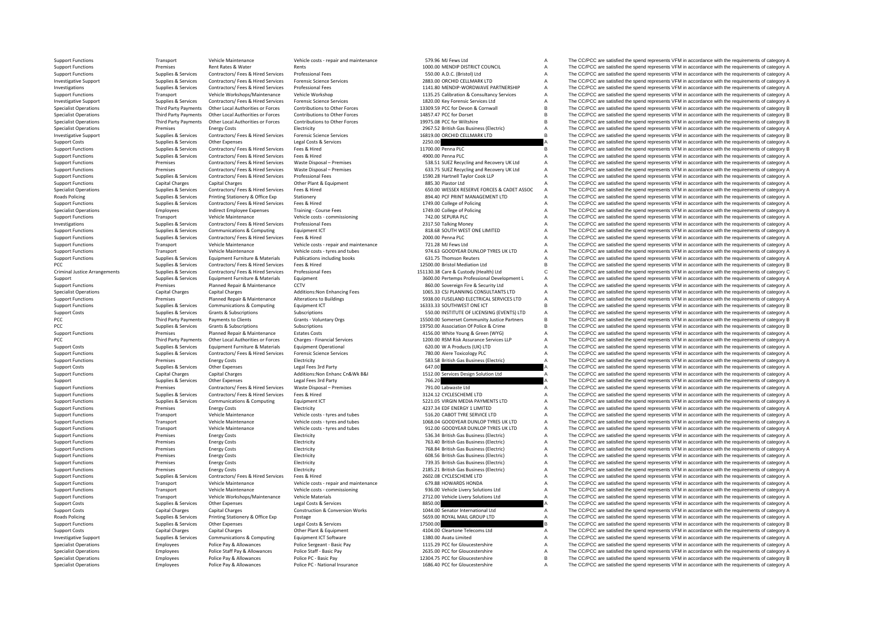**Roads Policing** Criminal JusticePCC Third Party Payments PCC Third**Roads Policing** 

Specialist Operations Employees Police Pay & Allowances Police PC · National Insurance 1686.40 PCC for Gloucestershire A The CC/PCC are satisfied the spend represents VFM in accordance with the requirements of category A

Support Functions Transport Vehicle Maintenance Vehicle costs - repair and maintenance STO.96 MJ Fews Ltd A The CC/PCC are satisfied the spend represents VFM in accordance with the requirements of category A Support Functi Support Functions Premises Rent Rates & Water Rents Rents Rents Rents Rents Rent Rates Rent Rates Rent Rents Rents Rents Rents Rents Rents Rent Rates Rent Rates Rent Rents Rents Rents Rents Rents Rents Rents Rents Rents Re Support Functions Supplies & Services Contractors/ Fees & Hired Services Professional Fees 550.00 A.D.C. (Bristol) Ltd A The CC/PCC are satisfied the spend represents VFM in accordance with the requirements of category A Investigative Support Support Supplies & Services Contractors/ Fees & Hired Services Forensic Science Services<br>
Supplies & Supplies & Services Contractors/ Fees & Hired Services Professional Fees Microsofter Services Profe Transport of the Companisment of Contractors of the Supplies & Supplies & Supplies & Supplies & Supplies & Supplies & Supplies & Supplies & Supplies of Contractors/ Fees & Hired Services Professional Fees Mille Workshop an Transport Vehicle Workshops/Maintenance Vehicle Workshop 1135.25 Calibration & Consultancy Services A The CC/PCC are satisfied the spend represents VFM in accordance with the requirements of category A investigative Suppliers and Suppliers of the Contractors (Services of the Suppliers of the CODIC CONTROLL AND THE CODIC CONTROLLER AND THE CODIC CONTROLLER AND THE CODIC CONTROLLER AND THE CODIC CONTROLLER CONTROLLER AND T Other Local Authorities or Forces Contributions to Other Forces 13309.59 PCC for Devon & Cornwall B The CC/PCC are satisfied the spend represents VFM in accordance with the requirements of category B<br>Other Local Authoritie Specialist Operations Third Party Payments Other Local Authorities or Forces Contributions to Other Forces 14857.47 PCC for Dorset B The CC/PCC are satisfied the spend represents VFM in accordance with the requirements of Specialist Operations Third Party Payments Other Local Authorities or Forces Contributions to Other Forces (Schedule and Departements of Contributions to the Forces of the COPC of Contribution of the COPC of Contribution o Specialist Operations Specialist Operations Premises Premises Energy Costs Energy Costs Electricity Electricity Electricity and the Supplements of category A The CC/PCC are satisfied the spend represents VFM in accordance Experiment of the Companies of the Supplies & Supplies & Supplies & Supplies & Supplies & Supplies & Supplies & Supplies & Supplies & Supplies of Contractors/ Fees & Hired Services Forensic Science Services and the Supplie Support Costs Supplies Supplies & Services Other Expenses Legal Costs & Services Legal Costs & Services Legal Costs & Services 2250.00 A The CC/PCC are satisfied the spend represents VFM in accordance with the requirements The CC/PCC are satisfied the spend represents VFM in accordance with the requirements of category B Support Functions Supplies & Services Contractors/ Fees & Hired Services Fees & Hired A The COPCO Are satisfied the spend represents VFM in accordance with the requirements of category A ontractors/ Fee Section Premises Contractors/ Fee Se Hired Services Waste Disposal – Premises Premises Premises<br>The Contractors of the Services Waste Disposal – Premises Contractors/ Fee Se Hired Services Waste Disposal – Premises Contractors/ Fees & Hired Services Waste Disposal - Premises Sample of the CONCIDITY CONTENT CONFIDENT A The CC/PCC are satisfied the spend represents VFM in accordance with the requirements of category A Support Functions Supplies & Support Support Exercises Contractors/ Fees & Hired Services Professional Fees Professional Fees Mustave the Mustave of the CO/PCC are satisfied the spend represents VFM in accordance with the Support Functions Capital Charges Capital Charges Other Plant & Equipment 885.30 Plastor Ltd A The CC/PCC are satisfied the spend represents VFM in accordance with the requirements of category A Supplies & Services Contractors/Fees & Hired Services Fees & Hired Contractors Fees & Hired Contractors Fees & Hired 650.00 WESSEX RESERVE FORCES & CADET ASSOC A The CC/PCC are satisfied the spend represents VFM in accorda Supplies & Services Printing Stationery & Office Exp Stationery and Stationery and Stationery and Stationery and Stationery and Stationery and Stationery and Stationery and Stationery and Stationery and Stationery and Stat Support Functions Supplies & Services Contractors/ Fees & Hired Services Fees & Hired Mired 1749.00 College of Policing A The CC/PCC are satisfied the spend represents VFM in accordance with the requirements of category A Specialist Operations Employees Indirect Employee Expenses Training - Course Fees 1749.00 College of Policing A The CC/PCC are satisfied the spend represents VFM in accordance with the requirements of category A Support Fu Support Functions Transport Vehicle Maintenance Vehicle Costs – commissioning 742.00 SEPURA PLC A The CC/PCC are satisfied the spend represents VFM in accordance with the requirements of category A Investigations and the r Investments of Contractors Supplies A The CC/PCC are satisfied the spend represents VFM in accordance with the requirements of category A Support Functions Supplies & Services Communications & Computing Equipment ICT Support Equipment ICT 818.68 SOUTH WEST ONE LIMITED A The CC/PCC are satisfied the spend represents VFM in accordance with the requirements of Support Functions Supplies & Services Contractors/ Fees & Hired Services Fees & Hired Hired Services Fees & Hired Pervices Fees & Hired Services Fees & Hired 2000.00 Penna PLC A The CC/PCC are satisfied the spend represent Support Functions Transport Functions Transport Transport Constructions Transport Vehicle Maintenance With the requirements of category A The CC/PCC are satisfied the spend represents VFM in accordance with the requirement Support Functions Transport Vehicle Maintenance Vehicle Costs - tyres and tubes 974.63 GOODYEAR DUNLOP TYRES UK LTD A The CC/PCC are satisfied the spend represents VFM in accordance with the requirements of category A<br>Supp Support Functions Supplies & Services Equipment Furniture & Materials Publications including books 631.75 Thomson Reuters A The CC/PCC are satisfied the spend represents VFM in accordance with the requirements of category Pupplies & Services Contractors/ Fees & Hired Services Fees & Hired The Mediation Ltd B The CC/PCC are satisfied the spend represents VFM in accordance with the requirements of category B<br>Pupplies & Services Contractors/ F Contractors/Fees & Hired Services Professional Fees exercise of the State of Mathyle (Health) Ltd C The CC/PCC are satisfied the spend represents VFM in accordance with the requirements of category C<br>
3600.00 Pertemps Prof Support Supplies & Services Equipment Furniture & Materials Equipment Support Support Support Support A The CC/PCC are satisfied the spend represents VFM in accordance with the requirements of category A<br>Support Functions Premises Planned Repair & Maintenance CCTV 860.00 Sovereign Fire & Security Ltd A The CC/PCC are satisfied the spend represents VFM in accordance with the requirements of category A Specialist Operations Capital Charges Capital Charges Additions:Non Enhancing Fees 1065.33 CSJ PLANNING CONSULTANTS LTD A The CC/PCC are satisfied the spend represents VFM in accordance with the requirements of category A<br> Support Functions Premises Planned Repair & Maintenance Alterations to Buildings 5938.00 FUSELAND ELECTRICAL SERVICES LTD A The CC/PCC are satisfied the spend represents VFM in accordance with the requirements of category Support Functions Supplies & Supplies & Services Communications & Computing Equipment ICT Computing Equipment ICT Computing Equipment ICT SUDES SUPPORT ONE ICT A The CC/PCC are satisfied the spend represents VFM in accorda Support Costs Supplies & Services Grants & Subscriptions Subscriptions Subscriptions Subscriptions Subscriptions Subscriptions Subscriptions Subscriptions Subscriptions Subscriptions Subscriptions Subscriptions Subscriptio Payments to Clients Crants **Crants** Voluntary Orgs 15500.00 Some to COMPONET COMPONET COMPONET PERSON CONTINUES CONTINUES ARE DESCRIPTED THE CC/PCC are satisfied the spend represents VFM in accordance with the requirements PCC Supplies B Services Grants B Subscriptions Subscriptions Subscriptions Subscriptions Subscriptions Subscriptions 19750.00 Association Of Police & Crime B The CC/PCC are satisfied the spend represents VFM in accordance Support Functions Premises Planned Repair & Maintenance Estates Costs and Assuper Costs 4156.00 White Young & Green (WYG) A The CC/PCC are satisfied the spend represents VFM in accordance with the requirements of category The CC/PCC are satisfied the spend represents VFM in accordance with the requirements of category A Support Costs Supplies & Services Equipment Furniture & Materials Equipment Operational 620.00 W A Products (UK) LTD A The CC/PCC are satisfied the spend represents VFM in accordance with the requirements of category A Sup Supplies & Supplies & Services Contractors/ Fees & Hired Services Forensic Science Services Contractors Fees At The COPCC are satisfied the spend represents VFM in accordance with the requirements of category A<br>Support Fun Energy Costs Electricity Functions Premises Electricity Support Functions Premises (Electricity A The CC/PCC are satisfied the spend represents VFM in accordance with the requirements of category A<br>Supplies & Services Othe Support Costs Supplies & Services Other Expenses Legal Fees 3rd Party Costs Category A Category A The CC/PCC are satisfied the spend represents VFM in accordance with the requirements of category A Support Costs Capital Ch Support Functions Capital Charges Capital Charges Additions:Non Enhanc Cn&Wk B&I 1512.00 Services Design Solution Ltd A The CC/PCC are satisfied the spend represents VFM in accordance with the requirements of category A Su Support Supplies & Services Other Expenses Legal Fees 3rd Party 766.20 766.20 A The CC/PCC are satisfied the spend represents VFM in accordance with the requirements of category A Support Functions Premises Contractors/ Fees & Hired Services Waste Disposal – Premises 791.00 Labwaste Ltd A The CC/PCC are satisfied the spend represents VFM in accordance with the requirements of category A Support Func Supplies & Services Contractors/ Fees & Hired Services Fees & Hired The CONTROL SERVICES ARE SERVICES ARE SATISFAN A The CC/PCC are satisfied the spend represents VFM in accordance with the requirements of category A<br>Suppl Support Functions Supplies & Services Communications & Computing Equipment ICT 5221.05 VIRGIN MEDIA PAYMENTS LTD A The CC/PCC are satisfied the spend represents VFM in accordance with the requirements of category A Support Functions Premises Energy Costs Energy Costs Electricity Electricity Electricity Electricity Electricity Electricity and tubes and the satisfied the SC/PCC are satisfied the spend represents VFM in accordance with Support Functions Transport Vehicle Maintenance Vehicle costs – tyres and tubes 516.20 CABOT TYRE SERVICE LTD A The CC/PCC are satisfied the spend represents VFM in accordance with the requirements of category A Support Fu Support Functions Transport Vehicle Maintenance Vehicle costs – tyres and tubes 1068.04 GOODYEAR DUNLOP TYRES UK LTD A The CC/PCC are satisfied the spend represents VFM in accordance with the requirements of category A Sup Support Functions Transport Vehicle Maintenance Vehicle Costs - tyres and tubes 912.00 GOODYEAR DUNLOP TYRES UK LTD A The CC/PCC are satisfied the spend represents VFM in accordance with the requirements of category A<br>Supp Support Functions Premises Energy Costs Energy Costs Electricity Electricity Electricity 536.34 British Gas Business (Electricity Sas British Gas Business (Electricity A The CC/PCC are satisfied the spend represents VFM in Support Functions Premises Energy Costs Energy Costs Electricity Electricity Electricity To a The CC/PCC are satisfied the spend represents VFM in accordance with the requirements of category A<br>The CC/PCC are satisfied the Support Functions Premises Energy Costs Electricity Electricity Premises Energy Costs Electricity Electricity and the second are and the companises (Electricity Costs Energy A The CC/PCC are satisfied the spend represents A The CC/PCC are satisfied the spend represents VFM in accordance with the requirements of category A Support Functions Premises Energy Costs Energy Costs Electricity Electricity Electricity 739.35 British Gas Business (Electricity and The CC/PCC are satisfied the spend represents VFM in accordance with the requirements of Support Functions Premises Energy Costs Energy Costs Electricity Electricity Electricity 2185.21 British Gas Business (Electric) A The CC/PCC are satisfied the spend represents VFM in accordance with the requirements of ca Support Functions Support Functions Supplies A The CC/PCC are satisfied the spend represents VFM in accordance with the requirements of category A The CC/PCC are satisfied the spend represents VFM in accordance with the re Support Functions Transport Vehicle Maintenance Vehicle Costs ‐ repair and maintenance 679.88 HOWARDS HONDA A The CC/PCC are satisfied the spend represents VFM in accordance with the requirements of category A Support Func Support Functions Transport Vehicle Maintenance Vehicle costs – commissioning 936.00 Vehicle Livery Solutions Ltd A The CC/PCC are satisfied the spend represents VFM in accordance with the requirements of category A Suppor Vehicle Materials Controllect Materials 2712.00 Vehicle Livery Solutions Ltd A The CC/PCC are satisfied the spend represents VFM in accordance with the requirements of category A The CC/PCC are satisfied the spend represen Support Costs Supplies Support Costs Control Costs Control Costs Services and December 2012 and December 2013 a The CC/PCC are satisfied the spend represents VFM in accordance with the requirements of category A Support Costs Capital Charges Capital Charges Construction & Conversion Works 1044.00 Senator International Ltd A The CC/PCC are satisfied the spend represents VFM in accordance with the requirements of category A Policing Supplies & Services Printing Stationery & Office Exp Postage Printing States Printing States Printing Supplies & Services Printing Supplies & Services Printing Supplies & Services Chengony A Supplies & Services St Support Functions Supplies & Services Other Expenses Legal Costs & Services Legal Costs & Services Legal Costs & Services 17500.00 B The CC/PCC are satisfied the spend represents VFM in accordance with the requirements of Support Costs Capital Charges Capital Charges Other Plant & Equipment 4104.00 Cleartone Telecoms Ltd A The CC/PCC are satisfied the spend represents VFM in accordance with the requirements of category A Investigative Support Supplies Appollons of Communications A Computing Equipment ICT Software 1380.00 Avatu Limited A The CC/PCC are satisfied the spend represents VFM in accordance with the requirements of category A Spec Specialist Operations Employees Police Pay & Allowances Police Sergeant - Basic Pay Police Sergeant - Basic Pay<br>The CC/PCC are satisfied the spend represents VFM in accordance with the requirements of category A Specialist Specialist Operations Employees Police Staff Pay & Allowances Police Staff - Basic Pay 2635.00 PCC for Gloucestershire A The CC/PCC are satisfied the spend represents VFM in accordance with the requirements of category A Specialist Operations Specialist Operations Police Pay & Allowances Police PC - Basic Pay 12304.75 PCC for Gloucestershire B The CC/PCC are satisfied the spend represents VFM in accordance with the requirements of category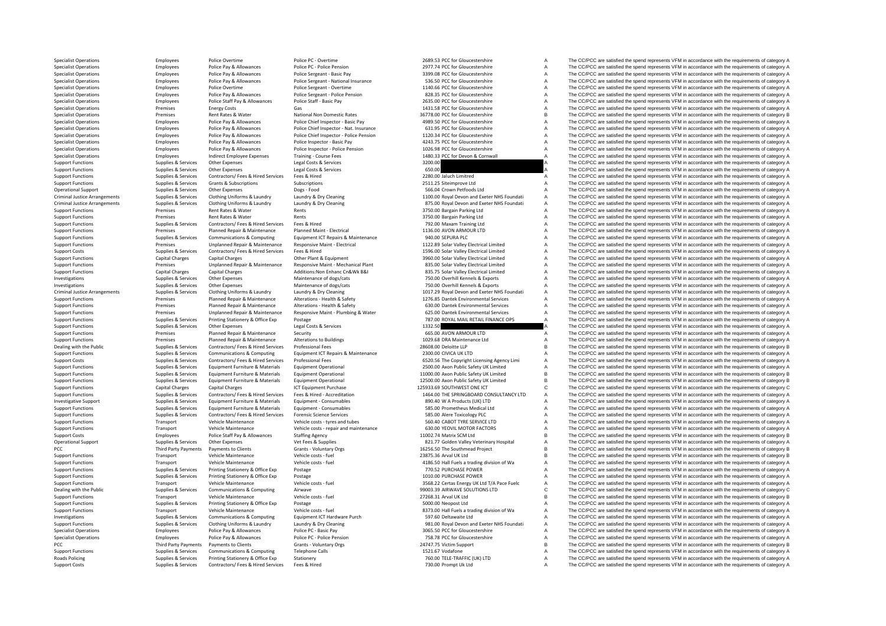Criminal JusticeCriminal JusticeCriminal JusticePCC **PCC** Third Party Payments PCC Third Party Payments **Roads Policing** 

Support Costs Supplies & Services Contractors/ Fees & Hired Services Fees & Hired Music Hired T30.00 Prompt Uk Ltd A The CC/PCC are satisfied the spend represents VFM in accordance with the requirements of category A

Specialist Operations Specialist Operations Employees Police Police Police PC - Overtime Police Police Police Police Police Police Police Police Police Police Police Police Police Police Police Police Police Police Police Specialist Operations Employees Police Pay & Allowances Police PC - Police Pension Police Pension 2977.74 PCC for Gloucestershire A The CC/PCC are satisfied the spend represents VFM in accordance with the requirements of c Specialist Operations Contrast Police Police Police Police Sergeant - Basic Pay 3399.08 PCC for Gloucestershire A The CC/PCC are satisfied the spend represents VFM in accordance with the requirements of category A The CC/P Specialist Operations The Complexes Manuform Police Pay & Allowances Police Sergeant - National Insurance 536.50 PCC for Gloucestershire A The CC/PCC are satisfied the spend represents VFM in accordance with the requiremen Specialist Operations Employees Police Overtime Police Sergeant - Overtime Police Police Sergeant - Overtime Police Sergeant - Police Sergeant - Police Sergeant - Police Persion a 1140.66 PCC for Gloucestershire A The CC/P Employees Police Pay & Allowances Police Sergeant - Police Pension 828.35 PCC for Gloucestershire A The CC/PCC are satisfied the spend represents VFM in accordance with the requirements of category A Specialist Operations Employees Police Staff Pay & Allowances Police Staff - Basic Pay 2635.00 PCC for Gloucestershire A The CC/PCC are satisfied the spend represents VFM in accordance with the requirements of category A S Specialist Operations Casts Gas Contacts Contacts Contacts Operations Casts Contacts Contacts Contacts Contacts Contacts Contacts Contacts Operations Contacts Operations Contacts Gas 1431.58 PCC for Gloucestershire A The C Specialist Operations Premises Rent Rates Rent Rates Rent Rates National Non Domestic Rates 36778.00 PCC for Gloucestershire B The CC/PCC are satisfied the spend represents VFM in accordance with the requirements of catego Specialist Operations Employees Police Pay & Allowances Police Chief Inspector – Basic Pay 4989.50 PCC for Gloucestershire A The CC/PCC are satisfied the spend represents VFM in accordance with the requirements of category Concidint Operations and Concernsive Concerns and Concerns and Capacity of the Concerns and Capacity of The CODC are printed the concerns that in concerns a concerns a concerns a concerns a concerns the concerns and concer Specialist Operations The Complete the equirements of category A Police Pay & Allowances Police Chief Inspector - Police Chief Inspector - Police Chief Inspector - Police Pay and the Corporation and the Corporations and th Specialist Operations Employees Police Pay & Allowances Police Inspector - Basic Pay 4243.75 PCC for Gloucestershire A The CC/PCC are satisfied the spend represents VFM in accordance with the requirements of category A Spe Employees Police Pay & Allowances Police Inspector - Police Pension 1026.98 PCC for Gloucestershire A The CC/PCC are satisfied the spend represents VFM in accordance with the requirements of category A Specialist Operations Employees Indirect Employee Expenses Training - Course Fees 1480.33 PCC for Devon & Cornwall A The CC/PCC are satisfied the spend represents VFM in accordance with the requirements of category A Support Functions Supplies & Services Other Expenses Legal Costs & Services 3200.00 A The CC/PCC are satisfied the spend represents VFM in accordance with the requirements of category A Support Functions Supplies & Services Other Expenses Legal Costs & Services 650.00 A The CC/PCC are satisfied the spend represents VFM in accordance with the requirements of category A Support Functions Supplies & Services Contractors/ Fees & Hired Services Fees & Hired Services Fees & Hired 2280.00 Jaluch Limitred A The CC/PCC are satisfied the spend represents VFM in accordance with the requirements of Supplies & Supplies & Services Grants & Subscriptions Subscriptions Subscriptions Subscriptions Subscriptions 2511.25 Siteimprove Ltd A The CC/PCC are satisfied the spend represents VFM in accordance with the requirements Operational Support Supplies & Services Other Expenses Dogs - Food Dogs - Food Support Dogs - Food Support Dogs - Food Support Dogs - Food Support Support Support Support Support Support Support Support Support Support Sup Supplies & Services Clothing Uniforms & Laundry Laundry & Dry Cleaning Contains and two metals of the CC/PCC are satisfied the spend represents VFM in accordance with the requirements of category A Supplies & Services Clothing Uniforms & Laundry Laundry & Dry Cleaning and the State of the COPC are satisfied the spend represents VFM in accordance with the requirements of category A<br>Premises Rent Rates & Water Rents Re Support Functions Premises Rent Rates & Water Rents Rents Rents Rents Rents Rents A Support Parking Ltd A The CC/PCC are satisfied the spend represents VFM in accordance with the requirements of category A Support Function Support Functions Premises Rent Rates & Water Rents Rents Rents Rents Rents Rents Rents A The CC/PCC are satisfied the spend represents VFM in accordance with the requirements of category A Support Functions Support Functi Support Functions Supplies A The CC/PCC are satisfied the spend represents VFM in accordance with the requirements of category A Support Functions Premises Planned Repair & Maintenance Planned Maint - Electrical 1136.00 AVON ARMOUR LTD A The CC/PCC are satisfied the spend represents VFM in accordance with the requirements of category A Support Funct Support Functions Supplies & Services Communications & Computing Equipment ICT Repairs & Maintenance 940.00 SEPURA PLC A The CC/PCC are satisfied the spend represents VFM in accordance with the requirements of category A S Premises Unplanned Repair & Maintenance Responsive Maint - Electrical 1122.89 Solar Valley Electrical Limited A The CC/PCC are satisfied the spend represents VFM in accordance with the requirements of category A suppliers Support Costs Supplies & Services Contractors/ Fees & Hired Services Fees & Hired 1596.00 Solar Valley Electrical Limited A The CC/PCC are satisfied the spend represents VFM in accordance with the requirements of category Support Functions Capital Charges Capital Charges Capital Charges Other Plant & Equipment Charges Other Plant & Equipment Charges Capital Charges Other Plant & Equipment 3960.00 Solar Valley Electrical Limited A The CC/PCC Premises Unplanned Repair & Maintenance Responsive Maint Mechanical Plant 235.00 Solar Valley Electrical Limited A The CC/PCC are satisfied the spend represents VFM in accordance with the requirements of category A<br>Support Support The CC/PCC are satisfied the spend represents VFM in accordance with the requirements of category A Investigations Supplies & Services Other Expenses Maintenance of dogs/cats 750.00 Overhill Kennels & Exports A The CC/PCC are satisfied the spend represents VFM in accordance with the requirements of category A Investigations Supplies & Services Other Expenses Maintenance of dogs/cats 750.00 Overhill Kennels & Exports A The CC/PCC are satisfied the spend represents VFM in accordance with the requirements of category A Supplies & Services Clothing Uniforms & Laundry Laundry & Dry Cleaning and the many state of the COMENT COMENT A The COMENT A The COMENT A The COMENT AGRICAL EXECUTION IN A DRAMATE DRAMATE PRESSURIAL PRESSURIAL PRESSURIAL Sunnort Eunctions Control of the properties and the property of the Planned Remain & Maintenance Alterations Health & Safety 1776 & Danis Control Control Control Control are the COPCC are satisfied the spend represents VFM Support Functions Premises Planned Repair & Maintenance Alterations – Health & Safety 630.00 Dantel Environmental Services A The CC/PCC are satisfied the spend represents VFM in accordance with the requirements of category Premises Unplanned Repair & Maintenance Responsive Maint - Plumbing & Water 625.00 Dantek Environmental Services A The CC/PCC are satisfied the spend represents VFM in accordance with the requirements of category A<br>Support Support Functions Supplies & Services Printing Stationery & Office Exp Postage 787.00 ROYAL MAIL RETAIL FINANCE OPS A The CC/PCC are satisfied the spend represents VFM in accordance with the requirements of category A Supp Support Functions Supplies & Services Other Expenses Legal Costs & Services 1332.50 A The CC/PCC are satisfied the spend represents VFM in accordance with the requirements of category A Support Functions Premises Planned Repair & Maintenance Security Support Functions and the CO/PCC are satisfied the spend represents VFM in accordance with the requirements of category A<br>Support Functions and the requireme Premises Planned Repair & Maintenance Alterations to Buildings 1029.68 DRA Maintenance Ltd A The CC/PCC are satisfied the spend represents VFM in accordance with the requirements of category A Dealing with the Public Supplies & Supplies & Supplies & Supplies Contractors/ Fees & Hired Services Professional Fees Professional Fees 28608.00 Deloitte LLP B The CC/PCC are satisfied the spend represents VFM in accordan Support Functions Supplies & Services Communications & Computing Equipment ICT Repairs & Maintenance 2300.00 CIVICA UK LTD A The CC/PCC are satisfied the spend represents VFM in accordance with the requirements of category Contractors/ Fees & Hired Services Professional Fees examples of the Company of the Company of the Company of the Company of the Company of the Company of the Company of the Company of the Company of the Company of Categor Support Functions of the COPCC are satisfied the spend represents UPM in accordance with the requirements of category A Support Functions Support Functions (Support Functions Support Functions Support Functions Support Fun Support Functions Supplies & Services Equipment Furniture & Materials Equipment Operational and the material control of the COPCC are satisfied the spend represents VFM in accordance with the requirements of category B<br>Sup B The CC/PCC are satisfied the spend represents VFM in accordance with the requirements of category B Support Functions Capital Charges Capital Charges Capital Charges ICT Equipment Purchase 12593.69 SOUTHWEST ONE ICT COMENT ONE ICT COMENT ONE ICT The CC/PCC are satisfied the spend represents VFM in accordance with the req Contractors/ Fees & Hired Services Frees & Hired - Accreditation CONSTANTERTY MANUSION CONSULTANCY LTD A The CC/PCC are satisfied the spend represents VFM in accordance with the requirements of category A<br>Equipment Furnitu Investigative Support Computer Support Support Support Support Support Formiture & Materials Equipment - Consumables and Support Consumables and a send of the CC/PCC are satisfied the spend represents VFM in accordance wit Support Functions Supplies & Services Equipment Furniture & Materials Equipment - Consumables Support - Consumables<br>Support Functions Support Support Support Support Support The Consume of the Support Consume of the Consum Support Functions Supplies & Services Contractors/Fees & Hired Services Forensic Science Services (Services Services Services Services Services Services Services Services Services Services Services Services Services Servic Support Functions Transport Vehicle Maintenance Vehicle costs – tyres and tubes 1999 Vehicle costs – tyres and tubes and tubes and tubes and CO/PCC are satisfied the spend represents VFM in accordance with the requirements Support Functions and Transport Vehicle Maintenance Vehicle costs vehicle costs and maintenance 630.00 YEOVIL MOTOR FACTORS A The CC/PCC are satisfied the spend represents VFM in accordance with the requirements of categor Support Costs Containers Employees Police Staff Pay & Allowances Staffing Agency Staffing Agency 11002.74 Matrix SCM Ltd B The CC/PCC are satisfied the spend represents VFM in accordance with the requirements of category B Operational Support Supplies & Supplies Supplies Other Expenses Vet Fees & Supplies Vet Fees & Supplies Support<br>
PCC A The CC/PCC are satisfied the spend represents VFM in accordance with the requirements of category B<br>
PC Third Party Payments Payments to Clients Grants • Voluntary Orgs 16256.50 The Southmead Project B The CC/PCC are satisfied the spend represents VFM in accordance with the requirements of category B Crants + Vehicle costs Support Functions Transport Vehicle Maintenance Vehicle costs fuel 23875.36 Arval UK Ltd B The CC/PCC are satisfied the spend represents VFM in accordance with the requirements of category B Support Functions Transport Vehicle Maintenance Vehicle Costs - fuel 4186.50 Hall Fuels a trading division of Wa A The CC/PCC are satisfied the spend represents VFM in accordance with the requirements of category A Support Support Functions Supplies & Services Printing Stationery & Office Exp Postage 770.52 PURCHASE POWER 770.52 PURCHASE POWER A The CC/PCC are satisfied the spend represents VFM in accordance with the requirements of category Support Functions Support Functions Support Functions Supplies A The CC/PCC are satisfied the spend represents VFM in accordance with the requirements of category A The CC/PCC are satisfied the spend represents VFM in acco Support Functions Transport Vehicle Maintenance Vehicle Costs - fuel and the Support Certas Energy UK Ltd T/A Pace Fuelc A The CC/PCC are satisfied the spend represents VFM in accordance with the requirements of category C Dealing with the Public Supplies & Supplies & Supplies & Supplies Communications & Computing Airwave Airwave 99003.39 AIRWAVE SOLUTIONS LTD C The CC/PCC are satisfied the spend represents VFM in accordance with the require Vehicle Costs - fuel experiments of category B and the COVID-COST Transport Transport VEM in accordance with the requirements of category B The CC/PCC are satisfied the spend represents VFM in accordance with the requireme Support Functions Supporters Support Functions Support Function Principal Stationery & Office Exp Postage 5000.00 Neopost Ltd A The CC/PCC are satisfied the spend represents VFM in accordance with the requirements of categ Support Functions Transport Vehicle Maintenance Vehicle costs – fuel exists and the and a strading division of Wa A The CC/PCC are satisfied the spend represents VFM in accordance with the requirements of category A Invest Investigations Supplies & Services Communications & Computing Equipment ICT Hardware Purch 597.60 Deltawaite Ltd A The CC/PCC are satisfied the spend represents VFM in accordance with the requirements of category A Supplies & Services Clothing Uniforms & Laundry Laundry Laundry Cleaning Support and the Support Public Party of The CC/PCC are satisfied the spend represents VFM in accordance with the requirements of category A<br>Specialis Specialist Operations Employees Police Pay & Allowances Police PC - Basic Pay 3065.50 PCC for Gloucestershire A The CC/PCC are satisfied the spend represents VFM in accordance with the requirements of category A Specialist Operations Employees Police Pay & Allowances Police PC • Police Pension Police Pension 758.78 PCC for Gloucestershire A The CC/PCC are satisfied the spend represents VFM in accordance with the requirements of ca Payments to Clients Crants Foluntary Orgs 24747.75 Victim Support B The CC/PCC are satisfied the spend represents VFM in accordance with the requirements of category B 24747.75 Victim Support 31521.67 Vodafone A The CC/PCC Support Functions Supplies & Supplies & Services Communications & Computing Telephone Calls Terms and the Support Computing 1521.67 Vodafone A The CC/PCC are satisfied the spend represents VFM in accordance with the requir Policing Supplies & Services Printing Stationery Supplies and Stationery Stationery and Manual Company of The COMMON COMMON A The CC/PCC are satisfied the spend represents VFM in accordance with the requirements of categor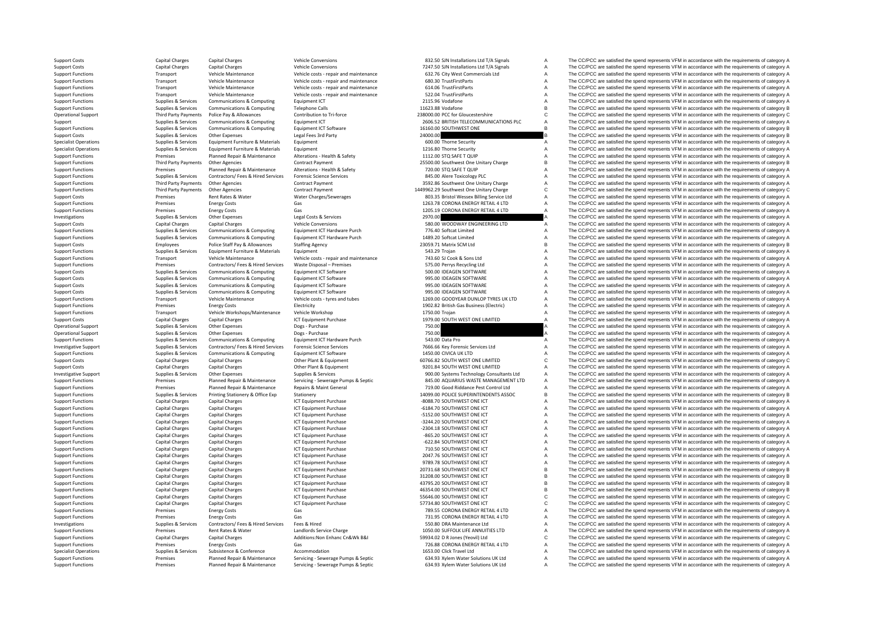Support Costs Capital Charges Capital Charges Vehicle Conversions States Vehicle Conversions 832.50 SJN Installations Ltd T/A Signals A The CC/PCC are satisfied the spend represents VFM in accordance with the requirements Support Costs Capital Charges Capital Charges Vehicle Conversions 7247.50 SJN Installations Ltd T/A Signals A The CC/PCC are satisfied the spend represents VFM in accordance with the requirements of category A The Criterio Support Functions **Support Transport Vehicle Maintenance** Vehicle cress and maintenance 632.76 City West Commercials Ltd A The CC/PCC are satisfied the spend represents VFM in accordance with the requirements of category A Support Functions Transport Vehicle Maintenance Vehicle Costs - repair and maintenance 680.30 TrustFirstParts A The CC/PCC are satisfied the spend represents VFM in accordance with the requirements of category A Support Fu Support Transport Vehicle Costs repair and maintenance and the maintenance of the COLOGING CORTUGAL CORTUGAL TRUST TRUST A The CC/PCC are satisfied the spend represents VFM in accordance with the requirements of category A Support Functions Transport Vehicle Maintenance Vehicle costs - repair and maintenance 522.04 TrustFirstParts A The CC/PCC are satisfied the spend represents VFM in accordance with the requirements of category A Support Functions Supplies & Services Communications & Computing Equipment CT 2115.96 Vodafone A The CC/PCC are satisfied the spend represents VFM in accordance with the requirements of category A The CC/PCC are satisfied The CC/PCC are satisfied the spend represents VFM in accordance with the requirements of category B Operational Support Third Party Payments Police Pay & Allowances Contribution to Tri-force 238000.00 PCC for Gloucestershire CCPCC are satisfied the spend represents VFM in accordance with the requirements of category C<br>Su Support Supplies & Supplies & Services Communications & Computing Equipment ICT 2606.52 BRITISH TELECOMMUNICATIONS PLC A The CC/PCC are satisfied the spend represents VFM in accordance with the requirements of category A<br>S Support Functions Support Computing Services Communications Services Computing Equipment ICT Software 16160.00 Support DEL The CC/PCC are satisfied the computations VFM in accordance with the requirements of category B Support Costs Supplies & Services Other Expenses Legal Fees 3rd Party 24000.00 Controlled and Depart of CO/PCC are satisfied the spend represents VFM in accordance with the requirements of category B Specialist Operations Specialist Operations Supplies & Services Equipment Furniture & Materials Equipment Comment Comment Comment Comment Comment Comment Comment Comment Comment Comment Comment of The CC/PCC are satisfied the spend represents V Specialist Operations Supplies & Services Equipment Furniture & Materials Equipment 1216.80 Thorne Security A The CC/PCC are satisfied the spend represents VFM in accordance with the requirements of category A Support Functions Premises Planned Repair & Maintenance Alterations - Health & Safety 1112.00 STO SAFE T QUIP A The CC/PCC are satisfied the spend represents VFM in accordance with the requirements of category A Support Functions Third Party Payments Other Agencies Contract Payment 25500.00 Southwest One Unitary Charge B The CC/PCC are satisfied the spend represents VFM in accordance with the requirements of category B Support Functions Premises Planned Repair & Maintenance Alterations - Health & Safety 720.00 STQ SAFE T QUIP A The CC/PCC are satisfied the spend represents VFM in accordance with the requirements of category A Supplies & Supplies & Supplies & Supplies & Contractors/ Fees & Hired Services Forensic Science Services Contract Development and the and a services and a service of the Support Purchast The CC/PCC are satisfied the spend Third Party Payments Other Agencies Contract Payment 2592.86 Southwest One Unitary Charge A The CC/PCC are satisfied the spend represents VFM in accordance with the requirements of category A Support Functions Third Party Payments Other Agencies Contract Payment Contract Payment 1449962.29 Southwest One Unitary Charge C The CC/PCC are satisfied the spend represents VFM in accordance with the requirements of cat Support Costs Premises Rent Rates & Water Water Charges/Sewerages 803.35 Bristol Wessex Billing Service Ltd A The CC/PCC are satisfied the spend represents VFM in accordance with the requirements of category A Support Functions Premises Energy Costs Gas Gas Gas Energy Costs Gas Casts Gas 1263.78 CORONA ENERGY RETAIL 4 LTD A The CC/PCC are satisfied the spend represents VFM in accordance with the requirements of category A Suppor Support Functions Premises Energy Costs Gas Case Costs Gas Costs Case Costs Case 1205.19 CORONA ENERGY RETAIL 4 LTD A The CC/PCC are satisfied the spend represents VFM in accordance with the requirements of category A Inve Investigations Supplies & Services Other Expenses Legal Costs & Services 2970.00 A The CC/PCC are satisfied the spend represents VFM in accordance with the requirements of category A Supplies & Services VEM in accordance w The CC/PCC are satisfied the spend represents VFM in accordance with the requirements of category A Support Functions Supplies & Services Communications & Computing Equipment ICT Hardware Purch 776.40 Softcat Limited A The CC/PCC are satisfied the spend represents VFM in accordance with the requirements of category A Sup Support Functions Supplies & Services Communications & Computing Equipment ICT Hardware Purch 1489.20 Softcat Limited A The CC/PCC are satisfied the spend represents VFM in accordance with the requirements of category A Su Employees Police Staff Pay & Allowances Staffing Agency 23059.71 Matrix SCM Ltd B The CC/PCC are satisfied the spend represents VFM in accordance with the requirements of category B Staffing Agency 4 23059.71 Matrix SCM Lt Support Functions Supplies Services Equipment Functions & Materials Equipment Services Equipment Services Equipment Services Equipment A The CC/PCC are satisfied the spend represents VFM in accordance with the requirements Support Functions Transport Vehicle Maintenance Vehicle Costs ‐ repair and maintenance 743.60 Support Cook & Sons Ltd A The CC/PCC are satisfied the spend represents VFM in accordance with the requirements of category A Su Support Functions Premises Contractors/ Fees & Hired Services Waste Disposal – Premises Functions Premises 575.00 Perrys Recycling Ltd A The CC/PCC are satisfied the spend represents VFM in accordance with the requirements Support The CC/PCC are satisfied the spend represents VFM in accordance with the requirements of category A Support Costs Supplies & Supplies & Services Communications & Computing Equipment ICT Software 995.00 IDEAGEN SOFTWARE A The CC/PCC are satisfied the spend represents VFM in accordance with the requirements of category A S Support Costs Support Control of the Communications Communications of Computing Computing Computing Computing Computing Computing Support of the Supplies Computing Computing Computing Computing Support of the Support of Th Support Costs Supplies & Supplies & Services Communications & Computing Equipment ICT Software 995.00 IDEAGEN SOFTWARE A The CC/PCC are satisfied the spend represents VFM in accordance with the requirements of category A V Support Functions **Support Transport Vehicle Maintenance** Vehicle crists **tyres and tubes** 1269.00 GOODYEAR DUNLOP TYRES UK TD A The CC/PCC are satisfied the spend represents VFM in accordance with the requirements of cate Support Functions Support Functions Premises Energy Costs Electricity Functions and the CC/PCC are satisfied the spend represents VFM in accordance with the requirements of category A Support Functions Transport Vehicle Workshops/Maintenance Vehicle Workshop 1750.00 Trojan 1750.00 Trojan A The CC/PCC are satisfied the spend represents VFM in accordance with the requirements of category A Support Costs C Support Costs Capital Charges Capital Charges ICT Equipment Purchase 1979.00 SOUTH WEST ONE LIMITED A The CC/PCC are satisfied the spend represents VFM in accordance with the requirements of category A Operational Support Supplies & Services Other Expenses Dogs - Purchase 750.00 750.00 A The CC/PCC are satisfied the spend represents VFM in accordance with the requirements of category A Operational Support Supplies & Supplies & Services Other Expenses Dogs - Purchase Dogs - Purchase Dogs • Purchase 750.00 2012 750.00 2012 750.00 A The CC/PCC are satisfied the spend represents VFM in accordance with the re The CC/PCC are satisfied the spend represents VFM in accordance with the requirements of category A Investigative Support Supplies & Services Contractors/ Fees & Hired Services Forensic Science Services 7666.66 Key Forensic Services Ltd A The CC/PCC are satisfied the spend represents VFM in accordance with the requirements of category A Support Functions Supplies & Supplies & Supplies Communications & Computing Equipment ICT Software 1450.00 CIVICA UK LTD A The CC/PCC are satisfied the spend represents VFM in accordance with the requirements of category A SUPPORT CONSTRUCT CONSTRUCT CONSTRUCT CONSTRUCT CHARGES CAPITAL CHARGES ON THE CONSTRUCT ARE SATISFIED ON THE CONSTRUCT ON A The CONSTRUCT ARE SATISFIED ON THE SATISFIED ON A THE CONSTRUCT ON A SATISFIED ON A THE CONSTRUCT Support Costs Capital Charges Capital Charges Capital Charges Other Plant & Equipment Charges Other Plant & Equipment Charges Capital Charges Capital Charges Other Plant & Equipment Development 9201.84 SOUTH WEST ONE LIMIT Investigative Support Supplies & Services Other Expenses Supplies & Services Supplies & Services Supplies & Services Supplies & Services Supplies & Services Supplies & Services 900.00 Systems Technology Consultants Ltd A T Support Functions and Premises Planned Renair & Maintenance Servicing - Serverage Pumps & Sentic Serverage Pumps & Sentic Serverage Pumps & Sentic Serverage Pumps & Sentic Serverage Pumps & Sentic Serverage Pumps & Sentic Support Functions Premises Planned Repair & Maintenance Repairs & Maint General 719.00 Good Riddance Pest Control Ltd A The CC/PCC are satisfied the spend represents VFM in accordance with the requirements of category B<br>Su Stationery Tuncking Support Tuncking Stations Supplies Category B The CC/PCC are satisfied the spend represents VFM in accordance with the requirements of category B 3088.70 SOUTHWEST ONE ICT A The CC/PCC are satisfied the Support Functions Capital Charges Capital Charges ICT Equipment Purchase – 8088.70 SOUTHWEST ONE ICT A The CC/PCC are satisfied the spend represents VFM in accordance with the requirements of category A Support Functions Capital Charges Capital Charges Capital Charges ICT Equipment Purchase Fast of CHARGES CAPITAL CHARGES CAPITAL CHARGES INTERNATION CONTENTS ONE ICT A The CC/PCC are satisfied the spend represents VFM in a Support Functions Capital Charges Capital Charges Capital Charges ICT Equipment Purchase – 5152.00 SOUTHWEST ONE ICT A The CC/PCC are satisfied the spend represents VFM in accordance with the requirements of category A Sup Support Functions Capital Charges Capital Charges Capital Charges ICT Equipment Purchase – 3244.20 SOUTHWEST ONE ICT A The CC/PCC are satisfied the spend represents VFM in accordance with the requirements of category A Sup Support Functions Capital Charges Capital Charges **Capital Charges Capital Charges ICT Equipment** Purchase **Capital Charges Capital Content A The CC/PCC are satisfied the spend represents VFM in accordance with the require** Support Functions Capital Charges Capital Charges Capital Charges ICT Equipment Purchase -865.20 SOUTHWEST ONE ICT A The CC/PCC are satisfied the spend represents VFM in accordance with the requirements of category A Suppo Support Functions Capital Charges Capital Charges Capital Charges ICT Equipment Purchase Face Companies of Capital Charges Capital Charges Capital Charges ICT Equipment Purchase 10.50 SOUTHWEST ONE ICT A The CC/PCC are sat Support Functions Capital Charges Capital Charges Capital Charges ICT Equipment Purchase 710.50 SOUTHWEST ONE ICT A The CC/PCC are satisfied the spend represents VFM in accordance with the requirements of category A Suppor Support Functions Capital Charges Capital Charges Capital Charges Capital Charges 2047.76 SOUTHWEST ONE ICT A The CC/PCC are satisfied the spend represents VFM in accordance with the requirements of category A The CC/PCC a Support Functions Capital Charges Capital Charges Capital Charges ICT Equipment Purchase 9789.78 SOUTHWEST ONE ICT A The CC/PCC are satisfied the spend represents VFM in accordance with the requirements of category A Suppo Support Functions Capital Charges Capital Charges Capital Charges ICT Equipment Purchase 20731.68 SOUTHWEST ONE ICT AND The CC/PCC are satisfied the spend represents VFM in accordance with the requirements of category B Su SUPPORT THE COVEC Are satisfied the spend represents VFM in accordance with the requirements of category B The CC/PCC are satisfied the spend represents VFM in accordance with the requirements of category B The CC/PCC are Support Functions Capital Charges Capital Charges Capital Charges ICT Equipment Purchase 1975.20 SOUTHWEST ONE ICT ARENE ICT B The CC/PCC are satisfied the spend represents VFM in accordance with the requirements of catego Support Functions Capital Charges Capital Charges Capital Charges ICT Equipment Purchase 46354.00 SOUTHWEST ONE ICT B The CC/PCC are satisfied the spend represents VFM in accordance with the requirements of category B Spen S5646.00 SOUTHWEST ONE ICT COMPUTE COMPONERS CAPITAL CHARGES CAPITAL CHARGES CAPITAL CHARGES CONFINITIONS CONT<br>The CC/PCC are satisfied the spend represents VFM in accordance with the requirements of category C<br>S7734.80 SO Support Functions Capital Charges Capital Charges ICT Equipment Purchase 57734.80 SOUTHWEST ONE ICT C The CC/PCC are satisfied the spend represents VFM in accordance with the requirements of category C Support Functions Functions Premises Energy Costs Gas Gas The CORONA ENERGY RETAIL 4 LTD A The CC/PCC are satisfied the spend represents VFM in accordance with the requirements of category A Support Functions Premises Energy Costs Gas Gas Gas 731.95 CORONA ENERGY RETAIL 4 LTD A The CC/PCC are satisfied the spend represents VFM in accordance with the requirements of category A Investigations Supplies Accorders Supplies & Services Contractors/ Fees & Hired Services Fees & Hired 550.80 DRA Maintenance Ltd A The CC/PCC are satisfied the spend represents VFM in accordance with the requirements of ca Support Functions Premises Rent Rates & Water Landlords Service Charge 1050.00 SUFFOLK LIFE ANNUITIES LTD A The CC/PCC are satisfied the spend represents VFM in accordance with the requirements of category A Support Functions Capital Charges Capital Charges Capital Charges Additions:Non Enhanc Cn&Wk B&I 59934.02 D R Jones (Yeovil) Ltd C The CC/PCC are satisfied the spend represents VFM in accordance with the requirements of ca Support Functions Premises Energy Costs Gas Gas CORONA ENERGY RETAIL 4 LTD A The CC/PCC are satisfied the spend represents VFM in accordance with the requirements of category A Supplies & Supplies & Supplies & Subsistence & Conference Accommodation Accommodation 1653.00 Click Travel Ltd A The CC/PCC are satisfied the spend represents VFM in accordance with the requirements of category A Sunnort Eunctions Services Premises Planned Renair & Maintenance Servicing - Servicing - Servicing - Servicing - Servicing - Servicing - Servicing - Saude Caster Call States Collumn (States Collumn and Service Caster Caste Support Functions Premises Planned Repair & Maintenance Servicing - Sewerage Pumps & Septic 634.93 Xylem Water Solutions UK Ltd A The CC/PCC are satisfied the spend represents VFM in accordance with the requirements of cat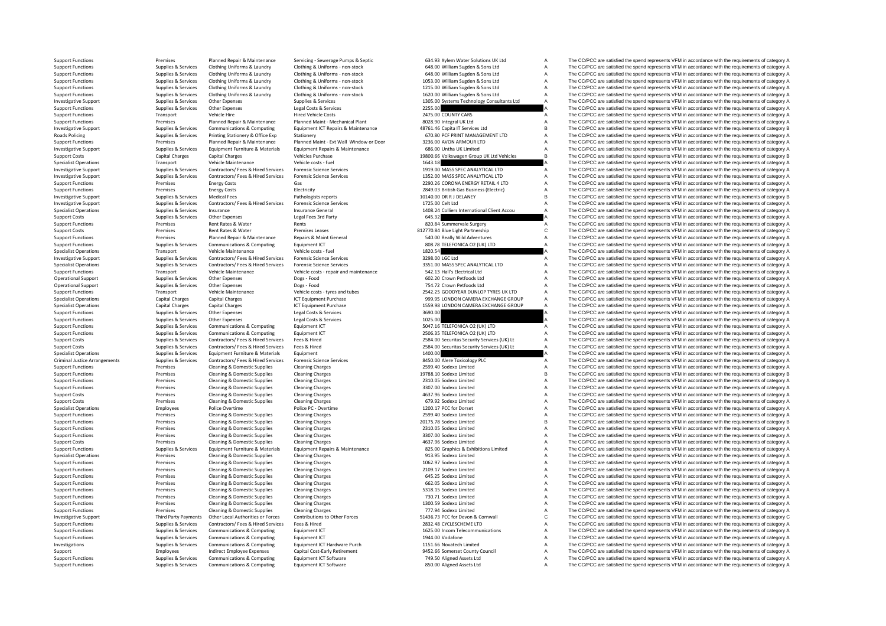Roads Policing Criminal Justice

Support Functions Support Premises Promises Planned Repair & Maintenance Servicing - Severage Pumps & Septic 634.93 Xylem Water Solutions UKLI A The CC/PCC are satisfied the spend represents VFM in accordance with the requ Supplies & Services Clothing Uniforms & Laundry Clothing & Uniforms - non-stock 648.00 William Supple & Sons Ltd A The CC/PCC are satisfied the spend represents VFM in accordance with the requirements of category A supplie Sunnet Europeant Sunnite R. Senings Clering Uniforms & Laundry Clering & Uniforms non-stork CAR CONSULT Contains Constant Constant Constant Constant Constant Constant Constant Constant Constant Constant Constant Constant C Supplies & Services Clothing Uniforms & Laundry Clothing & Uniforms - non-stock and the Support Functions and The CC/PCC are satisfied the spend represents VFM in accordance with the requirements of category A<br>Support Func Support Functions Supplies & Services Clothing Uniforms & Laundry Clothing & Uniforms - non-stock 1215.00 William Support Bons Ltd A The CC/PCC are satisfied the spend represents VFM in accordance with the requirements of The CC/PCC are satisfied the spend represents VFM in accordance with the requirements of category A Investigative Support Supplies & Services Other Expenses Supplies & Services Supplies & Services 1305.00 Systems Technology Consultants Ltd A The CC/PCC are satisfied the spend represents VFM in accordance with the require Support Functions Supplies A The CC/PCC are satisfied the spend represents VFM in accordance with the requirements of category A<br>2475.00 COUNTY CARS A The CC/PCC are satisfied the spend represents VFM in accordance with th Support Functions Transport Vehicle Hire Hired Vehicle Costs 2475.00 COUNTY CARS A The CC/PCC are satisfied the spend represents VFM in accordance with the requirements of category A Theory and the requirements of category Support Functions Premises Planned Repair & Maintenance Planned Maint - Mechanical Plant 8028.90 Integral UK Ltd A The CC/PCC are satisfied the spend represents VFM in accordance with the requirements of category A Decleti Investment Cumpler Consider Communications Communications Communications Communications Communications Communications Communications Communications Communications Communications Communications Communications Communications Policing Supplies & Services Printing Stationery & Office Exp Stationery Stationery Stationery Stationery Stationery Stationery Stationery Stationery Stationery Stationery Stationery 670.80 PCF PRINT MANAGEMENT LTD A The C Support Functions Premises Planned Repair & Maintenance Planned Maint - Ext Wall Window or Door 3236.00 AVON ARMOUR LTD A The CC/PCC are satisfied the spend represents VFM in accordance with the requirements of category A The CC/PCC are satisfied the spend represents VEM in accordance with the requirements of category A Support Costs Capital Charges Capital Charges Vehicles Purchase 19800.66 Volkswagen Group UK Ltd Vehicles B The CC/PCC are satisfied the spend represents VFM in accordance with the requirements of category B Specialist Operations Transport Transport Vehicle Maintenance Vehicle Costs - fuel Vehicle Costs - fuel Vehicle Costs - fuel 1643.18 A The CC/PCC are satisfied the spend represents VFM in accordance with the requirements o Investigative Support Support Supporte Supporter Supporter Contractors/ Fees & Hired Services Forensic Science Services on the Support of the CO/PCC are satisfied the spend represents VFM in accordance with the requirement Investigative Support Support Supplies & Services Contractors/ Fees & Hired Services Forensic Science Services<br>
Support Functions Contractors of the COPCC are satisfied the spend represents VFM in accordance with the requi Support Functions Premises Energy Costs Cases Gas Contains Cases Contains Contains Contains Contains Contains Contains Contains Contains Contains Contains Premises Energy Costs Gas Energy Costs Gas Electricity Costs Electr Support Functions Premises Energy Costs Electricity Electricity Electricity 2849.03 British Gas Business (Electricity A The CC/PCC are satisfied the spend represents VFM in accordance with the requirements of category A In Investigative Support Support Support Support Support Medical Fees Pathologists reports Pathologists reports 10140.00 DR R J DELANEY B The CC/PCC are satisfied the spend represents VFM in accordance with the requirements o Investigative Support Support Supplies & Services Contractors/ Fees & Hired Services Forensic Science Services<br>
Supplies A Specialist Operations Supplies A Supplies & Services Insurance Ceneral Insurance General Manual and Specialist Operations Supplies & Services Insurance Services Insurance General 1408.24 Colliers International Client Accou A The CC/PCC are satisfied the spend represents VFM in accordance with the requirements of category Support Costs Supplies & Services Other Expenses Legal Fees 3rd Party Legal Fees 3rd Party 645.32 A The CC/PCC are satisfied the spend represents VFM in accordance with the requirements of category A Support Functions and Rents Premises Rent Rates Rent Rates Rents A The CC/PCC are satisfied the spend represents VFM in accordance with the requirements of category A The CC/PCC are satisfied the spend represents VFM in accordance with the requ Support Costs Premises Rent Rates & Water Premises Premises Premises Premises Premises Premises Premises Premises Premises Premises Premises Repairs Repairs Repairs Repairs Repairs Conceral States Support Costs and the CC/ Support Functions Premises Planned Repair & Maintenance Repairs & Maint General 540.00 Really Wild Adventures A The CC/PCC are satisfied the spend represents VFM in accordance with the requirements of category A Support Fu Support Functions Support Functions Support Functions Equipment ICT COMPUTING COMPUTING A The CC/PCC are satisfied the spend represents VFM in accordance with the requirements of category A Vehicle of the Support of the Su Specialist Operations and Transport Vehicle Maintenance Vehicle Costs and Vehicle Costs and The CC/PCC are satisfied the spend represents VFM in accordance with the spening of category A The CC/PCC in a condition of catego Investigative Support Support Supplies & Services Contractors/ Fees & Hired Services Forensic Science Services Services Supported a Supported a The CC/PCC are satisfied the spend represents VFM in accordance with the requi Contractors/ Fees & Hired Services Forensic Science Services envirors of a mass and the COPCC are satisfied the spend represents VFM in accordance with the requirements of category A<br>Vehicle costs - repair and maintenance Support Functions Transport Vehicle Maintenance Vehicle costs ‐ repair and maintenance 542.13 Hall's Electrical Ltd A The CC/PCC are satisfied the spend represents VFM in accordance with the requirements of category A Operational Support Support Support Support Support Support Support Support Support Support Support Support Support Support Support Support Support Support Support Support Support Support Support Support Support Support Su Operational Support Supplies & Services Other Expenses Dogs - Food Dogs - Food 754.72 Crown Petfoods Ltd A The CC/PCC are satisfied the spend represents VFM in accordance with the requirements of category A Support Transpo Support Functions Transport Vehicle Maintenance Vehicle Costs – tyres and tubes 2542.25 GOODYEAR DUNLOP TYRES UK LTD A The CC/PCC are satisfied the spend represents VFM in accordance with the requirements of category A Spe Special Charges Capital Charges Capital Charges Capital Charges Capital Charges ICT Equipment Purchase 999.95 LONDON CAMERA EXCHANGE GROUP A The CC/PCC are satisfied the spend represents VFM in accordance with the requirem Specialist Operations Capital Charges Capital Charges Capital Charges ICT Equipment Purchase 1559.98 LONDON CAMERA EXCHANGE GROUP A The CC/PCC are satisfied the spend represents VFM in accordance with the requirements of c Support Functions Supplies & Services Other Expenses Legal Costs & Services Legal Costs & Services Legal Costs & Services 3690.00 A The CC/PCC are satisfied the spend represents VFM in accordance with the requirements of c Other Expenses Legal Costs & Services 2007 A The CC/PCC are satisfied the spend represents VFM in accordance with the requirements of category A<br>Communications & Computing Foulument ICT Experiments of category A The CC/PCC Support Functions Supplies & Supplies & Services Communications & Computing Equipment ICT Support Function Computing Computing Equipment ICT Support ELEEN SUPPORT A The CC/PCC are satisfied the spend represents VFM in acco Support Functions Supplies & Supplies & Supplies Communications & Computing Equipment ICT Computing Equipment ICT COMPONICA O2 (UK) LTD A The CC/PCC are satisfied the spend represents VFM in accordance with the requirement The CC/PCC are satisfied the spend represents VFM in accordance with the requirements of category A Support Costs Supplies & Services Contractors/ Fees & Hired Services Fees & Hired Materials Press & Hired Materials Press & Hired Materials Press & Hired 2584.00 Security Services (UK) Lt A The CC/PCC are satisfied the spe Specialist Operations Supplies & Supplies & Supplies & Supplieres Equipment Equipment Equipment Equipment Equipment Equipment Equipment Equipment Equipment Equipment Equipment Equipment Equipment Equipment Equipment Equipm Arrangements Supplies Arrangements Supplies A The CC/PCC are satisfied the spend represents VFM in accordance with the requirements of category A The CC/PCC are satisfied the spend represents VFM in accordance with the req Support Functions Transformations Premises Cleaning & Domestic Supplies Cleaning Charges Cleaning Charges Cleaning Charges Cleaning Charges 2599.40 Sodexo Limited A The CC/PCC are satisfied the spend represents VFM in acco Support Functions Premises Cleaning & Domestic Supplies Cleaning Charges 19788.10 Sodexo Limited B The CC/PCC are satisfied the spend represents VFM in accordance with the requirements of category B Premises Cleaning & Domestic Supplies Cleaning Charges 2310.05 Sodexo Limited 2009 and The CC/PCC are satisfied the spend represents VFM in accordance with the requirements of category A The Creaning Charges 2307.00 Sodexo Support Functions Premises Cleaning & Domestic Supplies Cleaning Charges Cleaning Charges Cleaning Charges Cleaning Charges Cleaning Charges Support Company and the CC/PCC are satisfied the spend represents VFM in accordan Support Costs Premises Cleaning & Domestic Supplies Cleaning Charges Cleaning Charges Cleaning Charges Cleaning Charges A The CC/PCC are satisfied the spend represents VFM in accordance with the requirements of category A Premises Cleaning & Domestic Supplies Cleaning Charges Cleaning Charges Cleaning Charges Cleaning Charges Cleaning Charges Cleaning Charges 679.92 Sodexo Limited A The CC/PCC are satisfied the spend represents VFM in accor Specialist Operations Specialist Operations Folice Police Police Police PC - Overtime Police PC - Overtime Police PC - Overtime 1200.17 PCC for Dorset A The CC/PCC are satisfied the spend represents VFM in accordance with Support Functions Premises Cleaning & Domestic Supplies Cleaning Charges Cleaning Charges 2599.40 Sodexo Limited A The CC/PCC are satisfied the spend represents VFM in accordance with the requirements of category A Support Functions Premises Cleaning & Domestic Supplies Cleaning Charges Cleaning Charges 20175.78 Sodexo Limited B The CC/PCC are satisfied the spend represents VFM in accordance with the requirements of category B Suppor Support Functions Premises Cleaning & Domestic Supplies Cleaning Charges Cleaning Charges 2310.05 Sodexo Limited A The CC/PCC are satisfied the spend represents VFM in accordance with the requirements of category A Support Functions Premises Cleaning & Domestic Supplies Cleaning Charges Cleaning Charges Cleaning Charges Cleaning Charges Cleaning Charges Support Category A The CC/PCC are satisfied the spend represents VFM in accordanc Support Costs Premises Cleaning & Domestic Supplies Cleaning Charges Cleaning Charges Cleaning Charges A 4637.96 Sodexo Limited A The CC/PCC are satisfied the spend represents VFM in accordance with the requirements of cat Supplies & Services Equipment Furniture & Materials Equipment Repairs & Materiance and a service and the COPCC are satisfied the spend represents VFM in accordance with the requirements of category A services of Cleaning C Premises Cleaning & Domestic Supplies Cleaning Charges 2013 Cleaning Charges 913.95 Sodexo Limited A The CC/PCC are satisfied the spend represents VFM in accordance with the requirements of category A Support Functions Cleaning & Domestic Supplies Cleaning Charges 1062.97 Sodexo Limited A The CC/PCC are satisfied the spend represents VFM in accordance with the requirements of category A Support Functions Premises Cleaning & Domestic Supplies Cleaning Charges Cleaning Charges 2109.17 Sodexo Limited A The CC/PCC are satisfied the spend represents VFM in accordance with the requirements of category A Support Support Functions Premises Category A The CC/PCC are satisfied the spend represents VFM in accordance with the requirements of category A The CC/PCC are satisfied the spend represents VFM in accordance with the requirement Support Functions Premises Cleaning & Domestic Supplies Cleaning Charges Cleaning Charges Cleaning Charges 662.05 Sodexo Limited A The CC/PCC are satisfied the spend represents VFM in accordance with the requirements of ca Support Functions Premises Cleaning & Domestic Supplies Cleaning Charges Cleaning Charges Cleaning Charges Cleaning Charges Cleaning Charges States 730.71 Sodexo Limited A The CC/PCC are satisfied the spend represents VFM Cleaning & Domestic Supplies Cleaning Charges Cleaning Charges 730.71 Sodexo Limited The CC/PCC are satisfied the spend represents VFM in accordance with the requirements of category A Cleaning Charges 730.71 Sodexo Limite Support Functions Premises Cleaning & Domestic Supplies Cleaning Charges 1300.59 Sodexo Limited A The CC/PCC are satisfied the spend represents VFM in accordance with the requirements of category A Support Functions Premises Cleaning & Domestic Supplies Cleaning Charges Cleaning Charges 777.94 Sodexo Limited A The CC/PCC are satisfied the spend represents VFM in accordance with the requirements of category A Investigative Support Third Party Payments Other Local Authorities or Forces Contributions to Other Forces 51436.73 PCC for Devon & Comwall C The CC/PCC are satisfied the spend represents VFM in accordance with the require Support Functions Supplies & Services Contractors/ Fees & Hired Services Fees & Hired Musical Pees & Hired 2832.48 CYCLESCHEME LTD A The CC/PCC are satisfied the spend represents VFM in accordance with the requirements of Support Functions Supplies & Services Communications & Computing Foulthment ICT 1625.00 Incom Telecommunications A The CC/PCC are satisfied the spend represents VFM in accordance with the requirements of category A Support Functions Supplies & Supplies & Supplies Communications & Computing Equipment ICT and ware Purch 1944.00 Vodafone A The CC/PCC are satisfied the spend represents VFM in accordance with the requirements of category Investigations Supplies & Services Communications & Computing Equipment ICT Hardware Purch 1151.66 Novatech Limited A The CC/PCC are satisfied the spend represents VFM in accordance with the requirements of category A Supp Support Employees Indirect Employee Expenses Capital Cost‐Early Retirement 9452.66 Somerset County Council A The CC/PCC are satisfied the spend represents VFM in accordance with the requirements of category A Support Functions Support Support Communications & Computing Foundment ICT Software 749.50 A The CC/PCC are satisfied the spend represents VFM in accordance with the requirements of category A Support Functions Supplies & Services Communications & Computing Equipment ICT Software 850.00 Aligned Assets Ltd A The CC/PCC are satisfied the spend represents VFM in accordance with the requirements of category A